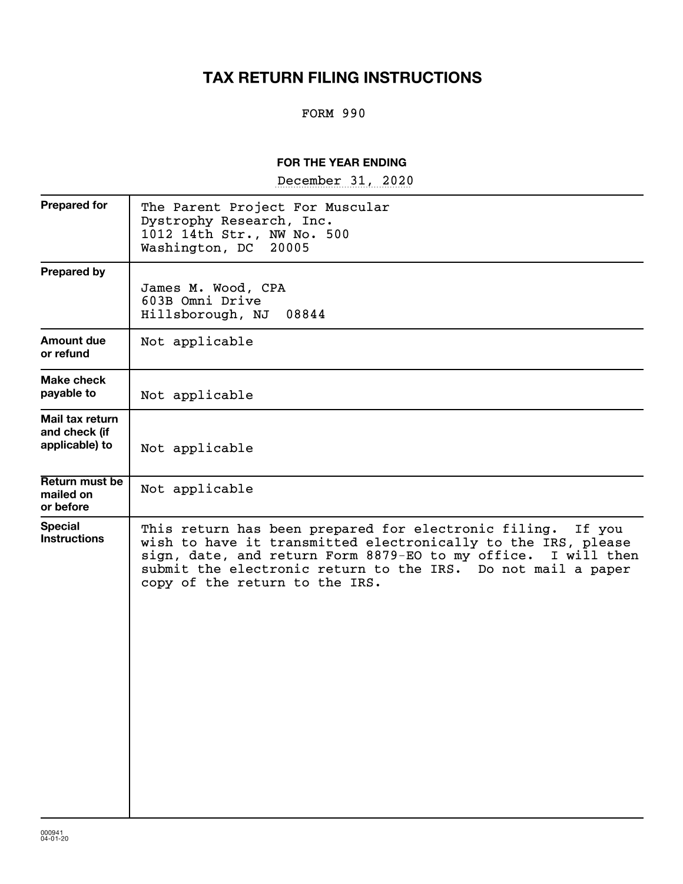## **TAX RETURN FILING INSTRUCTIONS**

### FORM 990

### **FOR THE YEAR ENDING**

December 31, 2020

| The Parent Project For Muscular<br>Dystrophy Research, Inc.<br>1012 14th Str., NW No. 500<br>20005<br>Washington, DC                                                                                                                                                                                  |
|-------------------------------------------------------------------------------------------------------------------------------------------------------------------------------------------------------------------------------------------------------------------------------------------------------|
| James M. Wood, CPA<br>603B Omni Drive<br>Hillsborough, NJ<br>08844                                                                                                                                                                                                                                    |
| Not applicable                                                                                                                                                                                                                                                                                        |
| Not applicable                                                                                                                                                                                                                                                                                        |
| Not applicable                                                                                                                                                                                                                                                                                        |
| Not applicable                                                                                                                                                                                                                                                                                        |
| This return has been prepared for electronic filing.<br>If you<br>wish to have it transmitted electronically to the IRS, please<br>sign, date, and return Form 8879-EO to my office.<br>I will then<br>submit the electronic return to the IRS. Do not mail a paper<br>copy of the return to the IRS. |
|                                                                                                                                                                                                                                                                                                       |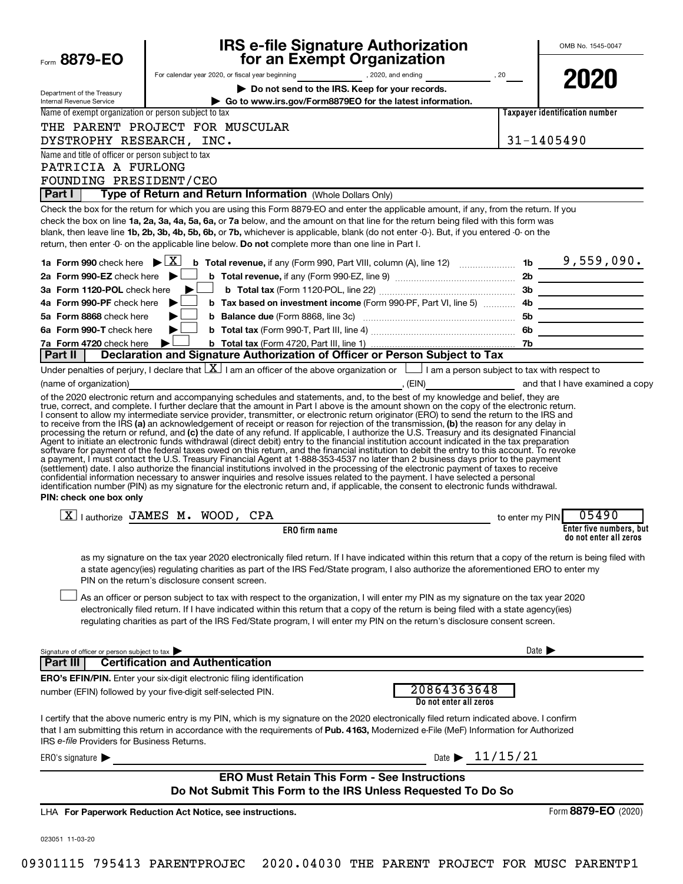|                                                                     |                                                                                                                                                                                                                                                                                                                                                                                                                                                                                                                                                                                                                                                                                                                                                                                                                                                                                                                                                                                                                                                                                                                                                                                                                                                                                        | OMB No. 1545-0047 |                                                                                                                      |
|---------------------------------------------------------------------|----------------------------------------------------------------------------------------------------------------------------------------------------------------------------------------------------------------------------------------------------------------------------------------------------------------------------------------------------------------------------------------------------------------------------------------------------------------------------------------------------------------------------------------------------------------------------------------------------------------------------------------------------------------------------------------------------------------------------------------------------------------------------------------------------------------------------------------------------------------------------------------------------------------------------------------------------------------------------------------------------------------------------------------------------------------------------------------------------------------------------------------------------------------------------------------------------------------------------------------------------------------------------------------|-------------------|----------------------------------------------------------------------------------------------------------------------|
| Form 8879-EO                                                        | <b>IRS e-file Signature Authorization<br/>for an Exempt Organization</b><br>For calendar year 2020, or fiscal year beginning<br>, 2020, and ending<br>, 20                                                                                                                                                                                                                                                                                                                                                                                                                                                                                                                                                                                                                                                                                                                                                                                                                                                                                                                                                                                                                                                                                                                             |                   |                                                                                                                      |
|                                                                     | Do not send to the IRS. Keep for your records.                                                                                                                                                                                                                                                                                                                                                                                                                                                                                                                                                                                                                                                                                                                                                                                                                                                                                                                                                                                                                                                                                                                                                                                                                                         |                   | 2020                                                                                                                 |
| Department of the Treasury<br><b>Internal Revenue Service</b>       | Go to www.irs.gov/Form8879EO for the latest information.                                                                                                                                                                                                                                                                                                                                                                                                                                                                                                                                                                                                                                                                                                                                                                                                                                                                                                                                                                                                                                                                                                                                                                                                                               |                   |                                                                                                                      |
| Name of exempt organization or person subject to tax                |                                                                                                                                                                                                                                                                                                                                                                                                                                                                                                                                                                                                                                                                                                                                                                                                                                                                                                                                                                                                                                                                                                                                                                                                                                                                                        |                   | <b>Taxpaver identification number</b>                                                                                |
|                                                                     | THE PARENT PROJECT FOR MUSCULAR                                                                                                                                                                                                                                                                                                                                                                                                                                                                                                                                                                                                                                                                                                                                                                                                                                                                                                                                                                                                                                                                                                                                                                                                                                                        |                   |                                                                                                                      |
| DYSTROPHY RESEARCH, INC.                                            |                                                                                                                                                                                                                                                                                                                                                                                                                                                                                                                                                                                                                                                                                                                                                                                                                                                                                                                                                                                                                                                                                                                                                                                                                                                                                        |                   | 31-1405490                                                                                                           |
| Name and title of officer or person subject to tax                  |                                                                                                                                                                                                                                                                                                                                                                                                                                                                                                                                                                                                                                                                                                                                                                                                                                                                                                                                                                                                                                                                                                                                                                                                                                                                                        |                   |                                                                                                                      |
| PATRICIA A FURLONG<br>FOUNDING PRESIDENT/CEO                        |                                                                                                                                                                                                                                                                                                                                                                                                                                                                                                                                                                                                                                                                                                                                                                                                                                                                                                                                                                                                                                                                                                                                                                                                                                                                                        |                   |                                                                                                                      |
| <b>Part I</b>                                                       | Type of Return and Return Information (Whole Dollars Only)                                                                                                                                                                                                                                                                                                                                                                                                                                                                                                                                                                                                                                                                                                                                                                                                                                                                                                                                                                                                                                                                                                                                                                                                                             |                   |                                                                                                                      |
|                                                                     | Check the box for the return for which you are using this Form 8879-EO and enter the applicable amount, if any, from the return. If you<br>check the box on line 1a, 2a, 3a, 4a, 5a, 6a, or 7a below, and the amount on that line for the return being filed with this form was<br>blank, then leave line 1b, 2b, 3b, 4b, 5b, 6b, or 7b, whichever is applicable, blank (do not enter -0-). But, if you entered -0- on the<br>return, then enter -0- on the applicable line below. Do not complete more than one line in Part I.                                                                                                                                                                                                                                                                                                                                                                                                                                                                                                                                                                                                                                                                                                                                                       |                   |                                                                                                                      |
| 1a Form 990 check here $\mathbf{\triangleright} \boxed{\mathbf{X}}$ |                                                                                                                                                                                                                                                                                                                                                                                                                                                                                                                                                                                                                                                                                                                                                                                                                                                                                                                                                                                                                                                                                                                                                                                                                                                                                        |                   |                                                                                                                      |
| 2a Form 990-EZ check here $\blacktriangleright$                     |                                                                                                                                                                                                                                                                                                                                                                                                                                                                                                                                                                                                                                                                                                                                                                                                                                                                                                                                                                                                                                                                                                                                                                                                                                                                                        |                   | 2b                                                                                                                   |
| 3a Form 1120-POL check here                                         |                                                                                                                                                                                                                                                                                                                                                                                                                                                                                                                                                                                                                                                                                                                                                                                                                                                                                                                                                                                                                                                                                                                                                                                                                                                                                        |                   | 3b                                                                                                                   |
| 4a Form 990-PF check here                                           | b Tax based on investment income (Form 990-PF, Part VI, line 5) 4b                                                                                                                                                                                                                                                                                                                                                                                                                                                                                                                                                                                                                                                                                                                                                                                                                                                                                                                                                                                                                                                                                                                                                                                                                     |                   | <u> 1990 - Jan Alexandro III, politik politik (</u>                                                                  |
| 5a Form 8868 check here                                             |                                                                                                                                                                                                                                                                                                                                                                                                                                                                                                                                                                                                                                                                                                                                                                                                                                                                                                                                                                                                                                                                                                                                                                                                                                                                                        | 5b                | <u> 1990 - Jan Alexandri, politik eta politik eta politik eta politik eta politik eta politik eta politik eta po</u> |
| 6a Form 990-T check here                                            |                                                                                                                                                                                                                                                                                                                                                                                                                                                                                                                                                                                                                                                                                                                                                                                                                                                                                                                                                                                                                                                                                                                                                                                                                                                                                        |                   | <u> 1990 - Jan Barbara Barbara, política establece</u>                                                               |
| 7a Form 4720 check here                                             | Declaration and Signature Authorization of Officer or Person Subject to Tax                                                                                                                                                                                                                                                                                                                                                                                                                                                                                                                                                                                                                                                                                                                                                                                                                                                                                                                                                                                                                                                                                                                                                                                                            |                   | 7b                                                                                                                   |
| <b>Part II</b>                                                      | Under penalties of perjury, I declare that $\lfloor \frac{X}{1} \rfloor$ I am an officer of the above organization or $\lfloor \frac{1}{1} \rfloor$ I am a person subject to tax with respect to                                                                                                                                                                                                                                                                                                                                                                                                                                                                                                                                                                                                                                                                                                                                                                                                                                                                                                                                                                                                                                                                                       |                   |                                                                                                                      |
| (name of organization)                                              | examined a copy (EIN) examined a copy                                                                                                                                                                                                                                                                                                                                                                                                                                                                                                                                                                                                                                                                                                                                                                                                                                                                                                                                                                                                                                                                                                                                                                                                                                                  |                   |                                                                                                                      |
| PIN: check one box only                                             | I consent to allow my intermediate service provider, transmitter, or electronic return originator (ERO) to send the return to the IRS and<br>to receive from the IRS (a) an acknowledgement of receipt or reason for rejection of the transmission, (b) the reason for any delay in<br>processing the return or refund, and (c) the date of any refund. If applicable, I authorize the U.S. Treasury and its designated Financial<br>Agent to initiate an electronic funds withdrawal (direct debit) entry to the financial institution account indicated in the tax preparation<br>software for payment of the federal taxes owed on this return, and the financial institution to debit the entry to this account. To revoke<br>a payment, I must contact the U.S. Treasury Financial Agent at 1-888-353-4537 no later than 2 business days prior to the payment<br>(settlement) date. I also authorize the financial institutions involved in the processing of the electronic payment of taxes to receive<br>confidential information necessary to answer inquiries and resolve issues related to the payment. I have selected a personal<br>identification number (PIN) as my signature for the electronic return and, if applicable, the consent to electronic funds withdrawal. |                   |                                                                                                                      |
|                                                                     | $\boxed{\text{X}}$   authorize JAMES M. WOOD, CPA                                                                                                                                                                                                                                                                                                                                                                                                                                                                                                                                                                                                                                                                                                                                                                                                                                                                                                                                                                                                                                                                                                                                                                                                                                      | to enter my PIN   | 05490                                                                                                                |
|                                                                     | <b>ERO</b> firm name                                                                                                                                                                                                                                                                                                                                                                                                                                                                                                                                                                                                                                                                                                                                                                                                                                                                                                                                                                                                                                                                                                                                                                                                                                                                   |                   | Enter five numbers, but<br>do not enter all zeros                                                                    |
|                                                                     | as my signature on the tax year 2020 electronically filed return. If I have indicated within this return that a copy of the return is being filed with<br>a state agency(ies) regulating charities as part of the IRS Fed/State program, I also authorize the aforementioned ERO to enter my<br>PIN on the return's disclosure consent screen.<br>As an officer or person subject to tax with respect to the organization, I will enter my PIN as my signature on the tax year 2020<br>electronically filed return. If I have indicated within this return that a copy of the return is being filed with a state agency(ies)<br>regulating charities as part of the IRS Fed/State program, I will enter my PIN on the return's disclosure consent screen.                                                                                                                                                                                                                                                                                                                                                                                                                                                                                                                              |                   |                                                                                                                      |
| Signature of officer or person subject to tax                       | <b>Certification and Authentication</b>                                                                                                                                                                                                                                                                                                                                                                                                                                                                                                                                                                                                                                                                                                                                                                                                                                                                                                                                                                                                                                                                                                                                                                                                                                                |                   | Date $\blacktriangleright$                                                                                           |
| Part III                                                            |                                                                                                                                                                                                                                                                                                                                                                                                                                                                                                                                                                                                                                                                                                                                                                                                                                                                                                                                                                                                                                                                                                                                                                                                                                                                                        |                   |                                                                                                                      |
|                                                                     | <b>ERO's EFIN/PIN.</b> Enter your six-digit electronic filing identification<br>20864363648<br>number (EFIN) followed by your five-digit self-selected PIN.<br>Do not enter all zeros                                                                                                                                                                                                                                                                                                                                                                                                                                                                                                                                                                                                                                                                                                                                                                                                                                                                                                                                                                                                                                                                                                  |                   |                                                                                                                      |
| IRS e-file Providers for Business Returns.                          | I certify that the above numeric entry is my PIN, which is my signature on the 2020 electronically filed return indicated above. I confirm<br>that I am submitting this return in accordance with the requirements of Pub. 4163, Modernized e-File (MeF) Information for Authorized                                                                                                                                                                                                                                                                                                                                                                                                                                                                                                                                                                                                                                                                                                                                                                                                                                                                                                                                                                                                    |                   |                                                                                                                      |
| ERO's signature $\blacktriangleright$                               | Date $\blacktriangleright$ 11/15/21                                                                                                                                                                                                                                                                                                                                                                                                                                                                                                                                                                                                                                                                                                                                                                                                                                                                                                                                                                                                                                                                                                                                                                                                                                                    |                   |                                                                                                                      |
|                                                                     | <b>ERO Must Retain This Form - See Instructions</b><br>Do Not Submit This Form to the IRS Unless Requested To Do So                                                                                                                                                                                                                                                                                                                                                                                                                                                                                                                                                                                                                                                                                                                                                                                                                                                                                                                                                                                                                                                                                                                                                                    |                   |                                                                                                                      |
|                                                                     | LHA For Paperwork Reduction Act Notice, see instructions.                                                                                                                                                                                                                                                                                                                                                                                                                                                                                                                                                                                                                                                                                                                                                                                                                                                                                                                                                                                                                                                                                                                                                                                                                              |                   | Form 8879-EO (2020)                                                                                                  |
| 023051 11-03-20                                                     |                                                                                                                                                                                                                                                                                                                                                                                                                                                                                                                                                                                                                                                                                                                                                                                                                                                                                                                                                                                                                                                                                                                                                                                                                                                                                        |                   |                                                                                                                      |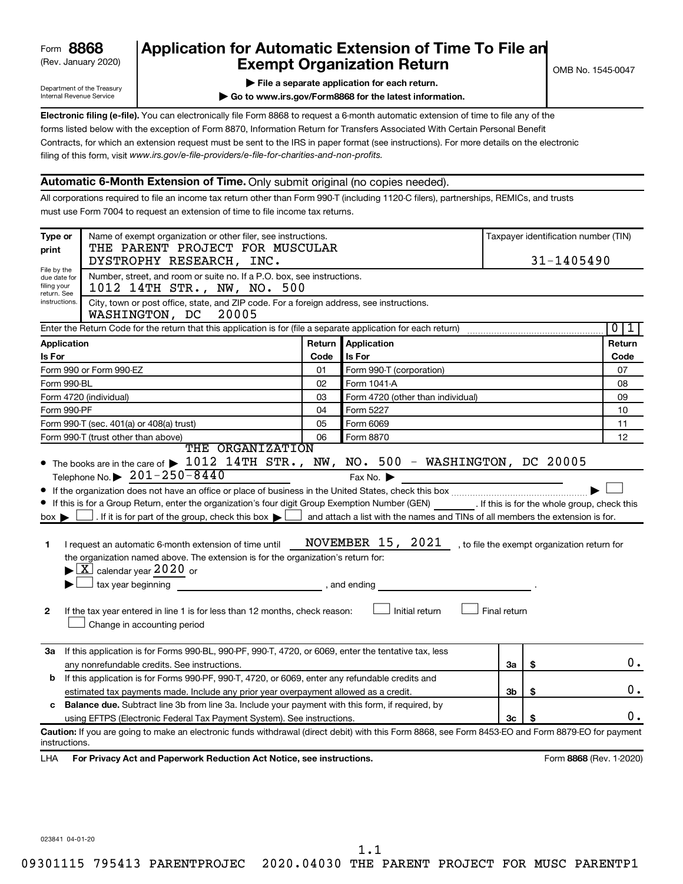| 8868<br>Form |
|--------------|
|--------------|

### (Rev. January 2020) **Cxempt Organization Return** Manuary 2020) and the settern metal combined the Second Exempt Organization Return **Form 8868 Application for Automatic Extension of Time To File an**<br>**Exempt Organization Beturn**

Department of the Treasury Internal Revenue Service

|  |  | File a separate application for each return. |
|--|--|----------------------------------------------|

**| Go to www.irs.gov/Form8868 for the latest information.**

**Electronic filing (e-file).** You can electronically file Form 8868 to request a 6-month automatic extension of time to file any of the filing of this form, visit www.irs.gov/e-file-providers/e-file-for-charities-and-non-profits. forms listed below with the exception of Form 8870, Information Return for Transfers Associated With Certain Personal Benefit Contracts, for which an extension request must be sent to the IRS in paper format (see instructions). For more details on the electronic

### **Automatic 6-Month Extension of Time.** Only submit original (no copies needed).

All corporations required to file an income tax return other than Form 990-T (including 1120-C filers), partnerships, REMICs, and trusts must use Form 7004 to request an extension of time to file income tax returns.

| Type or<br>print                                          | Name of exempt organization or other filer, see instructions.<br>THE PARENT PROJECT FOR MUSCULAR                                                   |        |                                                                                |              |    | Taxpayer identification number (TIN)         |
|-----------------------------------------------------------|----------------------------------------------------------------------------------------------------------------------------------------------------|--------|--------------------------------------------------------------------------------|--------------|----|----------------------------------------------|
| File by the<br>due date for<br>filing your<br>return. See | DYSTROPHY RESEARCH, INC.<br>Number, street, and room or suite no. If a P.O. box, see instructions.<br>1012 14TH STR., NW, NO. 500                  |        | 31-1405490                                                                     |              |    |                                              |
| instructions.                                             | City, town or post office, state, and ZIP code. For a foreign address, see instructions.<br>WASHINGTON, DC<br>20005                                |        |                                                                                |              |    |                                              |
|                                                           | Enter the Return Code for the return that this application is for (file a separate application for each return)                                    |        |                                                                                |              |    | $\overline{0}$<br>$\mathbf{1}$               |
| Application                                               |                                                                                                                                                    | Return | Application                                                                    |              |    | Return                                       |
| <b>Is For</b>                                             |                                                                                                                                                    | Code   | Is For                                                                         |              |    | Code                                         |
|                                                           | Form 990 or Form 990-EZ                                                                                                                            | 01     | Form 990-T (corporation)                                                       |              |    | 07                                           |
| Form 990-BL                                               |                                                                                                                                                    | 02     | Form 1041-A                                                                    |              |    | 08                                           |
|                                                           | Form 4720 (individual)                                                                                                                             | 03     | Form 4720 (other than individual)                                              |              |    | 09                                           |
| Form 990-PF                                               |                                                                                                                                                    | 04     | Form 5227                                                                      |              |    | 10                                           |
|                                                           | Form 990-T (sec. 401(a) or 408(a) trust)                                                                                                           | 05     | Form 6069                                                                      |              |    | 11                                           |
|                                                           | Form 990-T (trust other than above)                                                                                                                | 06     | Form 8870                                                                      |              |    | 12                                           |
|                                                           | THE ORGANIZATION                                                                                                                                   |        |                                                                                |              |    |                                              |
|                                                           | • The books are in the care of $\blacktriangleright$ 1012 14TH STR., NW, NO. 500 - WASHINGTON, DC 20005                                            |        |                                                                                |              |    |                                              |
|                                                           | Telephone No. $\triangleright$ 201-250-8440                                                                                                        |        | Fax No. $\blacktriangleright$                                                  |              |    |                                              |
|                                                           |                                                                                                                                                    |        |                                                                                |              |    |                                              |
|                                                           | If this is for a Group Return, enter the organization's four digit Group Exemption Number (GEN) [If this is for the whole group, check this        |        |                                                                                |              |    |                                              |
| $box \blacktriangleright$                                 | . If it is for part of the group, check this box $\blacktriangleright$                                                                             |        | and attach a list with the names and TINs of all members the extension is for. |              |    |                                              |
|                                                           |                                                                                                                                                    |        |                                                                                |              |    |                                              |
| 1                                                         | I request an automatic 6-month extension of time until                                                                                             |        | NOVEMBER 15, 2021                                                              |              |    | , to file the exempt organization return for |
|                                                           | the organization named above. The extension is for the organization's return for:                                                                  |        |                                                                                |              |    |                                              |
|                                                           | $\blacktriangleright$ $\boxed{\text{X}}$ calendar year 2020 or                                                                                     |        |                                                                                |              |    |                                              |
|                                                           | tax year beginning tax year beginning                                                                                                              |        |                                                                                |              |    |                                              |
|                                                           |                                                                                                                                                    |        |                                                                                |              |    |                                              |
| 2                                                         | If the tax year entered in line 1 is for less than 12 months, check reason:<br>Change in accounting period                                         |        | Initial return                                                                 | Final return |    |                                              |
| За                                                        | If this application is for Forms 990-BL, 990-PF, 990-T, 4720, or 6069, enter the tentative tax, less                                               |        |                                                                                |              |    |                                              |
|                                                           | any nonrefundable credits. See instructions.                                                                                                       |        |                                                                                | За           | \$ | 0.                                           |
| b                                                         | If this application is for Forms 990-PF, 990-T, 4720, or 6069, enter any refundable credits and                                                    |        |                                                                                |              |    |                                              |
|                                                           | estimated tax payments made. Include any prior year overpayment allowed as a credit.                                                               |        |                                                                                | 3b           | \$ | 0.                                           |
| c                                                         | <b>Balance due.</b> Subtract line 3b from line 3a. Include your payment with this form, if required, by                                            |        |                                                                                |              |    |                                              |
|                                                           | using EFTPS (Electronic Federal Tax Payment System). See instructions.                                                                             |        |                                                                                | 3c           |    | $0$ .                                        |
|                                                           | Caution: If you are going to make an electronic funds withdrawal (direct debit) with this Form 8868, see Form 8453-EO and Form 8879-EO for payment |        |                                                                                |              |    |                                              |
| instructions.                                             |                                                                                                                                                    |        |                                                                                |              |    |                                              |
| LHA                                                       | For Privacy Act and Paperwork Reduction Act Notice, see instructions.                                                                              |        |                                                                                |              |    | Form 8868 (Rev. 1-2020)                      |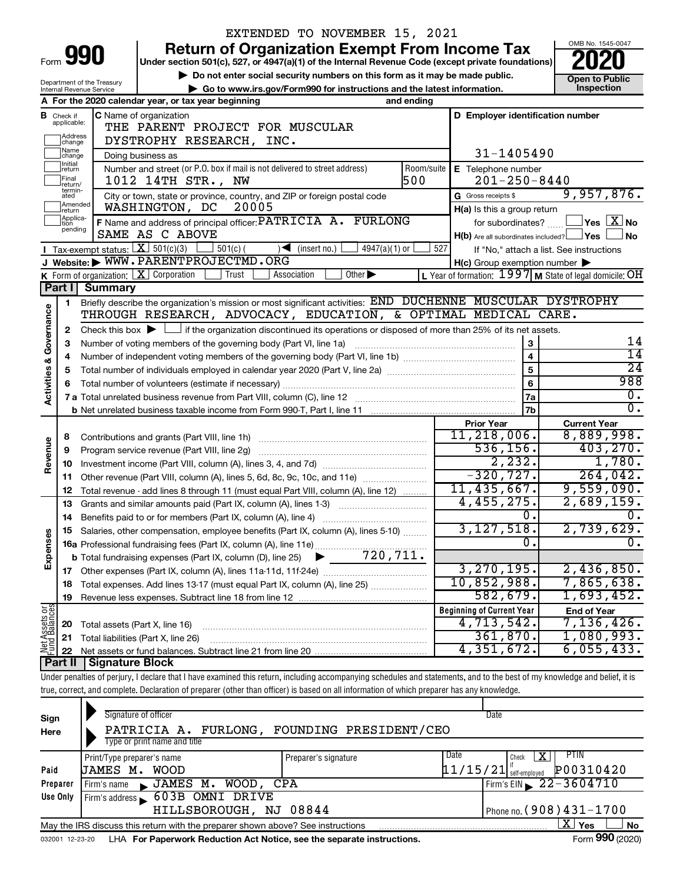| <b>Form</b> |  |  |
|-------------|--|--|

### EXTENDED TO NOVEMBER 15, 2021

**990** Return of Organization Exempt From Income Tax <br>
Under section 501(c), 527, or 4947(a)(1) of the Internal Revenue Code (except private foundations)<br> **PO20** 

**▶ Do not enter social security numbers on this form as it may be made public. Open to Public**<br>
inspection instructions and the latest information. Inspection **| Go to www.irs.gov/Form990 for instructions and the latest information. Inspection**



|                         |                                                                   | Department of the Treasury<br>Internal Revenue Service | טוועט ו שאווט<br>Inspection<br>$\triangleright$ Go to www.irs.gov/Form990 for instructions and the latest information.                      |                   |                                                                       |                                            |  |  |  |
|-------------------------|-------------------------------------------------------------------|--------------------------------------------------------|---------------------------------------------------------------------------------------------------------------------------------------------|-------------------|-----------------------------------------------------------------------|--------------------------------------------|--|--|--|
|                         | A For the 2020 calendar year, or tax year beginning<br>and ending |                                                        |                                                                                                                                             |                   |                                                                       |                                            |  |  |  |
|                         | <b>B</b> Check if applicable:<br>Address<br>change<br>Name        |                                                        | <b>C</b> Name of organization<br>D Employer identification number<br>THE PARENT PROJECT FOR MUSCULAR<br>DYSTROPHY RESEARCH, INC.            |                   |                                                                       |                                            |  |  |  |
|                         | change<br>Initial                                                 |                                                        | Doing business as                                                                                                                           |                   | 31-1405490                                                            |                                            |  |  |  |
|                         | return<br>Final<br>return/<br>termin-                             |                                                        | Number and street (or P.O. box if mail is not delivered to street address)<br>1012 14TH STR., NW                                            | Room/suite<br>500 | E Telephone number<br>$201 - 250 - 8440$                              |                                            |  |  |  |
|                         | ated                                                              |                                                        | City or town, state or province, country, and ZIP or foreign postal code                                                                    |                   | G Gross receipts \$                                                   | 9,957,876.                                 |  |  |  |
|                         | Ireturn                                                           | Amended                                                | 20005<br>WASHINGTON, DC                                                                                                                     |                   | H(a) Is this a group return                                           |                                            |  |  |  |
|                         | Applica-<br>tion<br>pending                                       |                                                        | F Name and address of principal officer: PATRICIA A. FURLONG<br>SAME AS C ABOVE                                                             |                   | for subordinates?<br>$H(b)$ Are all subordinates included? $\Box$ Yes | $\exists$ Yes $\boxed{\text{X}}$ No<br>⊥No |  |  |  |
|                         |                                                                   |                                                        | <b>I</b> Tax-exempt status: $X \overline{501(c)(3)}$<br>$501(c)$ (<br>$\sqrt{\frac{1}{1}}$ (insert no.)<br>4947(a)(1) or                    | 527               | If "No," attach a list. See instructions                              |                                            |  |  |  |
|                         |                                                                   |                                                        | J Website: WWW.PARENTPROJECTMD.ORG                                                                                                          |                   | $H(c)$ Group exemption number $\blacktriangleright$                   |                                            |  |  |  |
|                         |                                                                   | K Form of organization: $X$ Corporation                | Trust<br>Other $\blacktriangleright$<br>Association                                                                                         |                   | L Year of formation: $1997$ M State of legal domicile: OH             |                                            |  |  |  |
|                         |                                                                   | Part I Summary                                         |                                                                                                                                             |                   |                                                                       |                                            |  |  |  |
|                         | 1                                                                 |                                                        | Briefly describe the organization's mission or most significant activities: END DUCHENNE MUSCULAR DYSTROPHY                                 |                   |                                                                       |                                            |  |  |  |
| Activities & Governance |                                                                   |                                                        | THROUGH RESEARCH, ADVOCACY, EDUCATION, & OPTIMAL MEDICAL CARE.                                                                              |                   |                                                                       |                                            |  |  |  |
|                         | 2                                                                 |                                                        | Check this box $\blacktriangleright$ $\Box$ if the organization discontinued its operations or disposed of more than 25% of its net assets. |                   |                                                                       |                                            |  |  |  |
|                         | з                                                                 |                                                        |                                                                                                                                             |                   |                                                                       | 14                                         |  |  |  |
|                         | 4                                                                 |                                                        |                                                                                                                                             |                   | $\overline{4}$                                                        | $\overline{14}$                            |  |  |  |
|                         | 5                                                                 |                                                        |                                                                                                                                             |                   | $\overline{\mathbf{5}}$                                               | $\overline{24}$                            |  |  |  |
|                         | 6                                                                 |                                                        |                                                                                                                                             |                   | $6\phantom{a}$                                                        | 988                                        |  |  |  |
|                         |                                                                   |                                                        |                                                                                                                                             |                   | 7a                                                                    | $\overline{0}$ .                           |  |  |  |
|                         |                                                                   |                                                        |                                                                                                                                             |                   | 7 <sub>b</sub>                                                        | 0.                                         |  |  |  |
|                         |                                                                   |                                                        |                                                                                                                                             |                   | <b>Prior Year</b>                                                     | <b>Current Year</b>                        |  |  |  |
|                         | 8                                                                 |                                                        |                                                                                                                                             |                   | 11, 218, 006.<br>536, 156.                                            | 8,889,998.<br>403, 270.                    |  |  |  |
| Revenue                 | 9                                                                 |                                                        | Program service revenue (Part VIII, line 2g)                                                                                                |                   | 2, 232.                                                               | 1,780.                                     |  |  |  |
|                         | 10                                                                |                                                        |                                                                                                                                             |                   | $-320, 727.$                                                          | 264,042.                                   |  |  |  |
|                         | 11                                                                |                                                        | Other revenue (Part VIII, column (A), lines 5, 6d, 8c, 9c, 10c, and 11e)                                                                    |                   | 11,435,667.                                                           | 9,559,090.                                 |  |  |  |
|                         | 12                                                                |                                                        | Total revenue - add lines 8 through 11 (must equal Part VIII, column (A), line 12)                                                          |                   | 4,455,275.                                                            | 2,689,159.                                 |  |  |  |
|                         | 13<br>14                                                          |                                                        | Grants and similar amounts paid (Part IX, column (A), lines 1-3)                                                                            |                   | 0.                                                                    |                                            |  |  |  |
|                         | 15                                                                |                                                        | Salaries, other compensation, employee benefits (Part IX, column (A), lines 5-10)                                                           |                   | 3,127,518.                                                            | 2,739,629.                                 |  |  |  |
| Expenses                |                                                                   |                                                        | 16a Professional fundraising fees (Part IX, column (A), line 11e)                                                                           |                   | 0.                                                                    | $\overline{0}$ .                           |  |  |  |
|                         |                                                                   |                                                        | 720, 711.<br><b>b</b> Total fundraising expenses (Part IX, column (D), line 25)<br>$\blacktriangleright$ and $\blacktriangleright$          |                   |                                                                       |                                            |  |  |  |
|                         |                                                                   |                                                        |                                                                                                                                             |                   | 3, 270, 195.                                                          | 2,436,850.                                 |  |  |  |
|                         |                                                                   |                                                        | Total expenses. Add lines 13-17 (must equal Part IX, column (A), line 25) [                                                                 |                   | 10,852,988.                                                           | 7,865,638.                                 |  |  |  |
|                         | 19                                                                |                                                        |                                                                                                                                             |                   | 582,679.                                                              | 1,693,452.                                 |  |  |  |
|                         |                                                                   |                                                        |                                                                                                                                             |                   | <b>Beginning of Current Year</b>                                      | <b>End of Year</b>                         |  |  |  |
| Net Assets or           | 20                                                                | Total assets (Part X, line 16)                         |                                                                                                                                             |                   | 4,713,542.                                                            | 7,136,426.                                 |  |  |  |
|                         | 21                                                                |                                                        | Total liabilities (Part X, line 26)                                                                                                         |                   | 361,870.                                                              | 1,080,993.                                 |  |  |  |
|                         | 22                                                                |                                                        |                                                                                                                                             |                   | 4,351,672.                                                            | 6,055,433.                                 |  |  |  |
|                         | ∣ Part II                                                         | Signature Block                                        |                                                                                                                                             |                   |                                                                       |                                            |  |  |  |

Under penalties of perjury, I declare that I have examined this return, including accompanying schedules and statements, and to the best of my knowledge and belief, it is true, correct, and complete. Declaration of preparer (other than officer) is based on all information of which preparer has any knowledge.

| Sign<br>Here    | Signature of officer<br>PATRICIA A.<br>Type or print name and title                                       | FURLONG, FOUNDING PRESIDENT/CEO |                             | Date                                  |  |  |  |  |
|-----------------|-----------------------------------------------------------------------------------------------------------|---------------------------------|-----------------------------|---------------------------------------|--|--|--|--|
|                 | Print/Type preparer's name                                                                                | Preparer's signature            | Date                        | PIIN<br><u>_x</u> '<br>Check          |  |  |  |  |
| Paid            | UAMES M.<br>WOOD                                                                                          |                                 |                             | P00310420<br>$11/15/21$ self-employed |  |  |  |  |
| Preparer        | Firm's name JAMES M. WOOD, CPA                                                                            |                                 |                             | Firm's EIN $\geq 2 - 3604710$         |  |  |  |  |
| Use Only        | Firm's address 603B OMNI DRIVE                                                                            |                                 |                             |                                       |  |  |  |  |
|                 | HILLSBOROUGH, NJ 08844                                                                                    |                                 | Phone no. $(908)431 - 1700$ |                                       |  |  |  |  |
|                 | x.<br><b>No</b><br>Yes<br>May the IRS discuss this return with the preparer shown above? See instructions |                                 |                             |                                       |  |  |  |  |
| 032001 12-23-20 | LHA For Paperwork Reduction Act Notice, see the separate instructions.                                    |                                 |                             | Form 990 (2020)                       |  |  |  |  |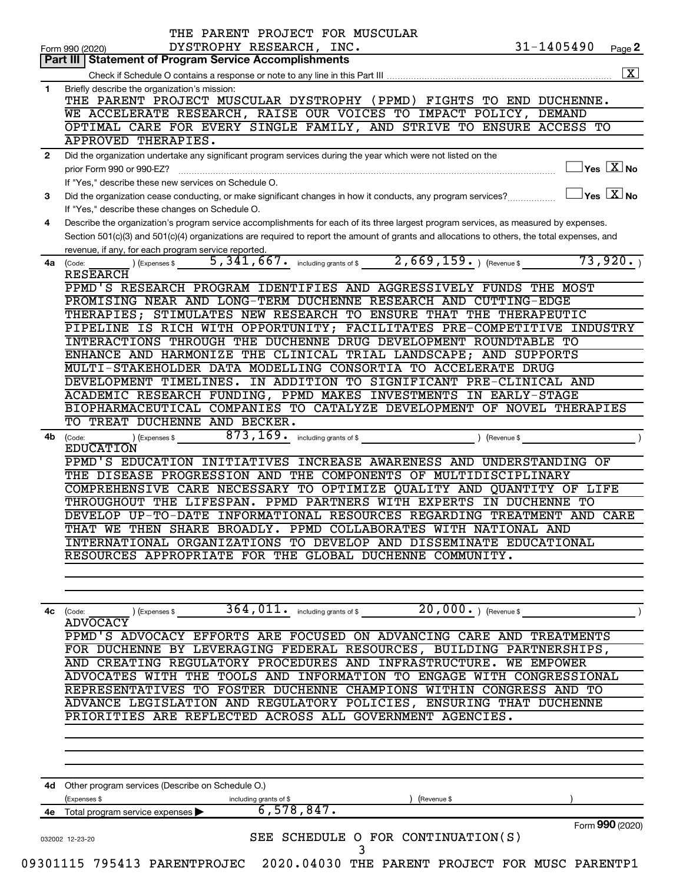|              | THE PARENT PROJECT FOR MUSCULAR<br>$31 - 1405490$<br>DYSTROPHY RESEARCH, INC.<br>Page 2<br>Form 990 (2020)                                   |
|--------------|----------------------------------------------------------------------------------------------------------------------------------------------|
|              | <b>Part III   Statement of Program Service Accomplishments</b>                                                                               |
|              | $\boxed{\text{X}}$                                                                                                                           |
| 1            | Briefly describe the organization's mission:                                                                                                 |
|              | THE PARENT PROJECT MUSCULAR DYSTROPHY (PPMD) FIGHTS TO END DUCHENNE.                                                                         |
|              | WE ACCELERATE RESEARCH, RAISE OUR VOICES TO IMPACT POLICY, DEMAND                                                                            |
|              | OPTIMAL CARE FOR EVERY SINGLE FAMILY, AND STRIVE TO ENSURE ACCESS TO                                                                         |
|              | APPROVED THERAPIES.                                                                                                                          |
| $\mathbf{2}$ | Did the organization undertake any significant program services during the year which were not listed on the                                 |
|              | $\Box$ Yes $[\overline{\mathrm{X}}]$ No<br>prior Form 990 or 990-EZ?                                                                         |
|              | If "Yes," describe these new services on Schedule O.                                                                                         |
| 3            |                                                                                                                                              |
|              | If "Yes," describe these changes on Schedule O.                                                                                              |
| 4            | Describe the organization's program service accomplishments for each of its three largest program services, as measured by expenses.         |
|              | Section 501(c)(3) and 501(c)(4) organizations are required to report the amount of grants and allocations to others, the total expenses, and |
|              | revenue, if any, for each program service reported.<br>73,920.                                                                               |
| 4a           | (Code:<br><b>RESEARCH</b>                                                                                                                    |
|              | PPMD'S RESEARCH PROGRAM IDENTIFIES AND AGGRESSIVELY FUNDS THE MOST                                                                           |
|              | PROMISING NEAR AND LONG-TERM DUCHENNE RESEARCH AND CUTTING-EDGE                                                                              |
|              | THERAPIES; STIMULATES NEW RESEARCH TO ENSURE THAT THE THERAPEUTIC                                                                            |
|              | PIPELINE IS RICH WITH OPPORTUNITY; FACILITATES PRE-COMPETITIVE INDUSTRY                                                                      |
|              | INTERACTIONS THROUGH THE DUCHENNE DRUG DEVELOPMENT ROUNDTABLE TO                                                                             |
|              | ENHANCE AND HARMONIZE THE CLINICAL TRIAL LANDSCAPE; AND SUPPORTS                                                                             |
|              | MULTI-STAKEHOLDER DATA MODELLING CONSORTIA TO ACCELERATE DRUG                                                                                |
|              | DEVELOPMENT TIMELINES. IN ADDITION TO SIGNIFICANT PRE-CLINICAL AND                                                                           |
|              | ACADEMIC RESEARCH FUNDING, PPMD MAKES INVESTMENTS IN EARLY-STAGE                                                                             |
|              | BIOPHARMACEUTICAL COMPANIES TO CATALYZE DEVELOPMENT OF NOVEL THERAPIES                                                                       |
|              | TO TREAT DUCHENNE AND BECKER.                                                                                                                |
| 4b           | 873, 169. including grants of \$<br>) (Revenue \$<br>(Expenses \$<br>(Code:                                                                  |
|              | <b>EDUCATION</b>                                                                                                                             |
|              | PPMD'S EDUCATION INITIATIVES INCREASE AWARENESS AND UNDERSTANDING OF                                                                         |
|              | THE DISEASE PROGRESSION AND THE COMPONENTS OF MULTIDISCIPLINARY                                                                              |
|              | COMPREHENSIVE CARE NECESSARY TO OPTIMIZE QUALITY AND QUANTITY OF LIFE                                                                        |
|              | THROUGHOUT THE LIFESPAN. PPMD PARTNERS WITH EXPERTS IN DUCHENNE TO                                                                           |
|              | DEVELOP UP-TO-DATE INFORMATIONAL RESOURCES REGARDING TREATMENT AND CARE                                                                      |
|              | THAT WE THEN SHARE BROADLY. PPMD COLLABORATES WITH NATIONAL AND                                                                              |
|              | INTERNATIONAL ORGANIZATIONS TO DEVELOP AND DISSEMINATE EDUCATIONAL                                                                           |
|              | RESOURCES APPROPRIATE FOR THE GLOBAL DUCHENNE COMMUNITY.                                                                                     |
|              |                                                                                                                                              |
|              |                                                                                                                                              |
|              |                                                                                                                                              |
| 4с           | $20,000.$ (Revenue \$)<br>$\overline{364}$ , $011$ onloading grants of \$<br>(Code:<br>) (Expenses \$                                        |
|              | <b>ADVOCACY</b>                                                                                                                              |
|              | PPMD'S ADVOCACY EFFORTS ARE FOCUSED ON ADVANCING CARE AND TREATMENTS                                                                         |
|              | FOR DUCHENNE BY LEVERAGING FEDERAL RESOURCES, BUILDING PARTNERSHIPS,                                                                         |
|              | AND CREATING REGULATORY PROCEDURES AND INFRASTRUCTURE. WE EMPOWER                                                                            |
|              |                                                                                                                                              |
|              |                                                                                                                                              |
|              | REPRESENTATIVES TO FOSTER DUCHENNE CHAMPIONS WITHIN CONGRESS AND TO                                                                          |
|              | ADVANCE LEGISLATION AND REGULATORY POLICIES, ENSURING THAT DUCHENNE                                                                          |
|              | ADVOCATES WITH THE TOOLS AND INFORMATION TO ENGAGE WITH CONGRESSIONAL<br>PRIORITIES ARE REFLECTED ACROSS ALL GOVERNMENT AGENCIES.            |
|              |                                                                                                                                              |
|              |                                                                                                                                              |
|              |                                                                                                                                              |
|              |                                                                                                                                              |
|              | Other program services (Describe on Schedule O.)                                                                                             |
| 4d -         | (Expenses \$<br>including grants of \$<br>(Revenue \$                                                                                        |
|              | 6,578,847.<br>4e Total program service expenses $\blacktriangleright$                                                                        |
|              | Form 990 (2020)<br>SEE SCHEDULE O FOR CONTINUATION(S)<br>032002 12-23-20                                                                     |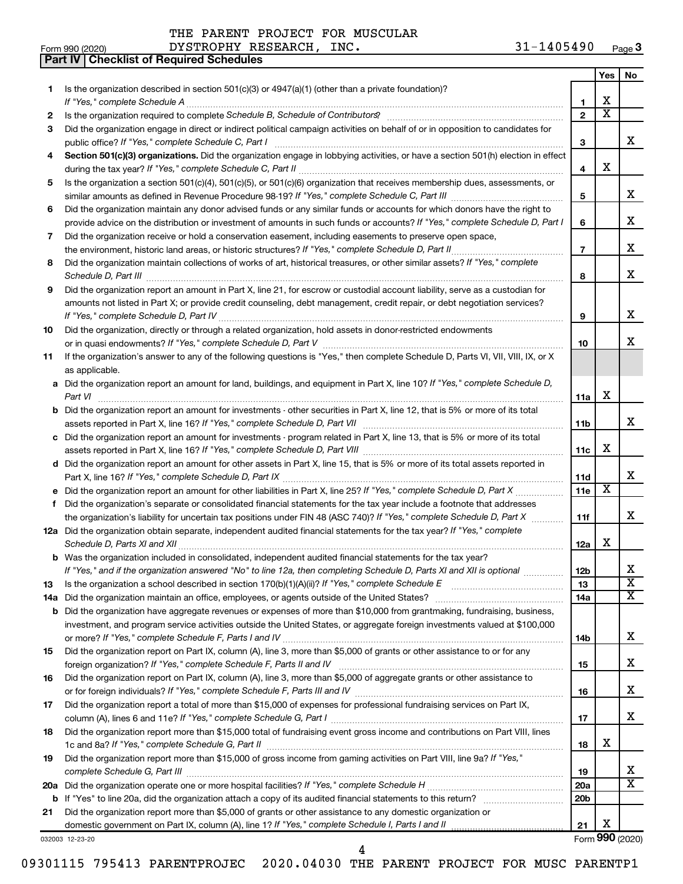**Part IV Checklist of Required Schedules**

|     |                                                                                                                                                                                                                   |                 | Yes                     | No                      |
|-----|-------------------------------------------------------------------------------------------------------------------------------------------------------------------------------------------------------------------|-----------------|-------------------------|-------------------------|
| 1   | Is the organization described in section $501(c)(3)$ or $4947(a)(1)$ (other than a private foundation)?                                                                                                           |                 |                         |                         |
|     | If "Yes," complete Schedule A                                                                                                                                                                                     | 1               | х                       |                         |
| 2   |                                                                                                                                                                                                                   | $\mathbf{2}$    | $\overline{\textbf{x}}$ |                         |
| З   | Did the organization engage in direct or indirect political campaign activities on behalf of or in opposition to candidates for                                                                                   |                 |                         |                         |
|     | public office? If "Yes," complete Schedule C, Part I                                                                                                                                                              | 3               |                         | X.                      |
| 4   | Section 501(c)(3) organizations. Did the organization engage in lobbying activities, or have a section 501(h) election in effect                                                                                  |                 |                         |                         |
|     |                                                                                                                                                                                                                   | 4               | х                       |                         |
| 5   | Is the organization a section 501(c)(4), 501(c)(5), or 501(c)(6) organization that receives membership dues, assessments, or                                                                                      |                 |                         | x                       |
|     |                                                                                                                                                                                                                   | 5               |                         |                         |
| 6   | Did the organization maintain any donor advised funds or any similar funds or accounts for which donors have the right to                                                                                         | 6               |                         | х                       |
|     | provide advice on the distribution or investment of amounts in such funds or accounts? If "Yes," complete Schedule D, Part I                                                                                      |                 |                         |                         |
| 7   | Did the organization receive or hold a conservation easement, including easements to preserve open space,<br>the environment, historic land areas, or historic structures? If "Yes," complete Schedule D, Part II | $\overline{7}$  |                         | х                       |
| 8   | Did the organization maintain collections of works of art, historical treasures, or other similar assets? If "Yes," complete                                                                                      |                 |                         |                         |
|     |                                                                                                                                                                                                                   | 8               |                         | x                       |
| 9   | Did the organization report an amount in Part X, line 21, for escrow or custodial account liability, serve as a custodian for                                                                                     |                 |                         |                         |
|     | amounts not listed in Part X; or provide credit counseling, debt management, credit repair, or debt negotiation services?                                                                                         |                 |                         |                         |
|     | If "Yes," complete Schedule D, Part IV                                                                                                                                                                            | 9               |                         | х                       |
| 10  | Did the organization, directly or through a related organization, hold assets in donor-restricted endowments                                                                                                      |                 |                         |                         |
|     |                                                                                                                                                                                                                   | 10              |                         | x.                      |
| 11  | If the organization's answer to any of the following questions is "Yes," then complete Schedule D, Parts VI, VII, VIII, IX, or X                                                                                  |                 |                         |                         |
|     | as applicable.                                                                                                                                                                                                    |                 |                         |                         |
|     | a Did the organization report an amount for land, buildings, and equipment in Part X, line 10? If "Yes," complete Schedule D,                                                                                     |                 |                         |                         |
|     | Part VI                                                                                                                                                                                                           | 11a             | x                       |                         |
|     | <b>b</b> Did the organization report an amount for investments - other securities in Part X, line 12, that is 5% or more of its total                                                                             |                 |                         |                         |
|     |                                                                                                                                                                                                                   | 11b             |                         | X.                      |
|     | c Did the organization report an amount for investments - program related in Part X, line 13, that is 5% or more of its total                                                                                     |                 |                         |                         |
|     |                                                                                                                                                                                                                   | 11c             | x                       |                         |
|     | d Did the organization report an amount for other assets in Part X, line 15, that is 5% or more of its total assets reported in                                                                                   |                 |                         |                         |
|     |                                                                                                                                                                                                                   | 11d             |                         | x                       |
|     |                                                                                                                                                                                                                   | 11e             | х                       |                         |
| f   | Did the organization's separate or consolidated financial statements for the tax year include a footnote that addresses                                                                                           |                 |                         |                         |
|     | the organization's liability for uncertain tax positions under FIN 48 (ASC 740)? If "Yes," complete Schedule D, Part X                                                                                            | 11f             |                         | x.                      |
|     | 12a Did the organization obtain separate, independent audited financial statements for the tax year? If "Yes," complete                                                                                           |                 |                         |                         |
|     | Schedule D, Parts XI and XII                                                                                                                                                                                      | 12a             | x                       |                         |
|     | b Was the organization included in consolidated, independent audited financial statements for the tax year?                                                                                                       |                 |                         | х                       |
|     | If "Yes," and if the organization answered "No" to line 12a, then completing Schedule D, Parts XI and XII is optional <i></i> .                                                                                   | 12 <sub>b</sub> |                         | $\overline{\texttt{x}}$ |
| 13  |                                                                                                                                                                                                                   | 13              |                         | X                       |
| 14a | <b>b</b> Did the organization have aggregate revenues or expenses of more than \$10,000 from grantmaking, fundraising, business,                                                                                  | 14a             |                         |                         |
|     | investment, and program service activities outside the United States, or aggregate foreign investments valued at \$100,000                                                                                        |                 |                         |                         |
|     |                                                                                                                                                                                                                   | 14b             |                         | x                       |
| 15  | Did the organization report on Part IX, column (A), line 3, more than \$5,000 of grants or other assistance to or for any                                                                                         |                 |                         |                         |
|     |                                                                                                                                                                                                                   | 15              |                         | X.                      |
| 16  | Did the organization report on Part IX, column (A), line 3, more than \$5,000 of aggregate grants or other assistance to                                                                                          |                 |                         |                         |
|     |                                                                                                                                                                                                                   | 16              |                         | X.                      |
| 17  | Did the organization report a total of more than \$15,000 of expenses for professional fundraising services on Part IX,                                                                                           |                 |                         |                         |
|     |                                                                                                                                                                                                                   | 17              |                         | x                       |
| 18  | Did the organization report more than \$15,000 total of fundraising event gross income and contributions on Part VIII, lines                                                                                      |                 |                         |                         |
|     |                                                                                                                                                                                                                   | 18              | х                       |                         |
| 19  | Did the organization report more than \$15,000 of gross income from gaming activities on Part VIII, line 9a? If "Yes,"                                                                                            |                 |                         |                         |
|     |                                                                                                                                                                                                                   | 19              |                         | X                       |
|     |                                                                                                                                                                                                                   | 20a             |                         | x                       |
|     |                                                                                                                                                                                                                   | 20 <sub>b</sub> |                         |                         |
| 21  | Did the organization report more than \$5,000 of grants or other assistance to any domestic organization or                                                                                                       |                 |                         |                         |
|     |                                                                                                                                                                                                                   | 21              | х                       |                         |
|     | 032003 12-23-20                                                                                                                                                                                                   |                 |                         | Form 990 (2020)         |

Form (2020) **990**

09301115 795413 PARENTPROJEC 2020.04030 THE PARENT PROJECT FOR MUSC PARENTP1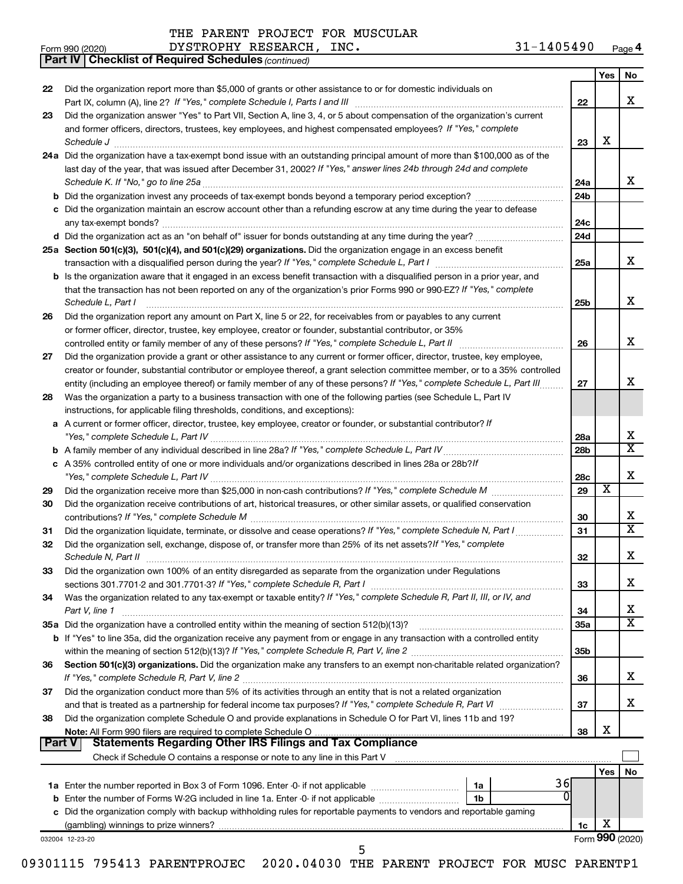*(continued)* **Part IV Checklist of Required Schedules**

THE PARENT PROJECT FOR MUSCULAR

|        |                                                                                                                                                                   |                 | Yes                     | No                      |
|--------|-------------------------------------------------------------------------------------------------------------------------------------------------------------------|-----------------|-------------------------|-------------------------|
| 22     | Did the organization report more than \$5,000 of grants or other assistance to or for domestic individuals on                                                     |                 |                         |                         |
|        |                                                                                                                                                                   | 22              |                         | х                       |
| 23     | Did the organization answer "Yes" to Part VII, Section A, line 3, 4, or 5 about compensation of the organization's current                                        |                 |                         |                         |
|        | and former officers, directors, trustees, key employees, and highest compensated employees? If "Yes," complete                                                    |                 |                         |                         |
|        | Schedule J                                                                                                                                                        | 23              | х                       |                         |
|        | 24a Did the organization have a tax-exempt bond issue with an outstanding principal amount of more than \$100,000 as of the                                       |                 |                         |                         |
|        | last day of the year, that was issued after December 31, 2002? If "Yes," answer lines 24b through 24d and complete                                                |                 |                         |                         |
|        |                                                                                                                                                                   | 24a             |                         | x                       |
|        |                                                                                                                                                                   | 24 <sub>b</sub> |                         |                         |
|        | <b>b</b> Did the organization invest any proceeds of tax-exempt bonds beyond a temporary period exception?                                                        |                 |                         |                         |
|        | c Did the organization maintain an escrow account other than a refunding escrow at any time during the year to defease                                            |                 |                         |                         |
|        | any tax-exempt bonds?                                                                                                                                             | 24c             |                         |                         |
|        |                                                                                                                                                                   | 24d             |                         |                         |
|        | 25a Section 501(c)(3), 501(c)(4), and 501(c)(29) organizations. Did the organization engage in an excess benefit                                                  |                 |                         |                         |
|        |                                                                                                                                                                   | 25a             |                         | x                       |
|        | <b>b</b> Is the organization aware that it engaged in an excess benefit transaction with a disqualified person in a prior year, and                               |                 |                         |                         |
|        | that the transaction has not been reported on any of the organization's prior Forms 990 or 990-EZ? If "Yes," complete                                             |                 |                         |                         |
|        | Schedule L, Part I                                                                                                                                                | 25b             |                         | х                       |
| 26     | Did the organization report any amount on Part X, line 5 or 22, for receivables from or payables to any current                                                   |                 |                         |                         |
|        | or former officer, director, trustee, key employee, creator or founder, substantial contributor, or 35%                                                           |                 |                         |                         |
|        | controlled entity or family member of any of these persons? If "Yes," complete Schedule L, Part II                                                                | 26              |                         | х                       |
| 27     | Did the organization provide a grant or other assistance to any current or former officer, director, trustee, key employee,                                       |                 |                         |                         |
|        | creator or founder, substantial contributor or employee thereof, a grant selection committee member, or to a 35% controlled                                       |                 |                         |                         |
|        | entity (including an employee thereof) or family member of any of these persons? If "Yes," complete Schedule L, Part III                                          | 27              |                         | х                       |
| 28     | Was the organization a party to a business transaction with one of the following parties (see Schedule L, Part IV                                                 |                 |                         |                         |
|        | instructions, for applicable filing thresholds, conditions, and exceptions):                                                                                      |                 |                         |                         |
|        | a A current or former officer, director, trustee, key employee, creator or founder, or substantial contributor? If                                                |                 |                         |                         |
|        | "Yes," complete Schedule L, Part IV                                                                                                                               | 28a             |                         | х                       |
|        |                                                                                                                                                                   | 28 <sub>b</sub> |                         | $\overline{\mathbf{X}}$ |
|        | c A 35% controlled entity of one or more individuals and/or organizations described in lines 28a or 28b?!f                                                        |                 |                         |                         |
|        |                                                                                                                                                                   | 28c             |                         | х                       |
| 29     |                                                                                                                                                                   | 29              | $\overline{\textbf{x}}$ |                         |
| 30     | Did the organization receive contributions of art, historical treasures, or other similar assets, or qualified conservation                                       |                 |                         |                         |
|        |                                                                                                                                                                   | 30              |                         | х                       |
| 31     | Did the organization liquidate, terminate, or dissolve and cease operations? If "Yes," complete Schedule N, Part I                                                | 31              |                         | $\overline{\mathbf{X}}$ |
| 32     | Did the organization sell, exchange, dispose of, or transfer more than 25% of its net assets? If "Yes," complete                                                  |                 |                         |                         |
|        |                                                                                                                                                                   | 32              |                         | х                       |
| 33     | Did the organization own 100% of an entity disregarded as separate from the organization under Regulations                                                        |                 |                         |                         |
|        | sections 301.7701-2 and 301.7701-3? If "Yes," complete Schedule R, Part I                                                                                         | 33              |                         | х                       |
| 34     | Was the organization related to any tax-exempt or taxable entity? If "Yes," complete Schedule R, Part II, III, or IV, and                                         |                 |                         |                         |
|        | Part V, line 1                                                                                                                                                    | 34              |                         | х                       |
|        | 35a Did the organization have a controlled entity within the meaning of section 512(b)(13)?                                                                       | 35a             |                         | $\overline{\text{X}}$   |
|        | b If "Yes" to line 35a, did the organization receive any payment from or engage in any transaction with a controlled entity                                       |                 |                         |                         |
|        |                                                                                                                                                                   | 35b             |                         |                         |
|        | Section 501(c)(3) organizations. Did the organization make any transfers to an exempt non-charitable related organization?                                        |                 |                         |                         |
| 36     |                                                                                                                                                                   |                 |                         | x.                      |
|        | If "Yes," complete Schedule R, Part V, line 2<br>Did the organization conduct more than 5% of its activities through an entity that is not a related organization | 36              |                         |                         |
| 37     |                                                                                                                                                                   |                 |                         | х                       |
|        |                                                                                                                                                                   | 37              |                         |                         |
| 38     | Did the organization complete Schedule O and provide explanations in Schedule O for Part VI, lines 11b and 19?                                                    |                 | х                       |                         |
| Part V | <b>Statements Regarding Other IRS Filings and Tax Compliance</b>                                                                                                  | 38              |                         |                         |
|        |                                                                                                                                                                   |                 |                         |                         |
|        | Check if Schedule O contains a response or note to any line in this Part V [11] [12] Check if Schedule O contains a response or note to any line in this Part V   |                 |                         |                         |
|        | 36                                                                                                                                                                |                 | Yes                     | No                      |
|        | 1a<br>01                                                                                                                                                          |                 |                         |                         |
|        | 1 <sub>b</sub><br><b>b</b> Enter the number of Forms W-2G included in line 1a. Enter -0- if not applicable <i>manumerane</i> of Forms                             |                 |                         |                         |
|        | c Did the organization comply with backup withholding rules for reportable payments to vendors and reportable gaming                                              |                 |                         |                         |
|        |                                                                                                                                                                   | 1c              | х                       |                         |
|        | 032004 12-23-20<br>5                                                                                                                                              |                 |                         | Form 990 (2020)         |
|        |                                                                                                                                                                   |                 |                         |                         |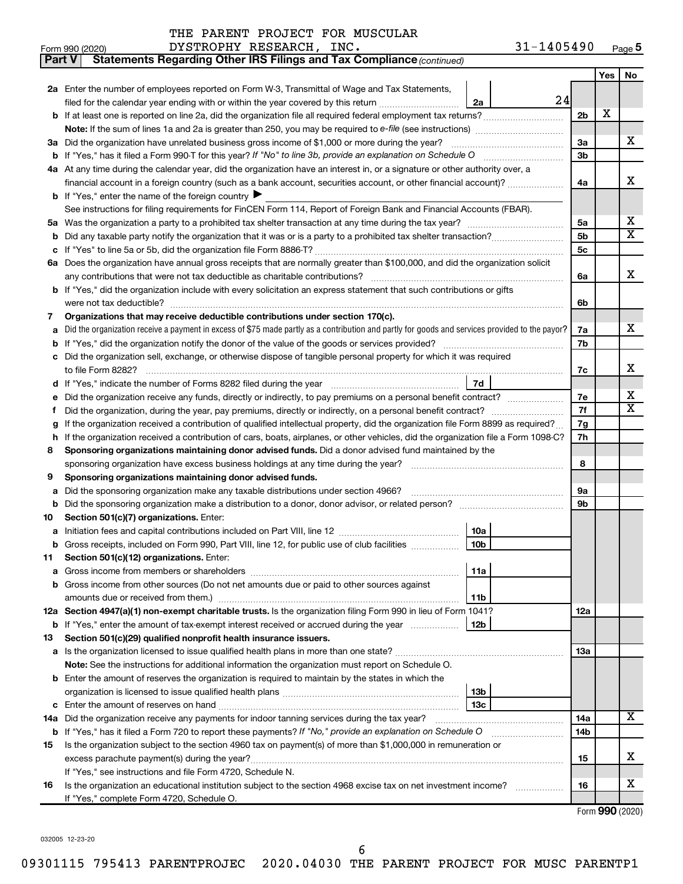|  |  |  |  | THE PARENT PROJECT FOR MUSCULAR |
|--|--|--|--|---------------------------------|
|--|--|--|--|---------------------------------|

| ∣ Part V | <b>Statements Regarding Other IRS Filings and Tax Compliance (continued)</b>                                                                                                                          |                |     |                         |  |  |  |  |  |
|----------|-------------------------------------------------------------------------------------------------------------------------------------------------------------------------------------------------------|----------------|-----|-------------------------|--|--|--|--|--|
|          |                                                                                                                                                                                                       |                | Yes | No                      |  |  |  |  |  |
|          | 2a Enter the number of employees reported on Form W-3, Transmittal of Wage and Tax Statements,                                                                                                        |                |     |                         |  |  |  |  |  |
|          | 24<br>filed for the calendar year ending with or within the year covered by this return<br>2a                                                                                                         |                |     |                         |  |  |  |  |  |
|          | b If at least one is reported on line 2a, did the organization file all required federal employment tax returns?                                                                                      | 2 <sub>b</sub> | X   |                         |  |  |  |  |  |
|          |                                                                                                                                                                                                       |                |     |                         |  |  |  |  |  |
|          | 3a Did the organization have unrelated business gross income of \$1,000 or more during the year?                                                                                                      | За             |     | х                       |  |  |  |  |  |
|          |                                                                                                                                                                                                       |                |     |                         |  |  |  |  |  |
|          | 4a At any time during the calendar year, did the organization have an interest in, or a signature or other authority over, a                                                                          |                |     |                         |  |  |  |  |  |
|          | financial account in a foreign country (such as a bank account, securities account, or other financial account)?                                                                                      | 4a             |     | x                       |  |  |  |  |  |
|          | <b>b</b> If "Yes," enter the name of the foreign country $\blacktriangleright$                                                                                                                        |                |     |                         |  |  |  |  |  |
|          | See instructions for filing requirements for FinCEN Form 114, Report of Foreign Bank and Financial Accounts (FBAR).                                                                                   |                |     |                         |  |  |  |  |  |
| 5a       |                                                                                                                                                                                                       | 5a             |     | х                       |  |  |  |  |  |
| b        |                                                                                                                                                                                                       | 5b             |     | $\overline{\mathbf{X}}$ |  |  |  |  |  |
| c        |                                                                                                                                                                                                       | 5c             |     |                         |  |  |  |  |  |
|          | 6a Does the organization have annual gross receipts that are normally greater than \$100,000, and did the organization solicit                                                                        |                |     |                         |  |  |  |  |  |
|          |                                                                                                                                                                                                       | 6a             |     | х                       |  |  |  |  |  |
|          | <b>b</b> If "Yes," did the organization include with every solicitation an express statement that such contributions or gifts                                                                         |                |     |                         |  |  |  |  |  |
|          |                                                                                                                                                                                                       | 6b             |     |                         |  |  |  |  |  |
| 7        | Organizations that may receive deductible contributions under section 170(c).                                                                                                                         |                |     |                         |  |  |  |  |  |
| a        | Did the organization receive a payment in excess of \$75 made partly as a contribution and partly for goods and services provided to the payor?                                                       | 7a             |     | х                       |  |  |  |  |  |
| b        |                                                                                                                                                                                                       | 7b             |     |                         |  |  |  |  |  |
|          | Did the organization sell, exchange, or otherwise dispose of tangible personal property for which it was required                                                                                     |                |     |                         |  |  |  |  |  |
|          |                                                                                                                                                                                                       | 7c             |     | х                       |  |  |  |  |  |
| d        | 7d                                                                                                                                                                                                    |                |     |                         |  |  |  |  |  |
| е        | Did the organization receive any funds, directly or indirectly, to pay premiums on a personal benefit contract?                                                                                       | 7e             |     | х                       |  |  |  |  |  |
| f        |                                                                                                                                                                                                       | 7f             |     | $\overline{\mathbf{X}}$ |  |  |  |  |  |
| g        | If the organization received a contribution of qualified intellectual property, did the organization file Form 8899 as required?                                                                      | 7g             |     |                         |  |  |  |  |  |
| h        | If the organization received a contribution of cars, boats, airplanes, or other vehicles, did the organization file a Form 1098-C?                                                                    | 7h             |     |                         |  |  |  |  |  |
| 8        | Sponsoring organizations maintaining donor advised funds. Did a donor advised fund maintained by the                                                                                                  |                |     |                         |  |  |  |  |  |
|          |                                                                                                                                                                                                       | 8              |     |                         |  |  |  |  |  |
| 9        | Sponsoring organizations maintaining donor advised funds.                                                                                                                                             |                |     |                         |  |  |  |  |  |
| а        | Did the sponsoring organization make any taxable distributions under section 4966?                                                                                                                    | <b>9a</b>      |     |                         |  |  |  |  |  |
| b        |                                                                                                                                                                                                       | 9b             |     |                         |  |  |  |  |  |
| 10       | Section 501(c)(7) organizations. Enter:                                                                                                                                                               |                |     |                         |  |  |  |  |  |
|          | 10a                                                                                                                                                                                                   |                |     |                         |  |  |  |  |  |
|          | 10 <sub>b</sub><br>Gross receipts, included on Form 990, Part VIII, line 12, for public use of club facilities                                                                                        |                |     |                         |  |  |  |  |  |
| 11       | Section 501(c)(12) organizations. Enter:                                                                                                                                                              |                |     |                         |  |  |  |  |  |
|          | 11a                                                                                                                                                                                                   |                |     |                         |  |  |  |  |  |
|          | Gross income from other sources (Do not net amounts due or paid to other sources against                                                                                                              |                |     |                         |  |  |  |  |  |
|          | 11b                                                                                                                                                                                                   |                |     |                         |  |  |  |  |  |
|          | 12a Section 4947(a)(1) non-exempt charitable trusts. Is the organization filing Form 990 in lieu of Form 1041?                                                                                        | 12a            |     |                         |  |  |  |  |  |
|          | 12b<br><b>b</b> If "Yes," enter the amount of tax-exempt interest received or accrued during the year                                                                                                 |                |     |                         |  |  |  |  |  |
| 13       | Section 501(c)(29) qualified nonprofit health insurance issuers.<br>Is the organization licensed to issue qualified health plans in more than one state?                                              |                |     |                         |  |  |  |  |  |
| а        |                                                                                                                                                                                                       | 1За            |     |                         |  |  |  |  |  |
| b        | Note: See the instructions for additional information the organization must report on Schedule O.<br>Enter the amount of reserves the organization is required to maintain by the states in which the |                |     |                         |  |  |  |  |  |
|          | 13b                                                                                                                                                                                                   |                |     |                         |  |  |  |  |  |
| с        | 13 <sub>c</sub>                                                                                                                                                                                       |                |     |                         |  |  |  |  |  |
| 14a      | Did the organization receive any payments for indoor tanning services during the tax year?                                                                                                            | 14a            |     | x                       |  |  |  |  |  |
|          | <b>b</b> If "Yes," has it filed a Form 720 to report these payments? If "No," provide an explanation on Schedule O                                                                                    | 14b            |     |                         |  |  |  |  |  |
| 15       | Is the organization subject to the section 4960 tax on payment(s) of more than \$1,000,000 in remuneration or                                                                                         |                |     |                         |  |  |  |  |  |
|          |                                                                                                                                                                                                       | 15             |     | х                       |  |  |  |  |  |
|          | If "Yes," see instructions and file Form 4720, Schedule N.                                                                                                                                            |                |     |                         |  |  |  |  |  |
| 16       | Is the organization an educational institution subject to the section 4968 excise tax on net investment income?                                                                                       | 16             |     | x                       |  |  |  |  |  |
|          | If "Yes," complete Form 4720, Schedule O.                                                                                                                                                             |                |     |                         |  |  |  |  |  |

Form (2020) **990**

032005 12-23-20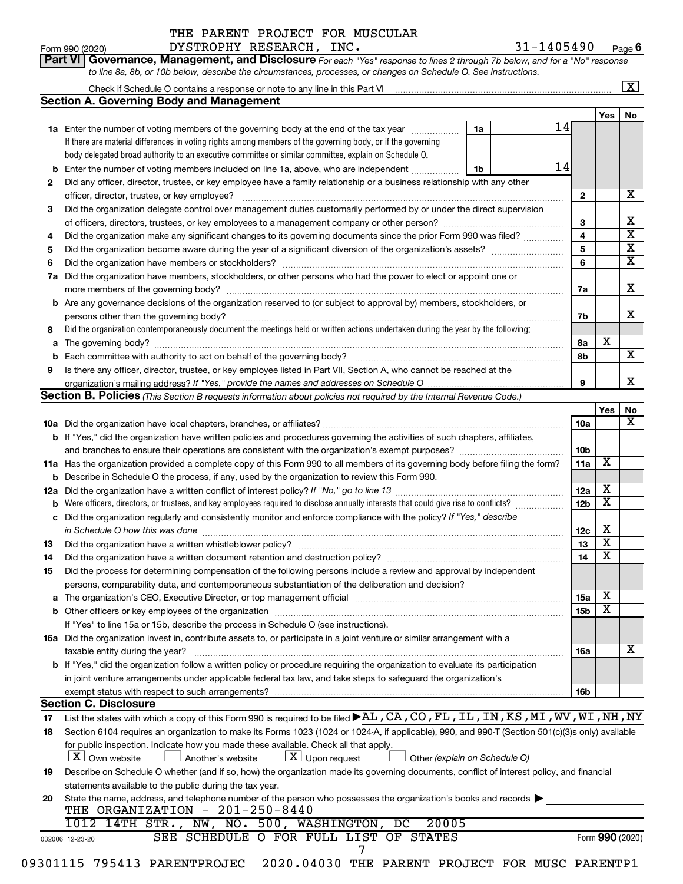Form 990 (2020)  ${\tt DYSTROPHY\_RESEARCH,\_INC.}$  31 – 140 5 4 9 0  $_{\tt Page}$ 31-1405490 Page 6

|     | Part VI Governance, Management, and Disclosure For each "Yes" response to lines 2 through 7b below, and for a "No" response<br>to line 8a, 8b, or 10b below, describe the circumstances, processes, or changes on Schedule O. See instructions. |    |    |                 |                         |                         |
|-----|-------------------------------------------------------------------------------------------------------------------------------------------------------------------------------------------------------------------------------------------------|----|----|-----------------|-------------------------|-------------------------|
|     |                                                                                                                                                                                                                                                 |    |    |                 |                         | $\boxed{\textbf{X}}$    |
|     | <b>Section A. Governing Body and Management</b>                                                                                                                                                                                                 |    |    |                 |                         |                         |
|     |                                                                                                                                                                                                                                                 |    |    |                 | Yes                     | No                      |
|     | 1a Enter the number of voting members of the governing body at the end of the tax year                                                                                                                                                          | 1a | 14 |                 |                         |                         |
|     | If there are material differences in voting rights among members of the governing body, or if the governing                                                                                                                                     |    |    |                 |                         |                         |
|     | body delegated broad authority to an executive committee or similar committee, explain on Schedule O.                                                                                                                                           |    |    |                 |                         |                         |
| b   | Enter the number of voting members included on line 1a, above, who are independent                                                                                                                                                              | 1b | 14 |                 |                         |                         |
| 2   | Did any officer, director, trustee, or key employee have a family relationship or a business relationship with any other                                                                                                                        |    |    |                 |                         |                         |
|     | officer, director, trustee, or key employee?                                                                                                                                                                                                    |    |    | $\mathbf{2}$    |                         | х                       |
| 3   | Did the organization delegate control over management duties customarily performed by or under the direct supervision                                                                                                                           |    |    |                 |                         |                         |
|     |                                                                                                                                                                                                                                                 |    |    | 3               |                         | х                       |
| 4   | Did the organization make any significant changes to its governing documents since the prior Form 990 was filed?                                                                                                                                |    |    | 4               |                         | $\overline{\mathbf{x}}$ |
| 5   |                                                                                                                                                                                                                                                 |    |    | 5               |                         | $\overline{\mathbf{X}}$ |
| 6   |                                                                                                                                                                                                                                                 |    |    | 6               |                         | $\overline{\mathbf{x}}$ |
|     | 7a Did the organization have members, stockholders, or other persons who had the power to elect or appoint one or                                                                                                                               |    |    |                 |                         |                         |
|     |                                                                                                                                                                                                                                                 |    |    | 7a              |                         | X                       |
|     | <b>b</b> Are any governance decisions of the organization reserved to (or subject to approval by) members, stockholders, or                                                                                                                     |    |    |                 |                         |                         |
|     |                                                                                                                                                                                                                                                 |    |    | 7b              |                         | x                       |
| 8   | Did the organization contemporaneously document the meetings held or written actions undertaken during the year by the following:                                                                                                               |    |    |                 |                         |                         |
| a   |                                                                                                                                                                                                                                                 |    |    | 8а              | X                       |                         |
| b   |                                                                                                                                                                                                                                                 |    |    | 8b              |                         | X                       |
| 9   | Is there any officer, director, trustee, or key employee listed in Part VII, Section A, who cannot be reached at the                                                                                                                            |    |    |                 |                         |                         |
|     |                                                                                                                                                                                                                                                 |    |    | 9               |                         | х                       |
|     | Section B. Policies (This Section B requests information about policies not required by the Internal Revenue Code.)                                                                                                                             |    |    |                 |                         |                         |
|     |                                                                                                                                                                                                                                                 |    |    |                 | Yes                     | No                      |
|     |                                                                                                                                                                                                                                                 |    |    | 10a             |                         | x                       |
|     | <b>b</b> If "Yes," did the organization have written policies and procedures governing the activities of such chapters, affiliates,                                                                                                             |    |    |                 |                         |                         |
|     | and branches to ensure their operations are consistent with the organization's exempt purposes? www.www.www.www.                                                                                                                                |    |    | 10 <sub>b</sub> |                         |                         |
|     | 11a Has the organization provided a complete copy of this Form 990 to all members of its governing body before filing the form?                                                                                                                 |    |    | 11a             | X                       |                         |
|     | <b>b</b> Describe in Schedule O the process, if any, used by the organization to review this Form 990.                                                                                                                                          |    |    |                 |                         |                         |
| 12a |                                                                                                                                                                                                                                                 |    |    | 12a             | х                       |                         |
|     | <b>b</b> Were officers, directors, or trustees, and key employees required to disclose annually interests that could give rise to conflicts?                                                                                                    |    |    | 12 <sub>b</sub> | X                       |                         |
|     | c Did the organization regularly and consistently monitor and enforce compliance with the policy? If "Yes," describe                                                                                                                            |    |    |                 |                         |                         |
|     | in Schedule O how this was done                                                                                                                                                                                                                 |    |    | 12c             | х                       |                         |
| 13  |                                                                                                                                                                                                                                                 |    |    | 13              | X                       |                         |
| 14  | Did the organization have a written document retention and destruction policy? [111] [12] manument content and the organization have a written document retention and destruction policy?                                                       |    |    | 14              | $\overline{\textbf{x}}$ |                         |
| 15  | Did the process for determining compensation of the following persons include a review and approval by independent                                                                                                                              |    |    |                 |                         |                         |
|     | persons, comparability data, and contemporaneous substantiation of the deliberation and decision?                                                                                                                                               |    |    |                 |                         |                         |
|     |                                                                                                                                                                                                                                                 |    |    | 15a             | х                       |                         |
|     |                                                                                                                                                                                                                                                 |    |    | 15b             | X                       |                         |
|     | If "Yes" to line 15a or 15b, describe the process in Schedule O (see instructions).                                                                                                                                                             |    |    |                 |                         |                         |
|     | 16a Did the organization invest in, contribute assets to, or participate in a joint venture or similar arrangement with a                                                                                                                       |    |    |                 |                         |                         |
|     | taxable entity during the year?                                                                                                                                                                                                                 |    |    | 16a             |                         | x                       |
|     | <b>b</b> If "Yes," did the organization follow a written policy or procedure requiring the organization to evaluate its participation                                                                                                           |    |    |                 |                         |                         |
|     | in joint venture arrangements under applicable federal tax law, and take steps to safeguard the organization's                                                                                                                                  |    |    |                 |                         |                         |
|     | exempt status with respect to such arrangements?                                                                                                                                                                                                |    |    | 16b             |                         |                         |
|     | <b>Section C. Disclosure</b>                                                                                                                                                                                                                    |    |    |                 |                         |                         |
| 17  | List the states with which a copy of this Form 990 is required to be filed >AL, CA, CO, FL, IL, IN, KS, MI, WV, WI, NH, NY                                                                                                                      |    |    |                 |                         |                         |
| 18  | Section 6104 requires an organization to make its Forms 1023 (1024 or 1024-A, if applicable), 990, and 990-T (Section 501(c)(3)s only) available                                                                                                |    |    |                 |                         |                         |
|     | for public inspection. Indicate how you made these available. Check all that apply.                                                                                                                                                             |    |    |                 |                         |                         |
|     | $\lfloor x \rfloor$ Upon request<br>$ \mathbf{X} $ Own website<br>Another's website<br>Other (explain on Schedule O)                                                                                                                            |    |    |                 |                         |                         |
| 19  | Describe on Schedule O whether (and if so, how) the organization made its governing documents, conflict of interest policy, and financial                                                                                                       |    |    |                 |                         |                         |
|     | statements available to the public during the tax year.                                                                                                                                                                                         |    |    |                 |                         |                         |
|     | State the name, address, and telephone number of the person who possesses the organization's books and records                                                                                                                                  |    |    |                 |                         |                         |
| 20  | THE ORGANIZATION - 201-250-8440                                                                                                                                                                                                                 |    |    |                 |                         |                         |
|     | 20005<br>1012 14TH STR., NW, NO. 500, WASHINGTON, DC                                                                                                                                                                                            |    |    |                 |                         |                         |
|     | SEE SCHEDULE O FOR FULL LIST OF STATES<br>032006 12-23-20                                                                                                                                                                                       |    |    |                 |                         | Form 990 (2020)         |
|     | 7                                                                                                                                                                                                                                               |    |    |                 |                         |                         |
|     |                                                                                                                                                                                                                                                 |    |    |                 |                         |                         |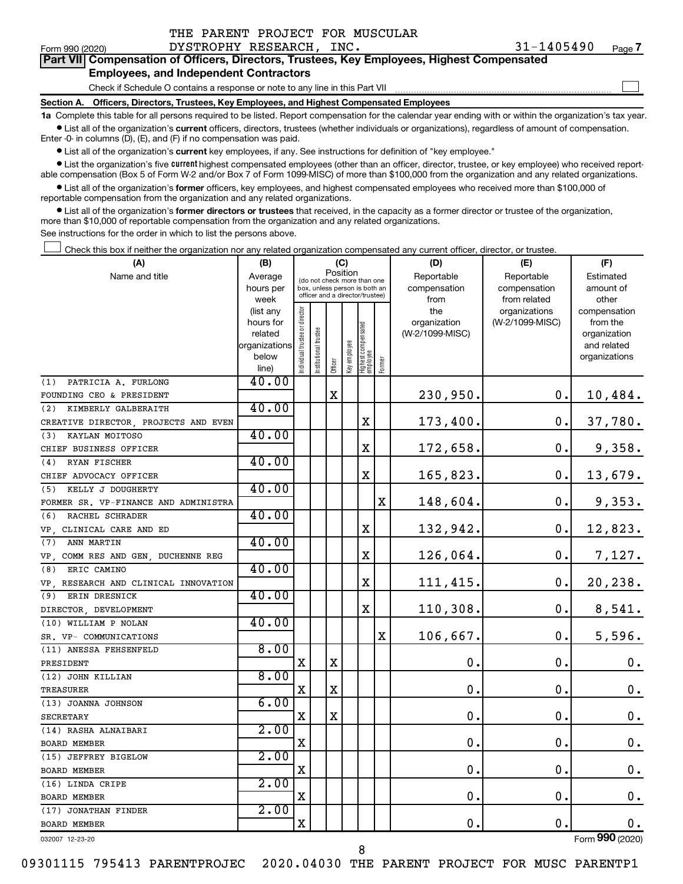| THE PARENT PROJECT FOR MUSCULAR |  |  |  |  |  |
|---------------------------------|--|--|--|--|--|
|---------------------------------|--|--|--|--|--|

 $\Box$ 

| m 990 (2020) |  |
|--------------|--|
|--------------|--|

| Part VII Compensation of Officers, Directors, Trustees, Key Employees, Highest Compensated |  |  |  |  |
|--------------------------------------------------------------------------------------------|--|--|--|--|
| <b>Employees, and Independent Contractors</b>                                              |  |  |  |  |

Check if Schedule O contains a response or note to any line in this Part VII

**Section A. Officers, Directors, Trustees, Key Employees, and Highest Compensated Employees**

**1a**  Complete this table for all persons required to be listed. Report compensation for the calendar year ending with or within the organization's tax year.  $\bullet$  List all of the organization's current officers, directors, trustees (whether individuals or organizations), regardless of amount of compensation.

Enter -0- in columns (D), (E), and (F) if no compensation was paid.

**•** List all of the organization's current key employees, if any. See instructions for definition of "key employee."

• List the organization's five *current* highest compensated employees (other than an officer, director, trustee, or key employee) who received reportable compensation (Box 5 of Form W-2 and/or Box 7 of Form 1099-MISC) of more than \$100,000 from the organization and any related organizations.

 $\bullet$  List all of the organization's former officers, key employees, and highest compensated employees who received more than \$100,000 of reportable compensation from the organization and any related organizations.

**•** List all of the organization's former directors or trustees that received, in the capacity as a former director or trustee of the organization, more than \$10,000 of reportable compensation from the organization and any related organizations.

See instructions for the order in which to list the persons above.

Check this box if neither the organization nor any related organization compensated any current officer, director, or trustee.  $\Box$ 

| (A)                                             | (B)                    | (C)                                     |                                                                  | (D)         | (E)          | (F)                               |           |                 |                                  |                          |
|-------------------------------------------------|------------------------|-----------------------------------------|------------------------------------------------------------------|-------------|--------------|-----------------------------------|-----------|-----------------|----------------------------------|--------------------------|
| Name and title                                  | Average                | Position<br>(do not check more than one |                                                                  | Reportable  | Reportable   | Estimated                         |           |                 |                                  |                          |
|                                                 | hours per              |                                         | box, unless person is both an<br>officer and a director/trustee) |             | compensation | compensation                      | amount of |                 |                                  |                          |
|                                                 | week                   |                                         |                                                                  |             |              |                                   |           | from<br>the     | from related                     | other                    |
|                                                 | (list any<br>hours for |                                         |                                                                  |             |              |                                   |           | organization    | organizations<br>(W-2/1099-MISC) | compensation<br>from the |
|                                                 | related                |                                         | trustee                                                          |             |              |                                   |           | (W-2/1099-MISC) |                                  | organization             |
|                                                 | organizations          |                                         |                                                                  |             |              |                                   |           |                 |                                  | and related              |
|                                                 | below                  | ndividual trustee or director           | Institutional t                                                  |             | Key employee |                                   |           |                 |                                  | organizations            |
|                                                 | line)                  |                                         |                                                                  | Officer     |              | Highest compensated<br>  employee | Former    |                 |                                  |                          |
| (1)<br>PATRICIA A. FURLONG                      | 40.00                  |                                         |                                                                  |             |              |                                   |           |                 |                                  |                          |
| FOUNDING CEO & PRESIDENT                        |                        |                                         |                                                                  | $\mathbf X$ |              |                                   |           | 230,950.        | 0.                               | 10,484.                  |
| (2)<br>KIMBERLY GALBERAITH                      | 40.00                  |                                         |                                                                  |             |              |                                   |           |                 |                                  |                          |
| CREATIVE DIRECTOR, PROJECTS AND EVEN            |                        |                                         |                                                                  |             |              | X                                 |           | 173,400.        | $\mathbf{0}$ .                   | 37,780.                  |
| KAYLAN MOITOSO<br>(3)                           | 40.00                  |                                         |                                                                  |             |              |                                   |           |                 |                                  |                          |
| CHIEF BUSINESS OFFICER                          |                        |                                         |                                                                  |             |              | $\mathbf X$                       |           | 172,658.        | 0.                               | 9,358.                   |
| <b>RYAN FISCHER</b><br>(4)                      | 40.00                  |                                         |                                                                  |             |              |                                   |           |                 |                                  |                          |
| CHIEF ADVOCACY OFFICER                          |                        |                                         |                                                                  |             |              | $\mathbf X$                       |           | 165,823.        | 0.                               | 13,679.                  |
| (5)<br>KELLY J DOUGHERTY                        | 40.00                  |                                         |                                                                  |             |              |                                   |           |                 |                                  |                          |
| FORMER SR. VP-FINANCE AND ADMINISTRA            |                        |                                         |                                                                  |             |              |                                   | X         | 148,604.        | 0.                               | 9,353.                   |
| RACHEL SCHRADER<br>(6)                          | 40.00                  |                                         |                                                                  |             |              |                                   |           |                 |                                  |                          |
| VP, CLINICAL CARE AND ED                        |                        |                                         |                                                                  |             |              | X                                 |           | 132,942.        | $\mathbf 0$ .                    | 12,823.                  |
| ANN MARTIN<br>(7)                               | 40.00                  |                                         |                                                                  |             |              |                                   |           |                 |                                  |                          |
| COMM RES AND GEN.<br><b>DUCHENNE REG</b><br>VP. |                        |                                         |                                                                  |             |              | $\mathbf X$                       |           | 126,064.        | 0.                               | 7,127.                   |
| ERIC CAMINO<br>(8)                              | 40.00                  |                                         |                                                                  |             |              |                                   |           |                 |                                  |                          |
| VP, RESEARCH AND CLINICAL INNOVATION            |                        |                                         |                                                                  |             |              | $\mathbf X$                       |           | 111,415.        | 0.                               | 20,238.                  |
| ERIN DRESNICK<br>(9)                            | 40.00                  |                                         |                                                                  |             |              |                                   |           |                 |                                  |                          |
| DIRECTOR, DEVELOPMENT                           |                        |                                         |                                                                  |             |              | $\rm X$                           |           | 110,308.        | 0.                               | 8,541.                   |
| (10) WILLIAM P NOLAN                            | 40.00                  |                                         |                                                                  |             |              |                                   |           |                 |                                  |                          |
| SR. VP- COMMUNICATIONS                          |                        |                                         |                                                                  |             |              |                                   | X         | 106,667.        | 0.                               | 5,596.                   |
| (11) ANESSA FEHSENFELD                          | 8.00                   |                                         |                                                                  |             |              |                                   |           |                 |                                  |                          |
| PRESIDENT                                       |                        | X                                       |                                                                  | X           |              |                                   |           | $\mathbf 0$     | $\mathbf 0$ .                    | $\boldsymbol{0}$ .       |
| (12) JOHN KILLIAN                               | 8.00                   |                                         |                                                                  |             |              |                                   |           |                 |                                  |                          |
| TREASURER                                       |                        | X                                       |                                                                  | $\mathbf X$ |              |                                   |           | $\mathbf 0$ .   | 0.                               | $\boldsymbol{0}$ .       |
| (13) JOANNA JOHNSON                             | 6.00                   |                                         |                                                                  |             |              |                                   |           |                 |                                  |                          |
| <b>SECRETARY</b>                                |                        | X                                       |                                                                  | X           |              |                                   |           | $\mathbf 0$ .   | 0.                               | $\boldsymbol{0}$ .       |
| (14) RASHA ALNAIBARI                            | 2.00                   |                                         |                                                                  |             |              |                                   |           |                 |                                  |                          |
| BOARD MEMBER                                    |                        | X                                       |                                                                  |             |              |                                   |           | $\mathbf 0$ .   | $\mathbf 0$ .                    | 0.                       |
| (15) JEFFREY BIGELOW                            | 2.00                   |                                         |                                                                  |             |              |                                   |           |                 |                                  |                          |
| <b>BOARD MEMBER</b>                             |                        | X                                       |                                                                  |             |              |                                   |           | $\mathbf 0$ .   | $\mathbf 0$                      | $\mathbf 0$ .            |
| (16) LINDA CRIPE                                | 2.00                   |                                         |                                                                  |             |              |                                   |           |                 |                                  |                          |
| BOARD MEMBER                                    |                        | X                                       |                                                                  |             |              |                                   |           | $\mathbf 0$ .   | 0.                               | $\mathbf 0$ .            |
| (17) JONATHAN FINDER                            | 2.00                   |                                         |                                                                  |             |              |                                   |           |                 |                                  |                          |
| <b>BOARD MEMBER</b>                             |                        | X                                       |                                                                  |             |              |                                   |           | $\mathbf 0$ .   | $\mathbf 0$ .                    | 0.                       |
|                                                 |                        |                                         |                                                                  |             |              |                                   |           |                 |                                  | $000$ (2000)             |

032007 12-23-20

8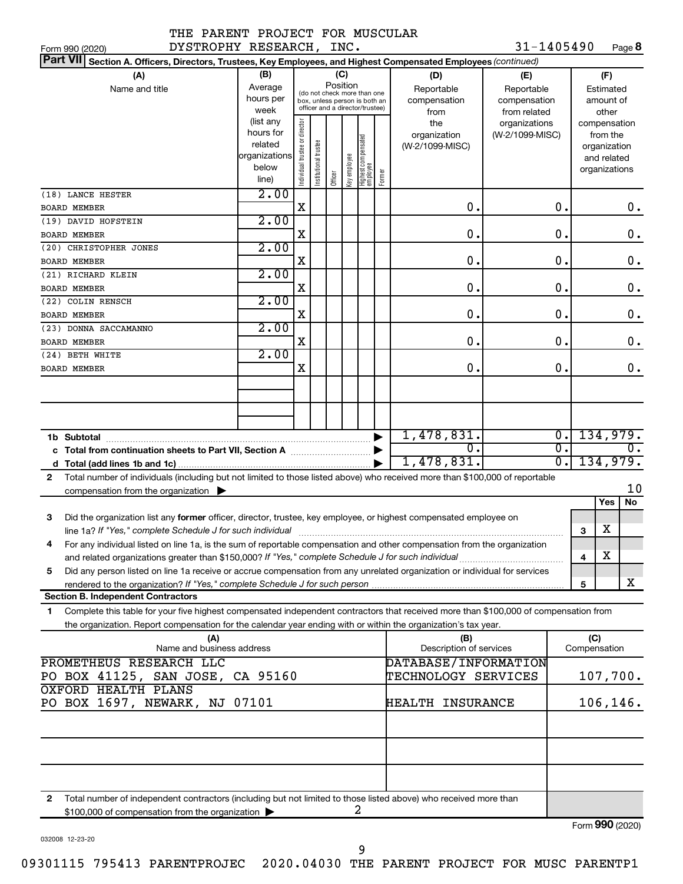| ᆠᇊ           |  | FARANI |  |
|--------------|--|--------|--|
| ------------ |  |        |  |

31-1405490 Page 8

| DYSTROPHY RESEARCH, INC.<br>31-1405490<br>Page 8<br>Form 990 (2020)                                                                                                                                                                                          |                                                                      |                                |                                                                                                                    |         |              |                                   |                       |                                                        |                                                          |                     |                                                                          |
|--------------------------------------------------------------------------------------------------------------------------------------------------------------------------------------------------------------------------------------------------------------|----------------------------------------------------------------------|--------------------------------|--------------------------------------------------------------------------------------------------------------------|---------|--------------|-----------------------------------|-----------------------|--------------------------------------------------------|----------------------------------------------------------|---------------------|--------------------------------------------------------------------------|
| <b>Part VII</b><br>Section A. Officers, Directors, Trustees, Key Employees, and Highest Compensated Employees (continued)                                                                                                                                    |                                                                      |                                |                                                                                                                    |         |              |                                   |                       |                                                        |                                                          |                     |                                                                          |
| (A)<br>Name and title                                                                                                                                                                                                                                        | (B)<br>Average<br>hours per<br>week                                  |                                | (C)<br>Position<br>(do not check more than one<br>box, unless person is both an<br>officer and a director/trustee) |         |              |                                   |                       | (D)<br>Reportable<br>compensation<br>from              | (E)<br>Reportable<br>compensation<br>from related        |                     | (F)<br>Estimated<br>amount of<br>other                                   |
|                                                                                                                                                                                                                                                              | (list any<br>hours for<br>related<br>organizations<br>below<br>line) | Individual trustee or director | nstitutional trustee                                                                                               | Officer | Key employee | Highest compensated<br>  employee | Former                | the<br>organization<br>(W-2/1099-MISC)                 | organizations<br>(W-2/1099-MISC)                         |                     | compensation<br>from the<br>organization<br>and related<br>organizations |
| (18) LANCE HESTER<br><b>BOARD MEMBER</b>                                                                                                                                                                                                                     | 2.00                                                                 | X                              |                                                                                                                    |         |              |                                   |                       | $\mathbf 0$ .                                          | 0.                                                       |                     | $0$ .                                                                    |
| (19) DAVID HOFSTEIN<br><b>BOARD MEMBER</b>                                                                                                                                                                                                                   | 2.00                                                                 | X                              |                                                                                                                    |         |              |                                   |                       | $\mathbf 0$ .                                          | 0.                                                       |                     | $0$ .                                                                    |
| (20) CHRISTOPHER JONES                                                                                                                                                                                                                                       | 2.00                                                                 |                                |                                                                                                                    |         |              |                                   |                       |                                                        |                                                          |                     |                                                                          |
| <b>BOARD MEMBER</b><br>(21) RICHARD KLEIN                                                                                                                                                                                                                    | 2.00                                                                 | X                              |                                                                                                                    |         |              |                                   |                       | $\mathbf 0$ .                                          | 0.                                                       |                     | 0.                                                                       |
| <b>BOARD MEMBER</b><br>(22) COLIN RENSCH                                                                                                                                                                                                                     | 2.00                                                                 | X                              |                                                                                                                    |         |              |                                   |                       | $\mathbf 0$ .                                          | 0.                                                       |                     | 0.                                                                       |
| <b>BOARD MEMBER</b><br>(23) DONNA SACCAMANNO                                                                                                                                                                                                                 | 2.00                                                                 | X                              |                                                                                                                    |         |              |                                   |                       | $\mathbf 0$ .                                          | 0.                                                       |                     | $0$ .                                                                    |
| <b>BOARD MEMBER</b>                                                                                                                                                                                                                                          |                                                                      | X                              |                                                                                                                    |         |              |                                   |                       | $\mathbf 0$ .                                          | 0.                                                       |                     | $0$ .                                                                    |
| (24) BETH WHITE<br><b>BOARD MEMBER</b>                                                                                                                                                                                                                       | 2.00                                                                 | X                              |                                                                                                                    |         |              |                                   |                       | 0.                                                     | 0.                                                       |                     | $0$ .                                                                    |
|                                                                                                                                                                                                                                                              |                                                                      |                                |                                                                                                                    |         |              |                                   |                       |                                                        |                                                          |                     |                                                                          |
| 1b Subtotal                                                                                                                                                                                                                                                  |                                                                      |                                |                                                                                                                    |         |              |                                   | $\blacktriangleright$ | 1,478,831.<br>σ.<br>1,478,831.                         | $\overline{0}$ .<br>$\overline{0}$ .<br>$\overline{0}$ . |                     | 134,979.<br>$\overline{0}$ .<br>134,979.                                 |
| Total number of individuals (including but not limited to those listed above) who received more than \$100,000 of reportable<br>2<br>compensation from the organization $\blacktriangleright$                                                                |                                                                      |                                |                                                                                                                    |         |              |                                   |                       |                                                        |                                                          |                     | 10                                                                       |
| 3<br>Did the organization list any former officer, director, trustee, key employee, or highest compensated employee on<br>line 1a? If "Yes," complete Schedule J for such individual manufacture content to the set of the set of the such re                |                                                                      |                                |                                                                                                                    |         |              |                                   |                       |                                                        |                                                          | 3                   | <b>Yes</b><br>No<br>х                                                    |
| For any individual listed on line 1a, is the sum of reportable compensation and other compensation from the organization<br>and related organizations greater than \$150,000? If "Yes," complete Schedule J for such individual                              |                                                                      |                                |                                                                                                                    |         |              |                                   |                       |                                                        |                                                          | 4                   | X                                                                        |
| Did any person listed on line 1a receive or accrue compensation from any unrelated organization or individual for services<br>5                                                                                                                              |                                                                      |                                |                                                                                                                    |         |              |                                   |                       |                                                        |                                                          | 5                   | X                                                                        |
| <b>Section B. Independent Contractors</b>                                                                                                                                                                                                                    |                                                                      |                                |                                                                                                                    |         |              |                                   |                       |                                                        |                                                          |                     |                                                                          |
| Complete this table for your five highest compensated independent contractors that received more than \$100,000 of compensation from<br>1.<br>the organization. Report compensation for the calendar year ending with or within the organization's tax year. |                                                                      |                                |                                                                                                                    |         |              |                                   |                       |                                                        |                                                          |                     |                                                                          |
| (A)<br>Name and business address<br>PROMETHEUS RESEARCH LLC                                                                                                                                                                                                  |                                                                      |                                |                                                                                                                    |         |              |                                   |                       | (B)<br>Description of services<br>DATABASE/INFORMATION |                                                          | (C)<br>Compensation |                                                                          |
| PO BOX 41125, SAN JOSE, CA 95160                                                                                                                                                                                                                             |                                                                      |                                |                                                                                                                    |         |              |                                   |                       | TECHNOLOGY SERVICES                                    |                                                          |                     | 107,700.                                                                 |
| OXFORD HEALTH PLANS<br>PO BOX 1697, NEWARK, NJ 07101                                                                                                                                                                                                         |                                                                      |                                |                                                                                                                    |         |              |                                   |                       | <b>HEALTH INSURANCE</b>                                |                                                          |                     | 106,146.                                                                 |
|                                                                                                                                                                                                                                                              |                                                                      |                                |                                                                                                                    |         |              |                                   |                       |                                                        |                                                          |                     |                                                                          |
| Total number of independent contractors (including but not limited to those listed above) who received more than<br>$\mathbf{2}$                                                                                                                             |                                                                      |                                |                                                                                                                    |         |              |                                   |                       |                                                        |                                                          |                     |                                                                          |
| \$100,000 of compensation from the organization                                                                                                                                                                                                              |                                                                      |                                |                                                                                                                    |         |              | 2                                 |                       |                                                        |                                                          |                     |                                                                          |

Form (2020) **990**

032008 12-23-20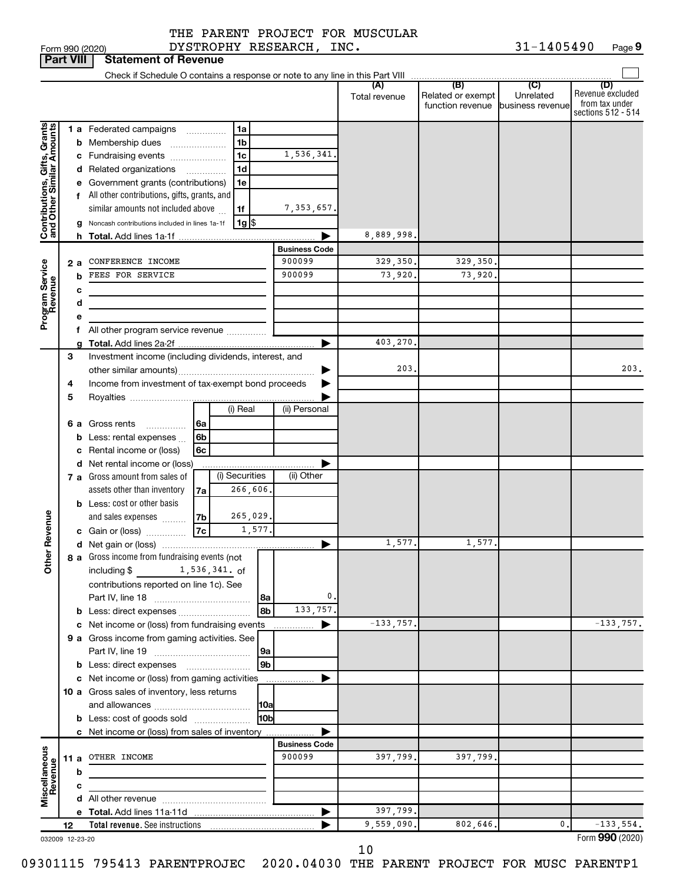| <b>Part VIII</b>                                          |    |    | <b>Statement of Revenue</b>                                         |                            |               |                                                        |           |                                                                 |
|-----------------------------------------------------------|----|----|---------------------------------------------------------------------|----------------------------|---------------|--------------------------------------------------------|-----------|-----------------------------------------------------------------|
|                                                           |    |    |                                                                     |                            |               |                                                        |           |                                                                 |
|                                                           |    |    |                                                                     |                            | Total revenue | Related or exempt<br>function revenue business revenue | Unrelated | (D)<br>Revenue excluded<br>from tax under<br>sections 512 - 514 |
|                                                           |    |    | 1 a Federated campaigns<br>1a                                       |                            |               |                                                        |           |                                                                 |
|                                                           |    |    | <b>b</b> Membership dues<br>1b                                      |                            |               |                                                        |           |                                                                 |
|                                                           |    |    | 1 <sub>c</sub><br>c Fundraising events                              | 1,536,341.                 |               |                                                        |           |                                                                 |
| Contributions, Gifts, Grants<br>and Other Similar Amounts |    |    | 1d<br>d Related organizations<br>$\overline{\phantom{a}}$           |                            |               |                                                        |           |                                                                 |
|                                                           |    |    | e Government grants (contributions)<br>1e                           |                            |               |                                                        |           |                                                                 |
|                                                           |    |    | f All other contributions, gifts, grants, and                       |                            |               |                                                        |           |                                                                 |
|                                                           |    |    | similar amounts not included above<br>1f                            | 7, 353, 657.               |               |                                                        |           |                                                                 |
|                                                           |    |    | Noncash contributions included in lines 1a-1f<br>$1g$ $\frac{1}{3}$ |                            |               |                                                        |           |                                                                 |
|                                                           |    |    |                                                                     |                            | 8,889,998.    |                                                        |           |                                                                 |
|                                                           |    |    |                                                                     | <b>Business Code</b>       |               |                                                        |           |                                                                 |
|                                                           |    | 2а | CONFERENCE INCOME                                                   | 900099                     | 329,350.      | 329,350.                                               |           |                                                                 |
| Program Service<br>Revenue                                |    | b  | FEES FOR SERVICE                                                    | 900099                     | 73,920.       | 73,920.                                                |           |                                                                 |
|                                                           |    | с  |                                                                     |                            |               |                                                        |           |                                                                 |
|                                                           |    | d  |                                                                     |                            |               |                                                        |           |                                                                 |
|                                                           |    |    |                                                                     |                            |               |                                                        |           |                                                                 |
|                                                           |    | f. | All other program service revenue                                   |                            |               |                                                        |           |                                                                 |
|                                                           |    |    |                                                                     | ▶                          | 403,270.      |                                                        |           |                                                                 |
|                                                           | 3  |    | Investment income (including dividends, interest, and               |                            |               |                                                        |           |                                                                 |
|                                                           |    |    |                                                                     |                            | 203.          |                                                        |           | 203.                                                            |
|                                                           | 4  |    | Income from investment of tax-exempt bond proceeds                  |                            |               |                                                        |           |                                                                 |
|                                                           | 5  |    | (i) Real                                                            | (ii) Personal              |               |                                                        |           |                                                                 |
|                                                           |    |    |                                                                     |                            |               |                                                        |           |                                                                 |
|                                                           |    |    | <b>6 a</b> Gross rents<br>6a<br>.                                   |                            |               |                                                        |           |                                                                 |
|                                                           |    |    | <b>b</b> Less: rental expenses<br>6b<br>6с                          |                            |               |                                                        |           |                                                                 |
|                                                           |    |    | c Rental income or (loss)<br>d Net rental income or (loss)          |                            |               |                                                        |           |                                                                 |
|                                                           |    |    | (i) Securities<br>7 a Gross amount from sales of                    | (ii) Other                 |               |                                                        |           |                                                                 |
|                                                           |    |    | 266,606.<br>assets other than inventory<br>7a                       |                            |               |                                                        |           |                                                                 |
|                                                           |    |    | <b>b</b> Less: cost or other basis                                  |                            |               |                                                        |           |                                                                 |
|                                                           |    |    | 265,029.<br>and sales expenses<br>7b                                |                            |               |                                                        |           |                                                                 |
| Revenue                                                   |    |    | 1,577.<br><b>7c</b><br>c Gain or (loss)                             |                            |               |                                                        |           |                                                                 |
|                                                           |    |    |                                                                     | ▶                          | 1,577.        | 1,577.                                                 |           |                                                                 |
|                                                           |    |    | 8 a Gross income from fundraising events (not                       |                            |               |                                                        |           |                                                                 |
| Ĕ                                                         |    |    | 1,536,341. of<br>including \$                                       |                            |               |                                                        |           |                                                                 |
|                                                           |    |    | contributions reported on line 1c). See                             |                            |               |                                                        |           |                                                                 |
|                                                           |    |    |                                                                     | 0.<br>l 8a                 |               |                                                        |           |                                                                 |
|                                                           |    |    |                                                                     | 133,757.<br>8 <sub>b</sub> |               |                                                        |           |                                                                 |
|                                                           |    |    | c Net income or (loss) from fundraising events                      | ▶                          | $-133,757.$   |                                                        |           | $-133,757.$                                                     |
|                                                           |    |    | 9 a Gross income from gaming activities. See                        |                            |               |                                                        |           |                                                                 |
|                                                           |    |    |                                                                     | 9a                         |               |                                                        |           |                                                                 |
|                                                           |    |    | <b>b</b> Less: direct expenses                                      | 9 <sub>b</sub>             |               |                                                        |           |                                                                 |
|                                                           |    |    | c Net income or (loss) from gaming activities                       | Þ                          |               |                                                        |           |                                                                 |
|                                                           |    |    | 10 a Gross sales of inventory, less returns                         |                            |               |                                                        |           |                                                                 |
|                                                           |    |    |                                                                     | 10a                        |               |                                                        |           |                                                                 |
|                                                           |    |    | <b>b</b> Less: cost of goods sold                                   | l10bl                      |               |                                                        |           |                                                                 |
|                                                           |    |    | c Net income or (loss) from sales of inventory                      |                            |               |                                                        |           |                                                                 |
|                                                           |    |    |                                                                     | <b>Business Code</b>       |               |                                                        |           |                                                                 |
|                                                           |    |    | 11 a OTHER INCOME                                                   | 900099                     | 397,799.      | 397,799.                                               |           |                                                                 |
|                                                           |    | b  |                                                                     |                            |               |                                                        |           |                                                                 |
| Miscellaneous<br>Revenue                                  |    | с  |                                                                     |                            |               |                                                        |           |                                                                 |
|                                                           |    |    |                                                                     |                            |               |                                                        |           |                                                                 |
|                                                           |    |    |                                                                     | ▶                          | 397,799.      |                                                        |           |                                                                 |
|                                                           | 12 |    |                                                                     |                            | 9,559,090.    | 802,646.                                               | 0.        | $-133,554.$<br>$Form$ 000 (2020)                                |

032009 12-23-20

Form (2020) **990**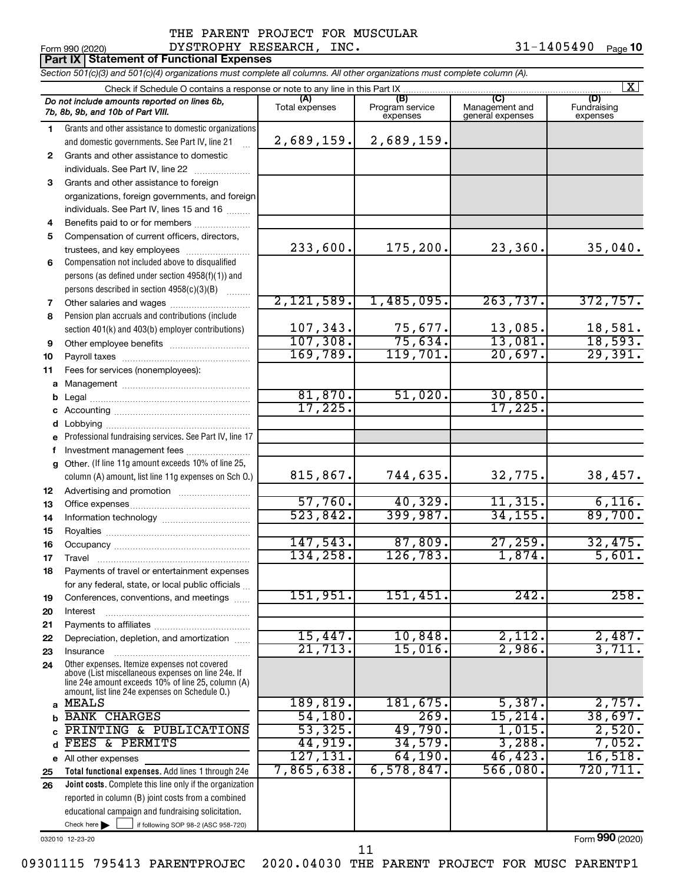|          | Form 990 (2020)                                                                                                                                          | DYSTROPHY RESEARCH, INC. |                                    |                                                      | 31-1405490<br>Page 10          |
|----------|----------------------------------------------------------------------------------------------------------------------------------------------------------|--------------------------|------------------------------------|------------------------------------------------------|--------------------------------|
|          | <b>Part IX Statement of Functional Expenses</b>                                                                                                          |                          |                                    |                                                      |                                |
|          | Section 501(c)(3) and 501(c)(4) organizations must complete all columns. All other organizations must complete column (A).                               |                          |                                    |                                                      |                                |
|          | Check if Schedule O contains a response or note to any line in this Part IX                                                                              |                          |                                    |                                                      | $\vert$ X $\vert$              |
|          | Do not include amounts reported on lines 6b,<br>7b, 8b, 9b, and 10b of Part VIII.                                                                        | (A)<br>Total expenses    | (B)<br>Program service<br>expenses | $\overline{C}$<br>Management and<br>general expenses | (D)<br>Fundraising<br>expenses |
| 1.       | Grants and other assistance to domestic organizations                                                                                                    |                          |                                    |                                                      |                                |
|          | and domestic governments. See Part IV, line 21                                                                                                           | 2,689,159.               | 2,689,159.                         |                                                      |                                |
| 2        | Grants and other assistance to domestic                                                                                                                  |                          |                                    |                                                      |                                |
|          | individuals. See Part IV, line 22                                                                                                                        |                          |                                    |                                                      |                                |
| 3        | Grants and other assistance to foreign                                                                                                                   |                          |                                    |                                                      |                                |
|          | organizations, foreign governments, and foreign                                                                                                          |                          |                                    |                                                      |                                |
|          | individuals. See Part IV, lines 15 and 16                                                                                                                |                          |                                    |                                                      |                                |
| 4        | Benefits paid to or for members                                                                                                                          |                          |                                    |                                                      |                                |
| 5        | Compensation of current officers, directors,                                                                                                             |                          |                                    |                                                      |                                |
|          | trustees, and key employees                                                                                                                              | 233,600.                 | 175, 200.                          | 23,360.                                              | 35,040.                        |
| 6        | Compensation not included above to disqualified                                                                                                          |                          |                                    |                                                      |                                |
|          | persons (as defined under section 4958(f)(1)) and                                                                                                        |                          |                                    |                                                      |                                |
|          | persons described in section 4958(c)(3)(B)                                                                                                               |                          |                                    |                                                      |                                |
| 7        |                                                                                                                                                          | 2,121,589.               | 1,485,095.                         | 263,737.                                             | 372, 757.                      |
| 8        | Pension plan accruals and contributions (include                                                                                                         |                          |                                    |                                                      |                                |
|          | section 401(k) and 403(b) employer contributions)                                                                                                        | 107,343.                 | $\frac{75,677.}{75,634.}$          | $\frac{13,085}{13,081}$                              | 18,581.                        |
| 9        | Other employee benefits                                                                                                                                  | $\frac{1}{107}$ , 308.   |                                    |                                                      | 18,593.                        |
| 10       |                                                                                                                                                          | 169,789.                 | 119,701.                           | 20,697.                                              | 29,391.                        |
| 11       | Fees for services (nonemployees):                                                                                                                        |                          |                                    |                                                      |                                |
| a        |                                                                                                                                                          |                          |                                    |                                                      |                                |
| b        |                                                                                                                                                          | 81,870.                  | 51,020.                            | 30,850.                                              |                                |
| с        |                                                                                                                                                          | 17,225.                  |                                    | 17,225.                                              |                                |
| d        |                                                                                                                                                          |                          |                                    |                                                      |                                |
|          | Professional fundraising services. See Part IV, line 17                                                                                                  |                          |                                    |                                                      |                                |
| f        | Investment management fees                                                                                                                               |                          |                                    |                                                      |                                |
| g        | Other. (If line 11g amount exceeds 10% of line 25,                                                                                                       |                          |                                    |                                                      |                                |
|          | column (A) amount, list line 11g expenses on Sch O.)                                                                                                     | 815,867.                 | 744,635.                           | 32,775.                                              | 38,457.                        |
| 12       |                                                                                                                                                          | 57,760.                  | 40,329.                            | 11,315.                                              | 6,116.                         |
| 13       |                                                                                                                                                          | 523,842.                 | 399,987.                           | 34, 155.                                             | 89,700.                        |
| 14       |                                                                                                                                                          |                          |                                    |                                                      |                                |
| 15       |                                                                                                                                                          | 147,543.                 | 87,809.                            | 27,259.                                              | 32,475.                        |
| 16       |                                                                                                                                                          | 134, 258.                | 126, 783.                          | 1,874.                                               | 5,601.                         |
| 17       | Travel                                                                                                                                                   |                          |                                    |                                                      |                                |
| 18       | Payments of travel or entertainment expenses                                                                                                             |                          |                                    |                                                      |                                |
|          | for any federal, state, or local public officials<br>Conferences, conventions, and meetings                                                              | 151,951.                 | 151,451.                           | 242.                                                 | 258.                           |
| 19<br>20 | Interest                                                                                                                                                 |                          |                                    |                                                      |                                |
| 21       |                                                                                                                                                          |                          |                                    |                                                      |                                |
| 22       | Depreciation, depletion, and amortization                                                                                                                | 15,447.                  | 10,848.                            | 2,112.                                               | 2,487.                         |
| 23       | Insurance                                                                                                                                                | 21,713.                  | 15,016.                            | 2,986.                                               | 3,711.                         |
| 24       | Other expenses. Itemize expenses not covered<br>above (List miscellaneous expenses on line 24e. If<br>line 24e amount exceeds 10% of line 25, column (A) |                          |                                    |                                                      |                                |
|          | amount, list line 24e expenses on Schedule O.)<br>MEALS                                                                                                  | 189,819.                 | 181,675.                           | 5,387.                                               | 2,757.                         |
| a        | <b>BANK CHARGES</b>                                                                                                                                      | 54, 180.                 | 269.                               | 15, 214.                                             | 38,697.                        |
| b        | PRINTING & PUBLICATIONS                                                                                                                                  | 53,325.                  | 49,790.                            | 1,015.                                               | 2,520.                         |
|          | FEES & PERMITS                                                                                                                                           | 44,919.                  | 34,579.                            | 3,288.                                               | 7,052.                         |
| d        |                                                                                                                                                          | 127, 131.                | 64, 190.                           | 46, 423.                                             | 16,518.                        |
|          | e All other expenses<br>Total functional expenses. Add lines 1 through 24e                                                                               | 7,865,638.               | 6,578,847.                         | 566,080.                                             | 720, 711.                      |
| 25       | <b>Joint costs.</b> Complete this line only if the organization                                                                                          |                          |                                    |                                                      |                                |
| 26       | reported in column (B) joint costs from a combined                                                                                                       |                          |                                    |                                                      |                                |
|          | educational campaign and fundraising solicitation.                                                                                                       |                          |                                    |                                                      |                                |
|          | Check here $\blacktriangleright$<br>if following SOP 98-2 (ASC 958-720)                                                                                  |                          |                                    |                                                      |                                |
|          |                                                                                                                                                          |                          |                                    |                                                      |                                |

032010 12-23-20

Form (2020) **990**

09301115 795413 PARENTPROJEC 2020.04030 THE PARENT PROJECT FOR MUSC PARENTP1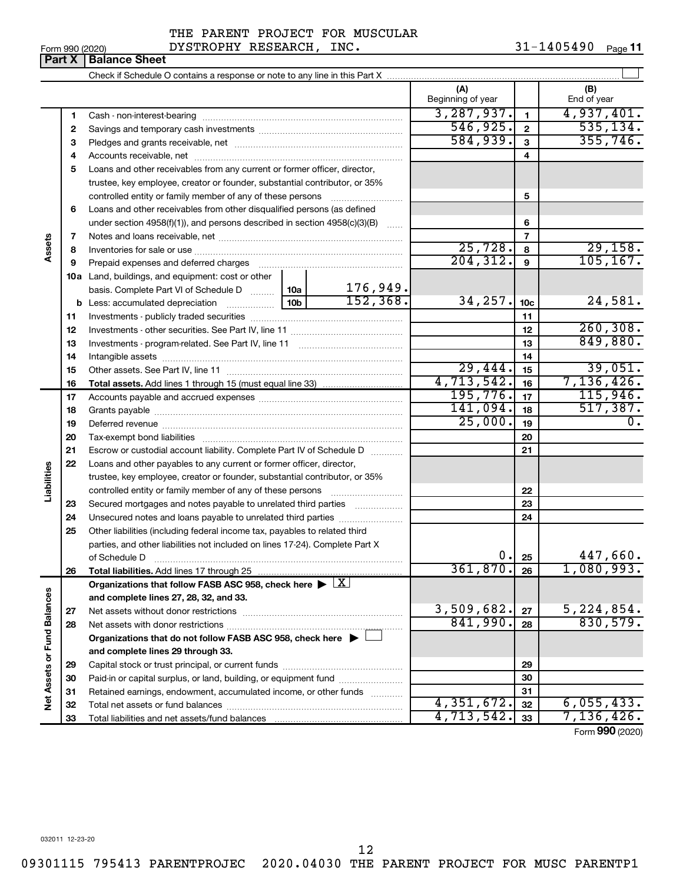| Form 990 (2020) |  |
|-----------------|--|
|-----------------|--|

|                             |        | Form 990 (2020)<br>DISTRUPHI RESEARUH, INU.                                                                                                                                                                                    |            |            |                          |                               | <b>JI-T40J470</b><br>Page 11 |
|-----------------------------|--------|--------------------------------------------------------------------------------------------------------------------------------------------------------------------------------------------------------------------------------|------------|------------|--------------------------|-------------------------------|------------------------------|
|                             | Part X | <b>Balance Sheet</b>                                                                                                                                                                                                           |            |            |                          |                               |                              |
|                             |        |                                                                                                                                                                                                                                |            |            |                          |                               |                              |
|                             |        |                                                                                                                                                                                                                                |            |            | (A)<br>Beginning of year |                               | (B)<br>End of year           |
|                             | 1      |                                                                                                                                                                                                                                |            |            | 3,287,937.               | $\mathbf{1}$                  | 4,937,401.                   |
|                             | 2      |                                                                                                                                                                                                                                |            |            | 546,925.                 | $\mathbf{2}$                  | 535, 134.                    |
|                             | 3      |                                                                                                                                                                                                                                |            |            | 584,939.                 | 3                             | 355,746.                     |
|                             | 4      |                                                                                                                                                                                                                                |            |            |                          | 4                             |                              |
|                             | 5      | Loans and other receivables from any current or former officer, director,                                                                                                                                                      |            |            |                          |                               |                              |
|                             |        | trustee, key employee, creator or founder, substantial contributor, or 35%                                                                                                                                                     |            |            |                          |                               |                              |
|                             |        | controlled entity or family member of any of these persons                                                                                                                                                                     |            |            | 5                        |                               |                              |
|                             | 6      | Loans and other receivables from other disqualified persons (as defined                                                                                                                                                        |            |            |                          |                               |                              |
|                             |        | under section 4958(f)(1)), and persons described in section 4958(c)(3)(B)                                                                                                                                                      |            | 6          |                          |                               |                              |
|                             | 7      |                                                                                                                                                                                                                                |            |            |                          | $\overline{7}$                |                              |
| Assets                      | 8      |                                                                                                                                                                                                                                |            |            | 25,728.                  | 8                             | 29,158.                      |
|                             | 9      | Prepaid expenses and deferred charges [11] [11] Prepaid expenses and deferred charges [11] [11] Martin Martin (11] (11] Martin Martin (11] Martin Martin Martin Martin Martin Martin Martin Martin Martin Martin Martin Martin |            |            | 204, 312.                | 9                             | 105, 167.                    |
|                             |        | 10a Land, buildings, and equipment: cost or other                                                                                                                                                                              |            |            |                          |                               |                              |
|                             |        | basis. Complete Part VI of Schedule D  10a                                                                                                                                                                                     |            | 176,949.   |                          |                               |                              |
|                             |        |                                                                                                                                                                                                                                |            | 152, 368.  | 34, 257.                 | 10 <sub>c</sub>               | 24,581.                      |
|                             | 11     |                                                                                                                                                                                                                                |            | 11         |                          |                               |                              |
|                             | 12     |                                                                                                                                                                                                                                |            | 12         | 260, 308.                |                               |                              |
|                             | 13     |                                                                                                                                                                                                                                |            | 13         | 849,880.                 |                               |                              |
|                             | 14     |                                                                                                                                                                                                                                |            | 14         |                          |                               |                              |
|                             | 15     |                                                                                                                                                                                                                                |            | 29,444.    | 15                       | 39,051.                       |                              |
|                             | 16     |                                                                                                                                                                                                                                | 4,713,542. | 16         | 7,136,426.               |                               |                              |
|                             | 17     |                                                                                                                                                                                                                                | 195, 776.  | 17         | 115,946.                 |                               |                              |
|                             | 18     |                                                                                                                                                                                                                                |            | 141,094.   | 18                       | 517,387.                      |                              |
|                             | 19     | Deferred revenue manual contracts and contracts are all the manual contracts and contracts are all the contracts of the contracts of the contracts of the contracts of the contracts of the contracts of the contracts of the  |            |            | 25,000.                  | 19                            | $\overline{0}$ .             |
|                             | 20     |                                                                                                                                                                                                                                |            |            |                          | 20                            |                              |
|                             | 21     | Escrow or custodial account liability. Complete Part IV of Schedule D                                                                                                                                                          |            |            |                          | 21                            |                              |
|                             | 22     | Loans and other payables to any current or former officer, director,                                                                                                                                                           |            |            |                          |                               |                              |
| Liabilities                 |        | trustee, key employee, creator or founder, substantial contributor, or 35%                                                                                                                                                     |            |            |                          |                               |                              |
|                             |        |                                                                                                                                                                                                                                |            |            |                          | 22                            |                              |
|                             | 23     | Secured mortgages and notes payable to unrelated third parties                                                                                                                                                                 |            |            |                          | 23                            |                              |
|                             | 24     | Unsecured notes and loans payable to unrelated third parties                                                                                                                                                                   |            |            |                          | 24                            |                              |
|                             | 25     | Other liabilities (including federal income tax, payables to related third                                                                                                                                                     |            |            |                          |                               |                              |
|                             |        | parties, and other liabilities not included on lines 17-24). Complete Part X                                                                                                                                                   |            |            |                          |                               |                              |
|                             |        | of Schedule D                                                                                                                                                                                                                  |            |            | $\mathbf 0$ .            | 25                            | 447,660.                     |
|                             | 26     | Total liabilities. Add lines 17 through 25                                                                                                                                                                                     |            |            | 361,870.                 | 26                            | 1,080,993.                   |
|                             |        | Organizations that follow FASB ASC 958, check here $\blacktriangleright \lfloor \underline{X} \rfloor$                                                                                                                         |            |            |                          |                               |                              |
|                             |        | and complete lines 27, 28, 32, and 33.                                                                                                                                                                                         |            |            |                          |                               |                              |
|                             | 27     | Net assets without donor restrictions                                                                                                                                                                                          |            | 3,509,682. | 27                       | $\frac{5,224,854.}{830,579.}$ |                              |
|                             | 28     |                                                                                                                                                                                                                                |            |            | 841,990.                 | 28                            |                              |
|                             |        | Organizations that do not follow FASB ASC 958, check here $\blacktriangleright$ [                                                                                                                                              |            |            |                          |                               |                              |
|                             |        | and complete lines 29 through 33.                                                                                                                                                                                              |            |            |                          |                               |                              |
|                             | 29     |                                                                                                                                                                                                                                |            |            |                          | 29                            |                              |
|                             | 30     | Paid-in or capital surplus, or land, building, or equipment fund                                                                                                                                                               |            |            |                          | 30                            |                              |
|                             | 31     | Retained earnings, endowment, accumulated income, or other funds                                                                                                                                                               |            |            |                          | 31                            |                              |
| Net Assets or Fund Balances | 32     |                                                                                                                                                                                                                                |            |            | 4,351,672.               | 32                            | 6,055,433.                   |
|                             | 33     |                                                                                                                                                                                                                                |            |            | 4,713,542.               | 33                            | 7,136,426.                   |

Form (2020) **990**

032011 12-23-20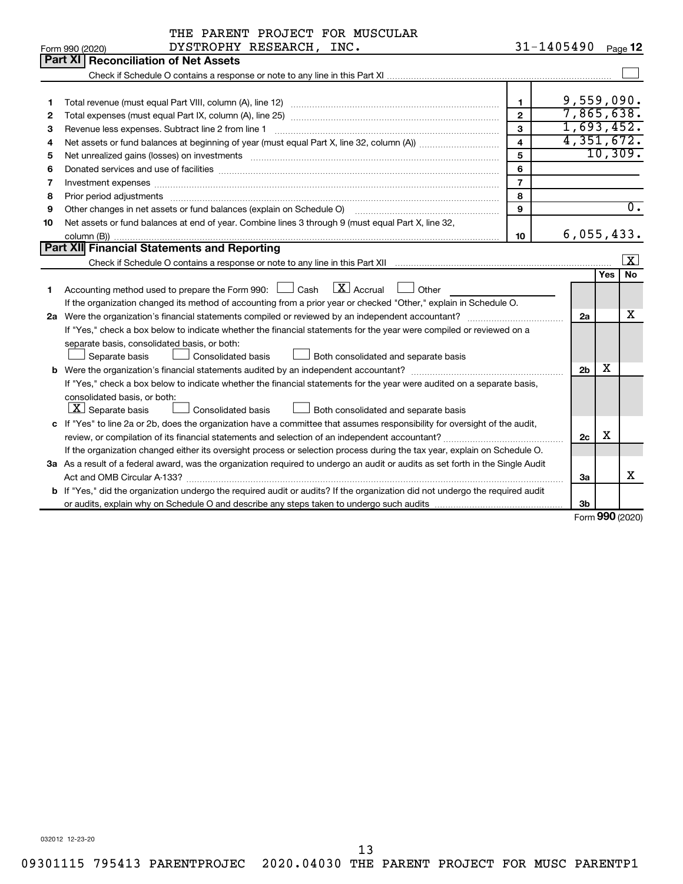| 31-1405490<br>DYSTROPHY RESEARCH, INC.<br>Page 12<br>Form 990 (2020)<br>Part XI<br><b>Reconciliation of Net Assets</b><br>9,559,090.<br>1.<br>1<br>7,865,638.<br>$\mathbf{2}$<br>2<br>1,693,452.<br>3<br>Revenue less expenses. Subtract line 2 from line 1<br>3<br>4,351,672.<br>$\overline{\mathbf{4}}$<br>4<br>10,309.<br>5<br>Net unrealized gains (losses) on investments [11] matter in the contract of the contract of the contract of the contract of the contract of the contract of the contract of the contract of the contract of the contract of th<br>5<br>6<br>6<br>$\overline{7}$<br>7<br>Investment expenses www.communication.com/www.communication.com/www.communication.com/www.com<br>8<br>Prior period adjustments www.communication.communication.communication.com/<br>8<br>$\overline{0}$ .<br>9<br>Other changes in net assets or fund balances (explain on Schedule O) manufactured controller changes in net assets or fund balances (explain on Schedule O)<br>9<br>Net assets or fund balances at end of year. Combine lines 3 through 9 (must equal Part X, line 32,<br>10<br>6,055,433.<br>10<br><b>Part XII Financial Statements and Reporting</b><br>$\overline{\mathbf{X}}$<br>No<br>Yes<br>$\boxed{\text{X}}$ Accrual<br>Accounting method used to prepare the Form 990: [130] Cash<br>Other<br>1.<br>If the organization changed its method of accounting from a prior year or checked "Other," explain in Schedule O.<br>х<br>2a<br>If "Yes," check a box below to indicate whether the financial statements for the year were compiled or reviewed on a<br>separate basis, consolidated basis, or both:<br>Both consolidated and separate basis<br>Separate basis<br>Consolidated basis<br>x<br>2 <sub>b</sub><br>If "Yes," check a box below to indicate whether the financial statements for the year were audited on a separate basis,<br>consolidated basis, or both:<br>$\lfloor x \rfloor$ Separate basis<br>Consolidated basis<br>Both consolidated and separate basis<br>c If "Yes" to line 2a or 2b, does the organization have a committee that assumes responsibility for oversight of the audit,<br>X<br>2c<br>If the organization changed either its oversight process or selection process during the tax year, explain on Schedule O.<br>3a As a result of a federal award, was the organization required to undergo an audit or audits as set forth in the Single Audit<br>х<br>За<br><b>b</b> If "Yes," did the organization undergo the required audit or audits? If the organization did not undergo the required audit<br>3b<br>Form 990 (2020) | THE PARENT PROJECT FOR MUSCULAR |  |  |
|------------------------------------------------------------------------------------------------------------------------------------------------------------------------------------------------------------------------------------------------------------------------------------------------------------------------------------------------------------------------------------------------------------------------------------------------------------------------------------------------------------------------------------------------------------------------------------------------------------------------------------------------------------------------------------------------------------------------------------------------------------------------------------------------------------------------------------------------------------------------------------------------------------------------------------------------------------------------------------------------------------------------------------------------------------------------------------------------------------------------------------------------------------------------------------------------------------------------------------------------------------------------------------------------------------------------------------------------------------------------------------------------------------------------------------------------------------------------------------------------------------------------------------------------------------------------------------------------------------------------------------------------------------------------------------------------------------------------------------------------------------------------------------------------------------------------------------------------------------------------------------------------------------------------------------------------------------------------------------------------------------------------------------------------------------------------------------------------------------------------------------------------------------------------------------------------------------------------------------------------------------------------------------------------------------------------------------------------------------------------------------------------------------------------------------------------------------------------------------------------------------------------------------------------------------------------------------------------------------|---------------------------------|--|--|
|                                                                                                                                                                                                                                                                                                                                                                                                                                                                                                                                                                                                                                                                                                                                                                                                                                                                                                                                                                                                                                                                                                                                                                                                                                                                                                                                                                                                                                                                                                                                                                                                                                                                                                                                                                                                                                                                                                                                                                                                                                                                                                                                                                                                                                                                                                                                                                                                                                                                                                                                                                                                            |                                 |  |  |
|                                                                                                                                                                                                                                                                                                                                                                                                                                                                                                                                                                                                                                                                                                                                                                                                                                                                                                                                                                                                                                                                                                                                                                                                                                                                                                                                                                                                                                                                                                                                                                                                                                                                                                                                                                                                                                                                                                                                                                                                                                                                                                                                                                                                                                                                                                                                                                                                                                                                                                                                                                                                            |                                 |  |  |
|                                                                                                                                                                                                                                                                                                                                                                                                                                                                                                                                                                                                                                                                                                                                                                                                                                                                                                                                                                                                                                                                                                                                                                                                                                                                                                                                                                                                                                                                                                                                                                                                                                                                                                                                                                                                                                                                                                                                                                                                                                                                                                                                                                                                                                                                                                                                                                                                                                                                                                                                                                                                            |                                 |  |  |
|                                                                                                                                                                                                                                                                                                                                                                                                                                                                                                                                                                                                                                                                                                                                                                                                                                                                                                                                                                                                                                                                                                                                                                                                                                                                                                                                                                                                                                                                                                                                                                                                                                                                                                                                                                                                                                                                                                                                                                                                                                                                                                                                                                                                                                                                                                                                                                                                                                                                                                                                                                                                            |                                 |  |  |
|                                                                                                                                                                                                                                                                                                                                                                                                                                                                                                                                                                                                                                                                                                                                                                                                                                                                                                                                                                                                                                                                                                                                                                                                                                                                                                                                                                                                                                                                                                                                                                                                                                                                                                                                                                                                                                                                                                                                                                                                                                                                                                                                                                                                                                                                                                                                                                                                                                                                                                                                                                                                            |                                 |  |  |
|                                                                                                                                                                                                                                                                                                                                                                                                                                                                                                                                                                                                                                                                                                                                                                                                                                                                                                                                                                                                                                                                                                                                                                                                                                                                                                                                                                                                                                                                                                                                                                                                                                                                                                                                                                                                                                                                                                                                                                                                                                                                                                                                                                                                                                                                                                                                                                                                                                                                                                                                                                                                            |                                 |  |  |
|                                                                                                                                                                                                                                                                                                                                                                                                                                                                                                                                                                                                                                                                                                                                                                                                                                                                                                                                                                                                                                                                                                                                                                                                                                                                                                                                                                                                                                                                                                                                                                                                                                                                                                                                                                                                                                                                                                                                                                                                                                                                                                                                                                                                                                                                                                                                                                                                                                                                                                                                                                                                            |                                 |  |  |
|                                                                                                                                                                                                                                                                                                                                                                                                                                                                                                                                                                                                                                                                                                                                                                                                                                                                                                                                                                                                                                                                                                                                                                                                                                                                                                                                                                                                                                                                                                                                                                                                                                                                                                                                                                                                                                                                                                                                                                                                                                                                                                                                                                                                                                                                                                                                                                                                                                                                                                                                                                                                            |                                 |  |  |
|                                                                                                                                                                                                                                                                                                                                                                                                                                                                                                                                                                                                                                                                                                                                                                                                                                                                                                                                                                                                                                                                                                                                                                                                                                                                                                                                                                                                                                                                                                                                                                                                                                                                                                                                                                                                                                                                                                                                                                                                                                                                                                                                                                                                                                                                                                                                                                                                                                                                                                                                                                                                            |                                 |  |  |
|                                                                                                                                                                                                                                                                                                                                                                                                                                                                                                                                                                                                                                                                                                                                                                                                                                                                                                                                                                                                                                                                                                                                                                                                                                                                                                                                                                                                                                                                                                                                                                                                                                                                                                                                                                                                                                                                                                                                                                                                                                                                                                                                                                                                                                                                                                                                                                                                                                                                                                                                                                                                            |                                 |  |  |
|                                                                                                                                                                                                                                                                                                                                                                                                                                                                                                                                                                                                                                                                                                                                                                                                                                                                                                                                                                                                                                                                                                                                                                                                                                                                                                                                                                                                                                                                                                                                                                                                                                                                                                                                                                                                                                                                                                                                                                                                                                                                                                                                                                                                                                                                                                                                                                                                                                                                                                                                                                                                            |                                 |  |  |
|                                                                                                                                                                                                                                                                                                                                                                                                                                                                                                                                                                                                                                                                                                                                                                                                                                                                                                                                                                                                                                                                                                                                                                                                                                                                                                                                                                                                                                                                                                                                                                                                                                                                                                                                                                                                                                                                                                                                                                                                                                                                                                                                                                                                                                                                                                                                                                                                                                                                                                                                                                                                            |                                 |  |  |
|                                                                                                                                                                                                                                                                                                                                                                                                                                                                                                                                                                                                                                                                                                                                                                                                                                                                                                                                                                                                                                                                                                                                                                                                                                                                                                                                                                                                                                                                                                                                                                                                                                                                                                                                                                                                                                                                                                                                                                                                                                                                                                                                                                                                                                                                                                                                                                                                                                                                                                                                                                                                            |                                 |  |  |
|                                                                                                                                                                                                                                                                                                                                                                                                                                                                                                                                                                                                                                                                                                                                                                                                                                                                                                                                                                                                                                                                                                                                                                                                                                                                                                                                                                                                                                                                                                                                                                                                                                                                                                                                                                                                                                                                                                                                                                                                                                                                                                                                                                                                                                                                                                                                                                                                                                                                                                                                                                                                            |                                 |  |  |
|                                                                                                                                                                                                                                                                                                                                                                                                                                                                                                                                                                                                                                                                                                                                                                                                                                                                                                                                                                                                                                                                                                                                                                                                                                                                                                                                                                                                                                                                                                                                                                                                                                                                                                                                                                                                                                                                                                                                                                                                                                                                                                                                                                                                                                                                                                                                                                                                                                                                                                                                                                                                            |                                 |  |  |
|                                                                                                                                                                                                                                                                                                                                                                                                                                                                                                                                                                                                                                                                                                                                                                                                                                                                                                                                                                                                                                                                                                                                                                                                                                                                                                                                                                                                                                                                                                                                                                                                                                                                                                                                                                                                                                                                                                                                                                                                                                                                                                                                                                                                                                                                                                                                                                                                                                                                                                                                                                                                            |                                 |  |  |
|                                                                                                                                                                                                                                                                                                                                                                                                                                                                                                                                                                                                                                                                                                                                                                                                                                                                                                                                                                                                                                                                                                                                                                                                                                                                                                                                                                                                                                                                                                                                                                                                                                                                                                                                                                                                                                                                                                                                                                                                                                                                                                                                                                                                                                                                                                                                                                                                                                                                                                                                                                                                            |                                 |  |  |
|                                                                                                                                                                                                                                                                                                                                                                                                                                                                                                                                                                                                                                                                                                                                                                                                                                                                                                                                                                                                                                                                                                                                                                                                                                                                                                                                                                                                                                                                                                                                                                                                                                                                                                                                                                                                                                                                                                                                                                                                                                                                                                                                                                                                                                                                                                                                                                                                                                                                                                                                                                                                            |                                 |  |  |
|                                                                                                                                                                                                                                                                                                                                                                                                                                                                                                                                                                                                                                                                                                                                                                                                                                                                                                                                                                                                                                                                                                                                                                                                                                                                                                                                                                                                                                                                                                                                                                                                                                                                                                                                                                                                                                                                                                                                                                                                                                                                                                                                                                                                                                                                                                                                                                                                                                                                                                                                                                                                            |                                 |  |  |
|                                                                                                                                                                                                                                                                                                                                                                                                                                                                                                                                                                                                                                                                                                                                                                                                                                                                                                                                                                                                                                                                                                                                                                                                                                                                                                                                                                                                                                                                                                                                                                                                                                                                                                                                                                                                                                                                                                                                                                                                                                                                                                                                                                                                                                                                                                                                                                                                                                                                                                                                                                                                            |                                 |  |  |
|                                                                                                                                                                                                                                                                                                                                                                                                                                                                                                                                                                                                                                                                                                                                                                                                                                                                                                                                                                                                                                                                                                                                                                                                                                                                                                                                                                                                                                                                                                                                                                                                                                                                                                                                                                                                                                                                                                                                                                                                                                                                                                                                                                                                                                                                                                                                                                                                                                                                                                                                                                                                            |                                 |  |  |
|                                                                                                                                                                                                                                                                                                                                                                                                                                                                                                                                                                                                                                                                                                                                                                                                                                                                                                                                                                                                                                                                                                                                                                                                                                                                                                                                                                                                                                                                                                                                                                                                                                                                                                                                                                                                                                                                                                                                                                                                                                                                                                                                                                                                                                                                                                                                                                                                                                                                                                                                                                                                            |                                 |  |  |
|                                                                                                                                                                                                                                                                                                                                                                                                                                                                                                                                                                                                                                                                                                                                                                                                                                                                                                                                                                                                                                                                                                                                                                                                                                                                                                                                                                                                                                                                                                                                                                                                                                                                                                                                                                                                                                                                                                                                                                                                                                                                                                                                                                                                                                                                                                                                                                                                                                                                                                                                                                                                            |                                 |  |  |
|                                                                                                                                                                                                                                                                                                                                                                                                                                                                                                                                                                                                                                                                                                                                                                                                                                                                                                                                                                                                                                                                                                                                                                                                                                                                                                                                                                                                                                                                                                                                                                                                                                                                                                                                                                                                                                                                                                                                                                                                                                                                                                                                                                                                                                                                                                                                                                                                                                                                                                                                                                                                            |                                 |  |  |
|                                                                                                                                                                                                                                                                                                                                                                                                                                                                                                                                                                                                                                                                                                                                                                                                                                                                                                                                                                                                                                                                                                                                                                                                                                                                                                                                                                                                                                                                                                                                                                                                                                                                                                                                                                                                                                                                                                                                                                                                                                                                                                                                                                                                                                                                                                                                                                                                                                                                                                                                                                                                            |                                 |  |  |
|                                                                                                                                                                                                                                                                                                                                                                                                                                                                                                                                                                                                                                                                                                                                                                                                                                                                                                                                                                                                                                                                                                                                                                                                                                                                                                                                                                                                                                                                                                                                                                                                                                                                                                                                                                                                                                                                                                                                                                                                                                                                                                                                                                                                                                                                                                                                                                                                                                                                                                                                                                                                            |                                 |  |  |
|                                                                                                                                                                                                                                                                                                                                                                                                                                                                                                                                                                                                                                                                                                                                                                                                                                                                                                                                                                                                                                                                                                                                                                                                                                                                                                                                                                                                                                                                                                                                                                                                                                                                                                                                                                                                                                                                                                                                                                                                                                                                                                                                                                                                                                                                                                                                                                                                                                                                                                                                                                                                            |                                 |  |  |
|                                                                                                                                                                                                                                                                                                                                                                                                                                                                                                                                                                                                                                                                                                                                                                                                                                                                                                                                                                                                                                                                                                                                                                                                                                                                                                                                                                                                                                                                                                                                                                                                                                                                                                                                                                                                                                                                                                                                                                                                                                                                                                                                                                                                                                                                                                                                                                                                                                                                                                                                                                                                            |                                 |  |  |
|                                                                                                                                                                                                                                                                                                                                                                                                                                                                                                                                                                                                                                                                                                                                                                                                                                                                                                                                                                                                                                                                                                                                                                                                                                                                                                                                                                                                                                                                                                                                                                                                                                                                                                                                                                                                                                                                                                                                                                                                                                                                                                                                                                                                                                                                                                                                                                                                                                                                                                                                                                                                            |                                 |  |  |
|                                                                                                                                                                                                                                                                                                                                                                                                                                                                                                                                                                                                                                                                                                                                                                                                                                                                                                                                                                                                                                                                                                                                                                                                                                                                                                                                                                                                                                                                                                                                                                                                                                                                                                                                                                                                                                                                                                                                                                                                                                                                                                                                                                                                                                                                                                                                                                                                                                                                                                                                                                                                            |                                 |  |  |
|                                                                                                                                                                                                                                                                                                                                                                                                                                                                                                                                                                                                                                                                                                                                                                                                                                                                                                                                                                                                                                                                                                                                                                                                                                                                                                                                                                                                                                                                                                                                                                                                                                                                                                                                                                                                                                                                                                                                                                                                                                                                                                                                                                                                                                                                                                                                                                                                                                                                                                                                                                                                            |                                 |  |  |
|                                                                                                                                                                                                                                                                                                                                                                                                                                                                                                                                                                                                                                                                                                                                                                                                                                                                                                                                                                                                                                                                                                                                                                                                                                                                                                                                                                                                                                                                                                                                                                                                                                                                                                                                                                                                                                                                                                                                                                                                                                                                                                                                                                                                                                                                                                                                                                                                                                                                                                                                                                                                            |                                 |  |  |
|                                                                                                                                                                                                                                                                                                                                                                                                                                                                                                                                                                                                                                                                                                                                                                                                                                                                                                                                                                                                                                                                                                                                                                                                                                                                                                                                                                                                                                                                                                                                                                                                                                                                                                                                                                                                                                                                                                                                                                                                                                                                                                                                                                                                                                                                                                                                                                                                                                                                                                                                                                                                            |                                 |  |  |
|                                                                                                                                                                                                                                                                                                                                                                                                                                                                                                                                                                                                                                                                                                                                                                                                                                                                                                                                                                                                                                                                                                                                                                                                                                                                                                                                                                                                                                                                                                                                                                                                                                                                                                                                                                                                                                                                                                                                                                                                                                                                                                                                                                                                                                                                                                                                                                                                                                                                                                                                                                                                            |                                 |  |  |
|                                                                                                                                                                                                                                                                                                                                                                                                                                                                                                                                                                                                                                                                                                                                                                                                                                                                                                                                                                                                                                                                                                                                                                                                                                                                                                                                                                                                                                                                                                                                                                                                                                                                                                                                                                                                                                                                                                                                                                                                                                                                                                                                                                                                                                                                                                                                                                                                                                                                                                                                                                                                            |                                 |  |  |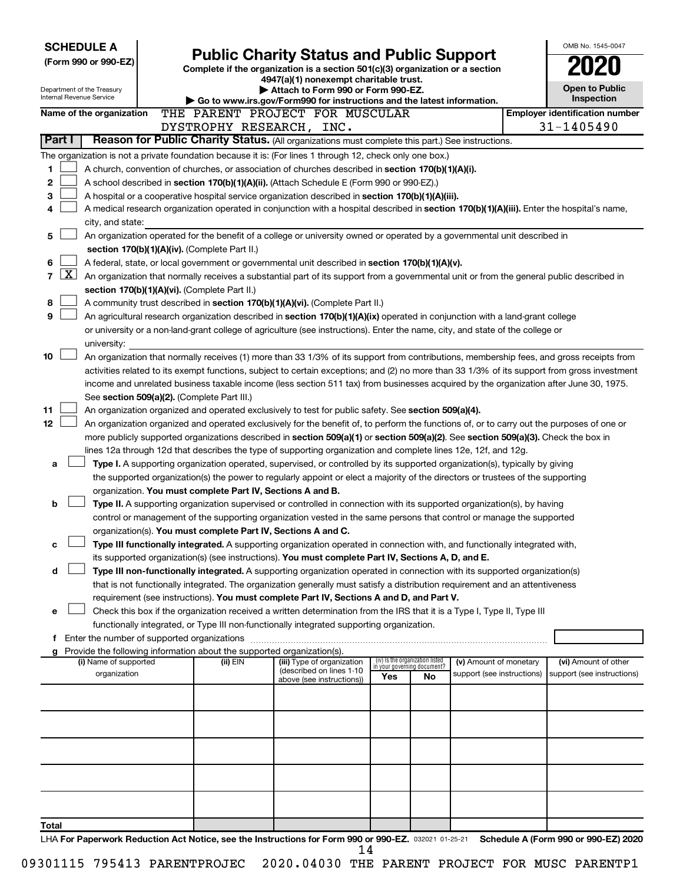| <b>SCHEDULE A</b>        |                     |                                                        |                                               |                                                                          |                                                                                                                                                                                                                      |     |                                                                |                            |  | OMB No. 1545-0047                     |
|--------------------------|---------------------|--------------------------------------------------------|-----------------------------------------------|--------------------------------------------------------------------------|----------------------------------------------------------------------------------------------------------------------------------------------------------------------------------------------------------------------|-----|----------------------------------------------------------------|----------------------------|--|---------------------------------------|
|                          |                     | (Form 990 or 990-EZ)                                   |                                               |                                                                          | <b>Public Charity Status and Public Support</b><br>Complete if the organization is a section 501(c)(3) organization or a section                                                                                     |     |                                                                |                            |  |                                       |
|                          |                     |                                                        |                                               |                                                                          | 4947(a)(1) nonexempt charitable trust.                                                                                                                                                                               |     |                                                                |                            |  |                                       |
|                          |                     | Department of the Treasury<br>Internal Revenue Service |                                               |                                                                          | Attach to Form 990 or Form 990-EZ.                                                                                                                                                                                   |     |                                                                |                            |  | <b>Open to Public</b><br>Inspection   |
|                          |                     |                                                        |                                               |                                                                          | Go to www.irs.gov/Form990 for instructions and the latest information.                                                                                                                                               |     |                                                                |                            |  | <b>Employer identification number</b> |
| Name of the organization |                     |                                                        |                                               | DYSTROPHY RESEARCH, INC.                                                 | THE PARENT PROJECT FOR MUSCULAR                                                                                                                                                                                      |     |                                                                |                            |  | 31-1405490                            |
| Part I                   |                     |                                                        |                                               |                                                                          | Reason for Public Charity Status. (All organizations must complete this part.) See instructions.                                                                                                                     |     |                                                                |                            |  |                                       |
|                          |                     |                                                        |                                               |                                                                          | The organization is not a private foundation because it is: (For lines 1 through 12, check only one box.)                                                                                                            |     |                                                                |                            |  |                                       |
| 1                        |                     |                                                        |                                               |                                                                          | A church, convention of churches, or association of churches described in section 170(b)(1)(A)(i).                                                                                                                   |     |                                                                |                            |  |                                       |
| 2                        |                     |                                                        |                                               |                                                                          | A school described in section 170(b)(1)(A)(ii). (Attach Schedule E (Form 990 or 990-EZ).)                                                                                                                            |     |                                                                |                            |  |                                       |
| 3                        |                     |                                                        |                                               |                                                                          | A hospital or a cooperative hospital service organization described in section 170(b)(1)(A)(iii).                                                                                                                    |     |                                                                |                            |  |                                       |
| 4                        |                     |                                                        |                                               |                                                                          | A medical research organization operated in conjunction with a hospital described in section 170(b)(1)(A)(iii). Enter the hospital's name,                                                                           |     |                                                                |                            |  |                                       |
|                          |                     | city, and state:                                       |                                               |                                                                          |                                                                                                                                                                                                                      |     |                                                                |                            |  |                                       |
| 5                        |                     |                                                        |                                               |                                                                          | An organization operated for the benefit of a college or university owned or operated by a governmental unit described in                                                                                            |     |                                                                |                            |  |                                       |
|                          |                     |                                                        |                                               | section 170(b)(1)(A)(iv). (Complete Part II.)                            |                                                                                                                                                                                                                      |     |                                                                |                            |  |                                       |
| 6                        | $\lfloor x \rfloor$ |                                                        |                                               |                                                                          | A federal, state, or local government or governmental unit described in section 170(b)(1)(A)(v).                                                                                                                     |     |                                                                |                            |  |                                       |
| 7                        |                     |                                                        |                                               |                                                                          | An organization that normally receives a substantial part of its support from a governmental unit or from the general public described in                                                                            |     |                                                                |                            |  |                                       |
| 8                        |                     |                                                        |                                               | section 170(b)(1)(A)(vi). (Complete Part II.)                            | A community trust described in section 170(b)(1)(A)(vi). (Complete Part II.)                                                                                                                                         |     |                                                                |                            |  |                                       |
| 9                        |                     |                                                        |                                               |                                                                          | An agricultural research organization described in section 170(b)(1)(A)(ix) operated in conjunction with a land-grant college                                                                                        |     |                                                                |                            |  |                                       |
|                          |                     |                                                        |                                               |                                                                          | or university or a non-land-grant college of agriculture (see instructions). Enter the name, city, and state of the college or                                                                                       |     |                                                                |                            |  |                                       |
|                          |                     | university:                                            |                                               |                                                                          |                                                                                                                                                                                                                      |     |                                                                |                            |  |                                       |
| 10                       |                     |                                                        |                                               |                                                                          | An organization that normally receives (1) more than 33 1/3% of its support from contributions, membership fees, and gross receipts from                                                                             |     |                                                                |                            |  |                                       |
|                          |                     |                                                        |                                               |                                                                          | activities related to its exempt functions, subject to certain exceptions; and (2) no more than 33 1/3% of its support from gross investment                                                                         |     |                                                                |                            |  |                                       |
|                          |                     |                                                        |                                               |                                                                          | income and unrelated business taxable income (less section 511 tax) from businesses acquired by the organization after June 30, 1975.                                                                                |     |                                                                |                            |  |                                       |
|                          |                     |                                                        |                                               | See section 509(a)(2). (Complete Part III.)                              |                                                                                                                                                                                                                      |     |                                                                |                            |  |                                       |
| 11                       |                     |                                                        |                                               |                                                                          | An organization organized and operated exclusively to test for public safety. See section 509(a)(4).                                                                                                                 |     |                                                                |                            |  |                                       |
| 12                       |                     |                                                        |                                               |                                                                          | An organization organized and operated exclusively for the benefit of, to perform the functions of, or to carry out the purposes of one or                                                                           |     |                                                                |                            |  |                                       |
|                          |                     |                                                        |                                               |                                                                          | more publicly supported organizations described in section 509(a)(1) or section 509(a)(2). See section 509(a)(3). Check the box in                                                                                   |     |                                                                |                            |  |                                       |
|                          |                     |                                                        |                                               |                                                                          | lines 12a through 12d that describes the type of supporting organization and complete lines 12e, 12f, and 12g.                                                                                                       |     |                                                                |                            |  |                                       |
| a                        |                     |                                                        |                                               |                                                                          | Type I. A supporting organization operated, supervised, or controlled by its supported organization(s), typically by giving                                                                                          |     |                                                                |                            |  |                                       |
|                          |                     |                                                        |                                               |                                                                          | the supported organization(s) the power to regularly appoint or elect a majority of the directors or trustees of the supporting                                                                                      |     |                                                                |                            |  |                                       |
|                          |                     |                                                        |                                               | organization. You must complete Part IV, Sections A and B.               |                                                                                                                                                                                                                      |     |                                                                |                            |  |                                       |
| b                        |                     |                                                        |                                               |                                                                          | Type II. A supporting organization supervised or controlled in connection with its supported organization(s), by having                                                                                              |     |                                                                |                            |  |                                       |
|                          |                     |                                                        |                                               |                                                                          | control or management of the supporting organization vested in the same persons that control or manage the supported                                                                                                 |     |                                                                |                            |  |                                       |
|                          |                     |                                                        |                                               | organization(s). You must complete Part IV, Sections A and C.            |                                                                                                                                                                                                                      |     |                                                                |                            |  |                                       |
| с                        |                     |                                                        |                                               |                                                                          | Type III functionally integrated. A supporting organization operated in connection with, and functionally integrated with,                                                                                           |     |                                                                |                            |  |                                       |
|                          |                     |                                                        |                                               |                                                                          | its supported organization(s) (see instructions). You must complete Part IV, Sections A, D, and E.                                                                                                                   |     |                                                                |                            |  |                                       |
| d                        |                     |                                                        |                                               |                                                                          | Type III non-functionally integrated. A supporting organization operated in connection with its supported organization(s)                                                                                            |     |                                                                |                            |  |                                       |
|                          |                     |                                                        |                                               |                                                                          | that is not functionally integrated. The organization generally must satisfy a distribution requirement and an attentiveness                                                                                         |     |                                                                |                            |  |                                       |
|                          |                     |                                                        |                                               |                                                                          | requirement (see instructions). You must complete Part IV, Sections A and D, and Part V.                                                                                                                             |     |                                                                |                            |  |                                       |
| e                        |                     |                                                        |                                               |                                                                          | Check this box if the organization received a written determination from the IRS that it is a Type I, Type II, Type III<br>functionally integrated, or Type III non-functionally integrated supporting organization. |     |                                                                |                            |  |                                       |
|                          |                     |                                                        | f Enter the number of supported organizations |                                                                          |                                                                                                                                                                                                                      |     |                                                                |                            |  |                                       |
|                          |                     |                                                        |                                               | g Provide the following information about the supported organization(s). |                                                                                                                                                                                                                      |     |                                                                |                            |  |                                       |
|                          |                     | (i) Name of supported                                  |                                               | (ii) EIN                                                                 | (iii) Type of organization                                                                                                                                                                                           |     | (iv) Is the organization listed<br>in your governing document? | (v) Amount of monetary     |  | (vi) Amount of other                  |
|                          |                     | organization                                           |                                               |                                                                          | (described on lines 1-10<br>above (see instructions))                                                                                                                                                                | Yes | No.                                                            | support (see instructions) |  | support (see instructions)            |
|                          |                     |                                                        |                                               |                                                                          |                                                                                                                                                                                                                      |     |                                                                |                            |  |                                       |
|                          |                     |                                                        |                                               |                                                                          |                                                                                                                                                                                                                      |     |                                                                |                            |  |                                       |
|                          |                     |                                                        |                                               |                                                                          |                                                                                                                                                                                                                      |     |                                                                |                            |  |                                       |
|                          |                     |                                                        |                                               |                                                                          |                                                                                                                                                                                                                      |     |                                                                |                            |  |                                       |
|                          |                     |                                                        |                                               |                                                                          |                                                                                                                                                                                                                      |     |                                                                |                            |  |                                       |
|                          |                     |                                                        |                                               |                                                                          |                                                                                                                                                                                                                      |     |                                                                |                            |  |                                       |
|                          |                     |                                                        |                                               |                                                                          |                                                                                                                                                                                                                      |     |                                                                |                            |  |                                       |
|                          |                     |                                                        |                                               |                                                                          |                                                                                                                                                                                                                      |     |                                                                |                            |  |                                       |
|                          |                     |                                                        |                                               |                                                                          |                                                                                                                                                                                                                      |     |                                                                |                            |  |                                       |
|                          |                     |                                                        |                                               |                                                                          |                                                                                                                                                                                                                      |     |                                                                |                            |  |                                       |
| Total                    |                     |                                                        |                                               |                                                                          | LHA For Paperwork Reduction Act Notice, see the Instructions for Form 990 or 990-EZ. 032021 01-25-21                                                                                                                 |     |                                                                |                            |  |                                       |
|                          |                     |                                                        |                                               |                                                                          | 14                                                                                                                                                                                                                   |     |                                                                |                            |  | Schedule A (Form 990 or 990-EZ) 2020  |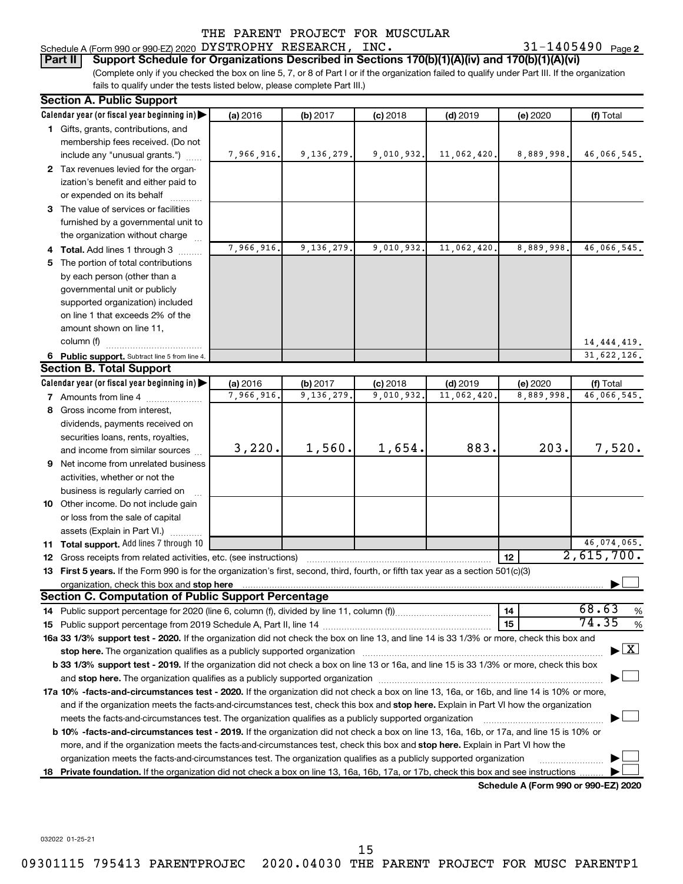### Schedule A (Form 990 or 990-EZ) 2020 DYSTROPHY RESEARCH, INC.  $31-1405490$   $_{\rm Page}$ THE PARENT PROJECT FOR MUSCULAR

31-1405490 Page 2

#### **Part II Support Schedule for Organizations Described in Sections 170(b)(1)(A)(iv) and 170(b)(1)(A)(vi)**

(Complete only if you checked the box on line 5, 7, or 8 of Part I or if the organization failed to qualify under Part III. If the organization fails to qualify under the tests listed below, please complete Part III.)

| <b>Section A. Public Support</b>                                                                                                                                                                                                    |                       |                        |                         |                          |                                      |                                    |
|-------------------------------------------------------------------------------------------------------------------------------------------------------------------------------------------------------------------------------------|-----------------------|------------------------|-------------------------|--------------------------|--------------------------------------|------------------------------------|
| Calendar year (or fiscal year beginning in)                                                                                                                                                                                         | (a) 2016              | (b) 2017               | $(c)$ 2018              | $(d)$ 2019               | (e) 2020                             | (f) Total                          |
| 1 Gifts, grants, contributions, and                                                                                                                                                                                                 |                       |                        |                         |                          |                                      |                                    |
| membership fees received. (Do not                                                                                                                                                                                                   |                       |                        |                         |                          |                                      |                                    |
| include any "unusual grants.")                                                                                                                                                                                                      | 7,966,916.            | 9,136,279.             | 9,010,932.              | 11,062,420.              | 8,889,998.                           | 46,066,545.                        |
| 2 Tax revenues levied for the organ-                                                                                                                                                                                                |                       |                        |                         |                          |                                      |                                    |
| ization's benefit and either paid to                                                                                                                                                                                                |                       |                        |                         |                          |                                      |                                    |
| or expended on its behalf                                                                                                                                                                                                           |                       |                        |                         |                          |                                      |                                    |
| 3 The value of services or facilities                                                                                                                                                                                               |                       |                        |                         |                          |                                      |                                    |
| furnished by a governmental unit to                                                                                                                                                                                                 |                       |                        |                         |                          |                                      |                                    |
| the organization without charge                                                                                                                                                                                                     |                       |                        |                         |                          |                                      |                                    |
| 4 Total. Add lines 1 through 3                                                                                                                                                                                                      | 7,966,916             | 9,136,279.             | 9,010,932.              | 11,062,420               | 8,889,998                            | 46,066,545.                        |
| 5 The portion of total contributions                                                                                                                                                                                                |                       |                        |                         |                          |                                      |                                    |
| by each person (other than a                                                                                                                                                                                                        |                       |                        |                         |                          |                                      |                                    |
| governmental unit or publicly                                                                                                                                                                                                       |                       |                        |                         |                          |                                      |                                    |
| supported organization) included                                                                                                                                                                                                    |                       |                        |                         |                          |                                      |                                    |
| on line 1 that exceeds 2% of the                                                                                                                                                                                                    |                       |                        |                         |                          |                                      |                                    |
| amount shown on line 11,                                                                                                                                                                                                            |                       |                        |                         |                          |                                      |                                    |
| column (f)                                                                                                                                                                                                                          |                       |                        |                         |                          |                                      | 14, 444, 419.                      |
|                                                                                                                                                                                                                                     |                       |                        |                         |                          |                                      | 31,622,126.                        |
| 6 Public support. Subtract line 5 from line 4.<br><b>Section B. Total Support</b>                                                                                                                                                   |                       |                        |                         |                          |                                      |                                    |
|                                                                                                                                                                                                                                     |                       |                        |                         |                          |                                      |                                    |
| Calendar year (or fiscal year beginning in)                                                                                                                                                                                         | (a) 2016<br>7,966,916 | (b) 2017<br>9,136,279. | $(c)$ 2018<br>9,010,932 | $(d)$ 2019<br>11,062,420 | (e) 2020<br>8,889,998                | (f) Total<br>46,066,545.           |
| <b>7</b> Amounts from line 4                                                                                                                                                                                                        |                       |                        |                         |                          |                                      |                                    |
| 8 Gross income from interest,                                                                                                                                                                                                       |                       |                        |                         |                          |                                      |                                    |
| dividends, payments received on                                                                                                                                                                                                     |                       |                        |                         |                          |                                      |                                    |
| securities loans, rents, royalties,                                                                                                                                                                                                 |                       |                        |                         |                          |                                      |                                    |
| and income from similar sources                                                                                                                                                                                                     | 3,220.                | 1,560.                 | 1,654.                  | 883.                     | 203.                                 | 7,520.                             |
| <b>9</b> Net income from unrelated business                                                                                                                                                                                         |                       |                        |                         |                          |                                      |                                    |
| activities, whether or not the                                                                                                                                                                                                      |                       |                        |                         |                          |                                      |                                    |
| business is regularly carried on                                                                                                                                                                                                    |                       |                        |                         |                          |                                      |                                    |
| 10 Other income. Do not include gain                                                                                                                                                                                                |                       |                        |                         |                          |                                      |                                    |
| or loss from the sale of capital                                                                                                                                                                                                    |                       |                        |                         |                          |                                      |                                    |
| assets (Explain in Part VI.)                                                                                                                                                                                                        |                       |                        |                         |                          |                                      |                                    |
| 11 Total support. Add lines 7 through 10                                                                                                                                                                                            |                       |                        |                         |                          |                                      | 46,074,065.                        |
| <b>12</b> Gross receipts from related activities, etc. (see instructions)                                                                                                                                                           |                       |                        |                         |                          | 12                                   | 2,615,700.                         |
| 13 First 5 years. If the Form 990 is for the organization's first, second, third, fourth, or fifth tax year as a section 501(c)(3)                                                                                                  |                       |                        |                         |                          |                                      |                                    |
| organization, check this box and stop here <b>construction and construction</b> construction of the state of the state of the state of the state of the state of the state of the state of the state of the state of the state of t |                       |                        |                         |                          |                                      |                                    |
| <b>Section C. Computation of Public Support Percentage</b>                                                                                                                                                                          |                       |                        |                         |                          |                                      |                                    |
|                                                                                                                                                                                                                                     |                       |                        |                         |                          | 14                                   | 68.63<br>%                         |
|                                                                                                                                                                                                                                     |                       |                        |                         |                          | 15                                   | 74.35<br>%                         |
| 16a 33 1/3% support test - 2020. If the organization did not check the box on line 13, and line 14 is 33 1/3% or more, check this box and                                                                                           |                       |                        |                         |                          |                                      |                                    |
|                                                                                                                                                                                                                                     |                       |                        |                         |                          |                                      | $\blacktriangleright$ $\mathbf{X}$ |
| b 33 1/3% support test - 2019. If the organization did not check a box on line 13 or 16a, and line 15 is 33 1/3% or more, check this box                                                                                            |                       |                        |                         |                          |                                      |                                    |
|                                                                                                                                                                                                                                     |                       |                        |                         |                          |                                      |                                    |
| 17a 10% -facts-and-circumstances test - 2020. If the organization did not check a box on line 13, 16a, or 16b, and line 14 is 10% or more,                                                                                          |                       |                        |                         |                          |                                      |                                    |
| and if the organization meets the facts-and-circumstances test, check this box and stop here. Explain in Part VI how the organization                                                                                               |                       |                        |                         |                          |                                      |                                    |
| meets the facts-and-circumstances test. The organization qualifies as a publicly supported organization                                                                                                                             |                       |                        |                         |                          |                                      |                                    |
| <b>b 10%</b> -facts-and-circumstances test - 2019. If the organization did not check a box on line 13, 16a, 16b, or 17a, and line 15 is 10% or                                                                                      |                       |                        |                         |                          |                                      |                                    |
| more, and if the organization meets the facts-and-circumstances test, check this box and stop here. Explain in Part VI how the                                                                                                      |                       |                        |                         |                          |                                      |                                    |
| organization meets the facts-and-circumstances test. The organization qualifies as a publicly supported organization                                                                                                                |                       |                        |                         |                          |                                      |                                    |
| 18 Private foundation. If the organization did not check a box on line 13, 16a, 16b, 17a, or 17b, check this box and see instructions                                                                                               |                       |                        |                         |                          |                                      |                                    |
|                                                                                                                                                                                                                                     |                       |                        |                         |                          | Schodule A (Form 000 or 000 F7) 2020 |                                    |

**Schedule A (Form 990 or 990-EZ) 2020**

032022 01-25-21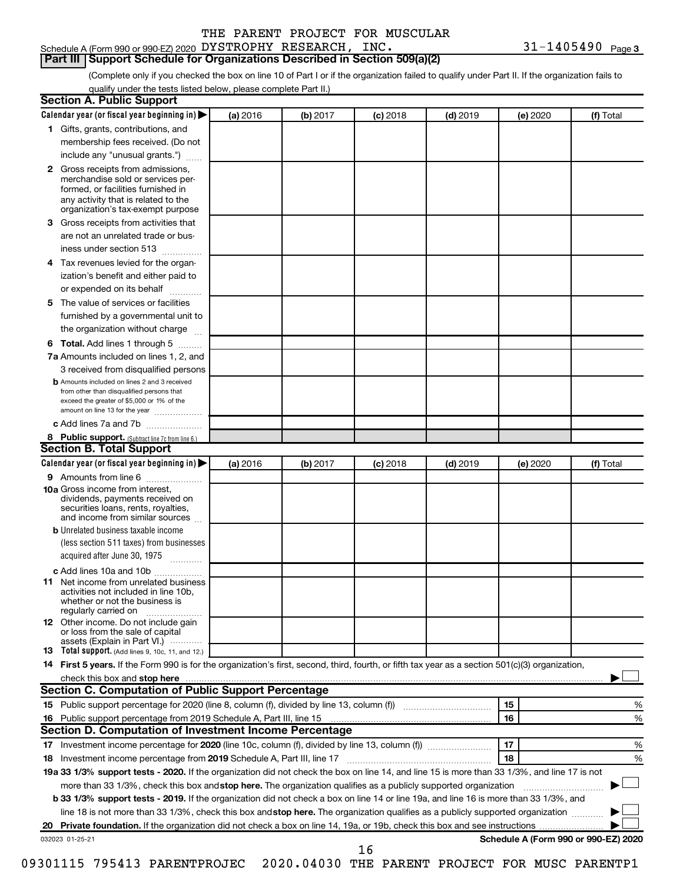#### Schedule A (Form 990 or 990-EZ) 2020 DYSTROPHY RESEARCH, INC.  $31-1405490$   $_{\rm Page}$ **Part III Support Schedule for Organizations Described in Section 509(a)(2)**

(Complete only if you checked the box on line 10 of Part I or if the organization failed to qualify under Part II. If the organization fails to qualify under the tests listed below, please complete Part II.)

|   | <b>Section A. Public Support</b>                                                                                                                                                                                                                                         |                 |          |          |            |          |                                      |
|---|--------------------------------------------------------------------------------------------------------------------------------------------------------------------------------------------------------------------------------------------------------------------------|-----------------|----------|----------|------------|----------|--------------------------------------|
|   | Calendar year (or fiscal year beginning in)                                                                                                                                                                                                                              | <b>(a)</b> 2016 | (b) 2017 | (c) 2018 | $(d)$ 2019 | (e) 2020 | (f) Total                            |
|   | 1 Gifts, grants, contributions, and                                                                                                                                                                                                                                      |                 |          |          |            |          |                                      |
|   | membership fees received. (Do not                                                                                                                                                                                                                                        |                 |          |          |            |          |                                      |
|   | include any "unusual grants.")                                                                                                                                                                                                                                           |                 |          |          |            |          |                                      |
|   | <b>2</b> Gross receipts from admissions,<br>merchandise sold or services per-<br>formed, or facilities furnished in                                                                                                                                                      |                 |          |          |            |          |                                      |
|   | any activity that is related to the<br>organization's tax-exempt purpose                                                                                                                                                                                                 |                 |          |          |            |          |                                      |
| 3 | Gross receipts from activities that                                                                                                                                                                                                                                      |                 |          |          |            |          |                                      |
|   | are not an unrelated trade or bus-                                                                                                                                                                                                                                       |                 |          |          |            |          |                                      |
|   | iness under section 513                                                                                                                                                                                                                                                  |                 |          |          |            |          |                                      |
|   | 4 Tax revenues levied for the organ-                                                                                                                                                                                                                                     |                 |          |          |            |          |                                      |
|   | ization's benefit and either paid to<br>or expended on its behalf                                                                                                                                                                                                        |                 |          |          |            |          |                                      |
|   | 5 The value of services or facilities                                                                                                                                                                                                                                    |                 |          |          |            |          |                                      |
|   | furnished by a governmental unit to                                                                                                                                                                                                                                      |                 |          |          |            |          |                                      |
|   | the organization without charge                                                                                                                                                                                                                                          |                 |          |          |            |          |                                      |
|   | 6 Total. Add lines 1 through 5                                                                                                                                                                                                                                           |                 |          |          |            |          |                                      |
|   | 7a Amounts included on lines 1, 2, and                                                                                                                                                                                                                                   |                 |          |          |            |          |                                      |
|   | 3 received from disqualified persons                                                                                                                                                                                                                                     |                 |          |          |            |          |                                      |
|   | <b>b</b> Amounts included on lines 2 and 3 received<br>from other than disqualified persons that<br>exceed the greater of \$5,000 or 1% of the                                                                                                                           |                 |          |          |            |          |                                      |
|   | amount on line 13 for the year                                                                                                                                                                                                                                           |                 |          |          |            |          |                                      |
|   | c Add lines 7a and 7b                                                                                                                                                                                                                                                    |                 |          |          |            |          |                                      |
|   | 8 Public support. (Subtract line 7c from line 6.)                                                                                                                                                                                                                        |                 |          |          |            |          |                                      |
|   | <b>Section B. Total Support</b>                                                                                                                                                                                                                                          |                 |          |          |            |          |                                      |
|   | Calendar year (or fiscal year beginning in)                                                                                                                                                                                                                              | (a) 2016        | (b) 2017 | (c) 2018 | $(d)$ 2019 | (e) 2020 | (f) Total                            |
|   | 9 Amounts from line 6                                                                                                                                                                                                                                                    |                 |          |          |            |          |                                      |
|   | <b>10a</b> Gross income from interest,<br>dividends, payments received on<br>securities loans, rents, royalties,<br>and income from similar sources                                                                                                                      |                 |          |          |            |          |                                      |
|   | <b>b</b> Unrelated business taxable income                                                                                                                                                                                                                               |                 |          |          |            |          |                                      |
|   | (less section 511 taxes) from businesses                                                                                                                                                                                                                                 |                 |          |          |            |          |                                      |
|   | acquired after June 30, 1975                                                                                                                                                                                                                                             |                 |          |          |            |          |                                      |
|   | c Add lines 10a and 10b                                                                                                                                                                                                                                                  |                 |          |          |            |          |                                      |
|   | <b>11</b> Net income from unrelated business<br>activities not included in line 10b,<br>whether or not the business is<br>regularly carried on                                                                                                                           |                 |          |          |            |          |                                      |
|   | 12 Other income. Do not include gain<br>or loss from the sale of capital                                                                                                                                                                                                 |                 |          |          |            |          |                                      |
|   | assets (Explain in Part VI.)                                                                                                                                                                                                                                             |                 |          |          |            |          |                                      |
|   | 13 Total support. (Add lines 9, 10c, 11, and 12.)<br>14 First 5 years. If the Form 990 is for the organization's first, second, third, fourth, or fifth tax year as a section 501(c)(3) organization,                                                                    |                 |          |          |            |          |                                      |
|   |                                                                                                                                                                                                                                                                          |                 |          |          |            |          |                                      |
|   | check this box and stop here<br>Section C. Computation of Public Support Percentage                                                                                                                                                                                      |                 |          |          |            |          |                                      |
|   | 15 Public support percentage for 2020 (line 8, column (f), divided by line 13, column (f) <i></i>                                                                                                                                                                        |                 |          |          |            | 15       | %                                    |
|   |                                                                                                                                                                                                                                                                          |                 |          |          |            | 16       | %                                    |
|   | 16 Public support percentage from 2019 Schedule A, Part III, line 15<br>Section D. Computation of Investment Income Percentage                                                                                                                                           |                 |          |          |            |          |                                      |
|   |                                                                                                                                                                                                                                                                          |                 |          |          |            | 17       | %                                    |
|   |                                                                                                                                                                                                                                                                          |                 |          |          |            | 18       | %                                    |
|   | 18 Investment income percentage from 2019 Schedule A, Part III, line 17<br>19a 33 1/3% support tests - 2020. If the organization did not check the box on line 14, and line 15 is more than 33 1/3%, and line 17 is not                                                  |                 |          |          |            |          |                                      |
|   | more than 33 1/3%, check this box and stop here. The organization qualifies as a publicly supported organization                                                                                                                                                         |                 |          |          |            |          |                                      |
|   |                                                                                                                                                                                                                                                                          |                 |          |          |            |          |                                      |
|   | b 33 1/3% support tests - 2019. If the organization did not check a box on line 14 or line 19a, and line 16 is more than 33 1/3%, and<br>line 18 is not more than 33 1/3%, check this box and stop here. The organization qualifies as a publicly supported organization |                 |          |          |            |          |                                      |
|   | 20 Private foundation. If the organization did not check a box on line 14, 19a, or 19b, check this box and see instructions                                                                                                                                              |                 |          |          |            |          |                                      |
|   | 032023 01-25-21                                                                                                                                                                                                                                                          |                 |          |          |            |          | Schedule A (Form 990 or 990-EZ) 2020 |
|   |                                                                                                                                                                                                                                                                          |                 |          | 16       |            |          |                                      |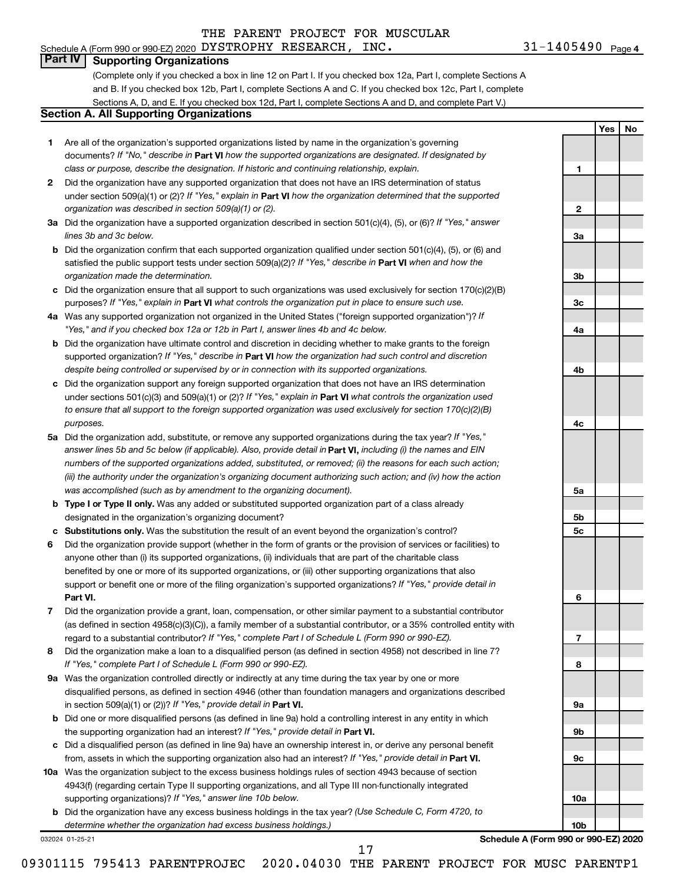### Schedule A (Form 990 or 990-EZ) 2020 DYSTROPHY RESEARCH, INC.  $31-1405490$   $_{\rm Page}$

(Complete only if you checked a box in line 12 on Part I. If you checked box 12a, Part I, complete Sections A and B. If you checked box 12b, Part I, complete Sections A and C. If you checked box 12c, Part I, complete Sections A, D, and E. If you checked box 12d, Part I, complete Sections A and D, and complete Part V.)

### **Section A. All Supporting Organizations**

- **1** Are all of the organization's supported organizations listed by name in the organization's governing documents? If "No," describe in Part VI how the supported organizations are designated. If designated by *class or purpose, describe the designation. If historic and continuing relationship, explain.*
- **2** Did the organization have any supported organization that does not have an IRS determination of status under section 509(a)(1) or (2)? If "Yes," explain in Part **VI** how the organization determined that the supported *organization was described in section 509(a)(1) or (2).*
- **3a** Did the organization have a supported organization described in section 501(c)(4), (5), or (6)? If "Yes," answer *lines 3b and 3c below.*
- **b** Did the organization confirm that each supported organization qualified under section 501(c)(4), (5), or (6) and satisfied the public support tests under section 509(a)(2)? If "Yes," describe in Part VI when and how the *organization made the determination.*
- **c** Did the organization ensure that all support to such organizations was used exclusively for section 170(c)(2)(B) purposes? If "Yes," explain in Part VI what controls the organization put in place to ensure such use.
- **4 a** *If* Was any supported organization not organized in the United States ("foreign supported organization")? *"Yes," and if you checked box 12a or 12b in Part I, answer lines 4b and 4c below.*
- **b** Did the organization have ultimate control and discretion in deciding whether to make grants to the foreign supported organization? If "Yes," describe in Part VI how the organization had such control and discretion *despite being controlled or supervised by or in connection with its supported organizations.*
- **c** Did the organization support any foreign supported organization that does not have an IRS determination under sections 501(c)(3) and 509(a)(1) or (2)? If "Yes," explain in Part VI what controls the organization used *to ensure that all support to the foreign supported organization was used exclusively for section 170(c)(2)(B) purposes.*
- **5a** Did the organization add, substitute, or remove any supported organizations during the tax year? If "Yes," answer lines 5b and 5c below (if applicable). Also, provide detail in **Part VI,** including (i) the names and EIN *numbers of the supported organizations added, substituted, or removed; (ii) the reasons for each such action; (iii) the authority under the organization's organizing document authorizing such action; and (iv) how the action was accomplished (such as by amendment to the organizing document).*
- **b** Type I or Type II only. Was any added or substituted supported organization part of a class already designated in the organization's organizing document?
- **c Substitutions only.**  Was the substitution the result of an event beyond the organization's control?
- **6** Did the organization provide support (whether in the form of grants or the provision of services or facilities) to **Part VI.** support or benefit one or more of the filing organization's supported organizations? If "Yes," provide detail in anyone other than (i) its supported organizations, (ii) individuals that are part of the charitable class benefited by one or more of its supported organizations, or (iii) other supporting organizations that also
- **7** Did the organization provide a grant, loan, compensation, or other similar payment to a substantial contributor regard to a substantial contributor? If "Yes," complete Part I of Schedule L (Form 990 or 990-EZ). (as defined in section 4958(c)(3)(C)), a family member of a substantial contributor, or a 35% controlled entity with
- **8** Did the organization make a loan to a disqualified person (as defined in section 4958) not described in line 7? *If "Yes," complete Part I of Schedule L (Form 990 or 990-EZ).*
- **9 a** Was the organization controlled directly or indirectly at any time during the tax year by one or more in section 509(a)(1) or (2))? If "Yes," provide detail in **Part VI.** disqualified persons, as defined in section 4946 (other than foundation managers and organizations described
- **b** Did one or more disqualified persons (as defined in line 9a) hold a controlling interest in any entity in which the supporting organization had an interest? If "Yes," provide detail in Part VI.
- **c** Did a disqualified person (as defined in line 9a) have an ownership interest in, or derive any personal benefit from, assets in which the supporting organization also had an interest? If "Yes," provide detail in Part VI.
- **10 a** Was the organization subject to the excess business holdings rules of section 4943 because of section supporting organizations)? If "Yes," answer line 10b below. 4943(f) (regarding certain Type II supporting organizations, and all Type III non-functionally integrated
	- **b** Did the organization have any excess business holdings in the tax year? (Use Schedule C, Form 4720, to *determine whether the organization had excess business holdings.)*

09301115 795413 PARENTPROJEC 2020.04030 THE PARENT PROJECT FOR MUSC PARENTP1

17

032024 01-25-21

**Schedule A (Form 990 or 990-EZ) 2020**

**1**

**2**

**3a**

**3b**

**3c**

**4a**

**4b**

**4c**

**5a**

**5b 5c**

**6**

**7**

**8**

**9a**

**9b**

**9c**

**10a**

**10b**

**Yes No**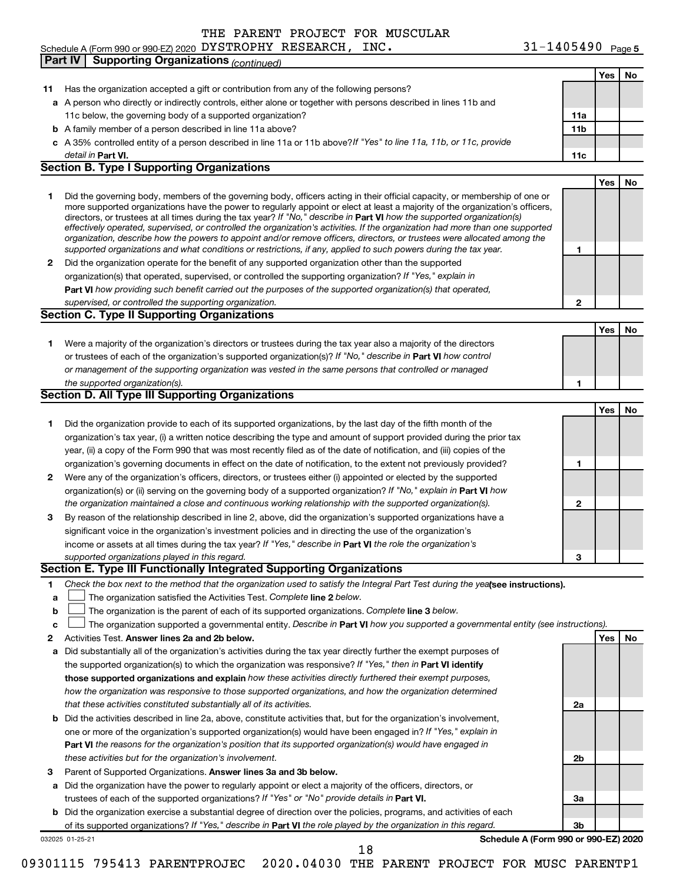31-1405490 Page 5

### Schedule A (Form 990 or 990-EZ) 2020 DYSTROPHY RESEARCH, INC.  $31-1405490$   $_{\rm Page}$ **Part IV Supporting Organizations** *(continued)*

|              |                                                                                                                                                                                                                                                          |                 | Yes | No  |
|--------------|----------------------------------------------------------------------------------------------------------------------------------------------------------------------------------------------------------------------------------------------------------|-----------------|-----|-----|
| 11           | Has the organization accepted a gift or contribution from any of the following persons?                                                                                                                                                                  |                 |     |     |
|              | a A person who directly or indirectly controls, either alone or together with persons described in lines 11b and                                                                                                                                         |                 |     |     |
|              | 11c below, the governing body of a supported organization?                                                                                                                                                                                               | 11a             |     |     |
|              | <b>b</b> A family member of a person described in line 11a above?                                                                                                                                                                                        | 11 <sub>b</sub> |     |     |
|              | c A 35% controlled entity of a person described in line 11a or 11b above?If "Yes" to line 11a, 11b, or 11c, provide                                                                                                                                      |                 |     |     |
|              | detail in <b>Part VI.</b>                                                                                                                                                                                                                                | 11c             |     |     |
|              | <b>Section B. Type I Supporting Organizations</b>                                                                                                                                                                                                        |                 |     |     |
|              |                                                                                                                                                                                                                                                          |                 | Yes | No. |
| 1.           | Did the governing body, members of the governing body, officers acting in their official capacity, or membership of one or                                                                                                                               |                 |     |     |
|              | more supported organizations have the power to regularly appoint or elect at least a majority of the organization's officers,<br>directors, or trustees at all times during the tax year? If "No," describe in Part VI how the supported organization(s) |                 |     |     |
|              | effectively operated, supervised, or controlled the organization's activities. If the organization had more than one supported                                                                                                                           |                 |     |     |
|              | organization, describe how the powers to appoint and/or remove officers, directors, or trustees were allocated among the                                                                                                                                 |                 |     |     |
|              | supported organizations and what conditions or restrictions, if any, applied to such powers during the tax year.                                                                                                                                         | 1               |     |     |
| 2            | Did the organization operate for the benefit of any supported organization other than the supported                                                                                                                                                      |                 |     |     |
|              | organization(s) that operated, supervised, or controlled the supporting organization? If "Yes," explain in                                                                                                                                               |                 |     |     |
|              | Part VI how providing such benefit carried out the purposes of the supported organization(s) that operated,                                                                                                                                              |                 |     |     |
|              | supervised, or controlled the supporting organization.                                                                                                                                                                                                   | $\mathbf{2}$    |     |     |
|              | <b>Section C. Type II Supporting Organizations</b>                                                                                                                                                                                                       |                 |     |     |
|              |                                                                                                                                                                                                                                                          |                 | Yes | No. |
| 1.           | Were a majority of the organization's directors or trustees during the tax year also a majority of the directors                                                                                                                                         |                 |     |     |
|              | or trustees of each of the organization's supported organization(s)? If "No," describe in Part VI how control                                                                                                                                            |                 |     |     |
|              | or management of the supporting organization was vested in the same persons that controlled or managed                                                                                                                                                   |                 |     |     |
|              | the supported organization(s).                                                                                                                                                                                                                           | 1               |     |     |
|              | <b>Section D. All Type III Supporting Organizations</b>                                                                                                                                                                                                  |                 |     |     |
|              |                                                                                                                                                                                                                                                          |                 | Yes | No  |
| 1            | Did the organization provide to each of its supported organizations, by the last day of the fifth month of the                                                                                                                                           |                 |     |     |
|              | organization's tax year, (i) a written notice describing the type and amount of support provided during the prior tax                                                                                                                                    |                 |     |     |
|              | year, (ii) a copy of the Form 990 that was most recently filed as of the date of notification, and (iii) copies of the                                                                                                                                   |                 |     |     |
|              | organization's governing documents in effect on the date of notification, to the extent not previously provided?                                                                                                                                         | 1               |     |     |
| $\mathbf{2}$ | Were any of the organization's officers, directors, or trustees either (i) appointed or elected by the supported                                                                                                                                         |                 |     |     |
|              | organization(s) or (ii) serving on the governing body of a supported organization? If "No," explain in <b>Part VI</b> how                                                                                                                                |                 |     |     |
|              | the organization maintained a close and continuous working relationship with the supported organization(s).                                                                                                                                              | 2               |     |     |
| 3            | By reason of the relationship described in line 2, above, did the organization's supported organizations have a                                                                                                                                          |                 |     |     |
|              | significant voice in the organization's investment policies and in directing the use of the organization's                                                                                                                                               |                 |     |     |
|              | income or assets at all times during the tax year? If "Yes," describe in Part VI the role the organization's                                                                                                                                             |                 |     |     |
|              | supported organizations played in this regard.                                                                                                                                                                                                           | З               |     |     |
|              | Section E. Type III Functionally Integrated Supporting Organizations                                                                                                                                                                                     |                 |     |     |
| 1            | Check the box next to the method that the organization used to satisfy the Integral Part Test during the yealsee instructions).                                                                                                                          |                 |     |     |
| а            | The organization satisfied the Activities Test. Complete line 2 below.                                                                                                                                                                                   |                 |     |     |
| b            | The organization is the parent of each of its supported organizations. Complete line 3 below.                                                                                                                                                            |                 |     |     |
| с            | The organization supported a governmental entity. Describe in Part VI how you supported a governmental entity (see instructions).<br>Activities Test. Answer lines 2a and 2b below.                                                                      |                 |     |     |
| 2            |                                                                                                                                                                                                                                                          |                 | Yes | No  |
| а            | Did substantially all of the organization's activities during the tax year directly further the exempt purposes of                                                                                                                                       |                 |     |     |
|              | the supported organization(s) to which the organization was responsive? If "Yes," then in Part VI identify<br>those supported organizations and explain how these activities directly furthered their exempt purposes,                                   |                 |     |     |
|              | how the organization was responsive to those supported organizations, and how the organization determined                                                                                                                                                |                 |     |     |
|              | that these activities constituted substantially all of its activities.                                                                                                                                                                                   | 2a              |     |     |
|              | Did the activities described in line 2a, above, constitute activities that, but for the organization's involvement,                                                                                                                                      |                 |     |     |
| b            | one or more of the organization's supported organization(s) would have been engaged in? If "Yes," explain in                                                                                                                                             |                 |     |     |
|              | Part VI the reasons for the organization's position that its supported organization(s) would have engaged in                                                                                                                                             |                 |     |     |
|              | these activities but for the organization's involvement.                                                                                                                                                                                                 | 2b              |     |     |
| 3            | Parent of Supported Organizations. Answer lines 3a and 3b below.                                                                                                                                                                                         |                 |     |     |
| а            | Did the organization have the power to regularly appoint or elect a majority of the officers, directors, or                                                                                                                                              |                 |     |     |
|              | trustees of each of the supported organizations? If "Yes" or "No" provide details in Part VI.                                                                                                                                                            | За              |     |     |
|              | <b>b</b> Did the organization exercise a substantial degree of direction over the policies, programs, and activities of each                                                                                                                             |                 |     |     |
|              | of its supported organizations? If "Yes," describe in Part VI the role played by the organization in this regard.                                                                                                                                        | Зb              |     |     |
|              | Schedule A (Form 990 or 990-EZ) 2020<br>032025 01-25-21                                                                                                                                                                                                  |                 |     |     |
|              | 18                                                                                                                                                                                                                                                       |                 |     |     |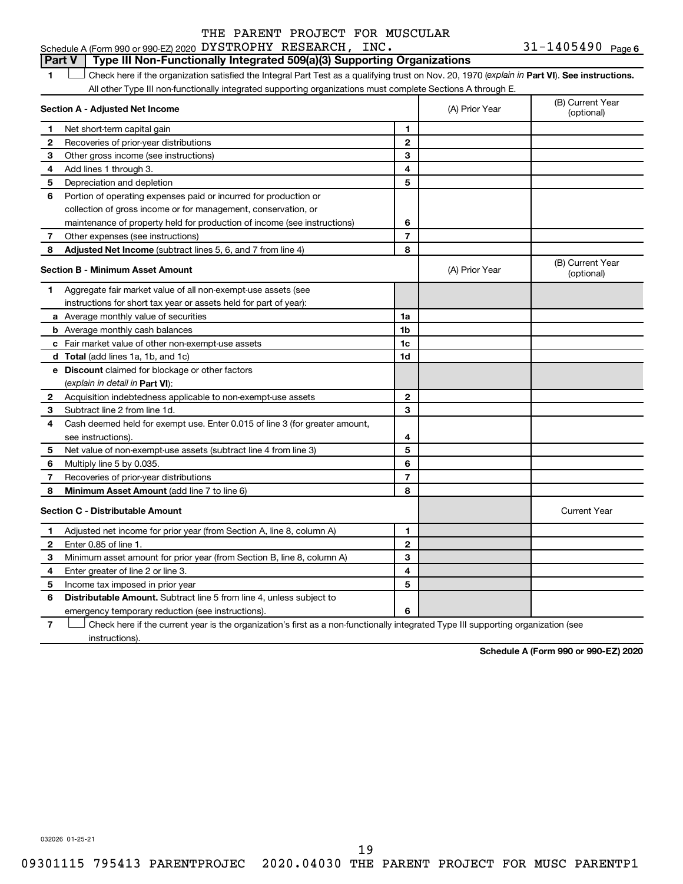31-1405490 Page 6 Schedule A (Form 990 or 990-EZ) 2020 DYSTROPHY RESEARCH, INC.  $31-1405490$   $_{\rm Page}$ 

#### **Part V Type III Non-Functionally Integrated 509(a)(3) Supporting Organizations**

1 **Letter See instructions.** Check here if the organization satisfied the Integral Part Test as a qualifying trust on Nov. 20, 1970 (*explain in* Part **VI**). See instructions. All other Type III non-functionally integrated supporting organizations must complete Sections A through E.

|                                         | Section A - Adjusted Net Income                                             | (A) Prior Year | (B) Current Year<br>(optional) |                                |
|-----------------------------------------|-----------------------------------------------------------------------------|----------------|--------------------------------|--------------------------------|
| 1                                       | Net short-term capital gain                                                 | 1              |                                |                                |
| 2                                       | Recoveries of prior-year distributions                                      | $\mathbf{2}$   |                                |                                |
| 3                                       | Other gross income (see instructions)                                       | 3              |                                |                                |
| 4                                       | Add lines 1 through 3.                                                      | 4              |                                |                                |
| 5                                       | Depreciation and depletion                                                  | 5              |                                |                                |
| 6                                       | Portion of operating expenses paid or incurred for production or            |                |                                |                                |
|                                         | collection of gross income or for management, conservation, or              |                |                                |                                |
|                                         | maintenance of property held for production of income (see instructions)    | 6              |                                |                                |
| 7                                       | Other expenses (see instructions)                                           | $\overline{7}$ |                                |                                |
| 8                                       | Adjusted Net Income (subtract lines 5, 6, and 7 from line 4)                | 8              |                                |                                |
| <b>Section B - Minimum Asset Amount</b> |                                                                             |                | (A) Prior Year                 | (B) Current Year<br>(optional) |
| 1.                                      | Aggregate fair market value of all non-exempt-use assets (see               |                |                                |                                |
|                                         | instructions for short tax year or assets held for part of year):           |                |                                |                                |
|                                         | a Average monthly value of securities                                       | 1a             |                                |                                |
|                                         | <b>b</b> Average monthly cash balances                                      | 1b             |                                |                                |
|                                         | c Fair market value of other non-exempt-use assets                          | 1 <sub>c</sub> |                                |                                |
|                                         | d Total (add lines 1a, 1b, and 1c)                                          | 1d             |                                |                                |
|                                         | <b>e</b> Discount claimed for blockage or other factors                     |                |                                |                                |
|                                         | (explain in detail in <b>Part VI</b> ):                                     |                |                                |                                |
| 2                                       | Acquisition indebtedness applicable to non-exempt-use assets                | $\mathbf{2}$   |                                |                                |
| З                                       | Subtract line 2 from line 1d.                                               | 3              |                                |                                |
| 4                                       | Cash deemed held for exempt use. Enter 0.015 of line 3 (for greater amount, |                |                                |                                |
|                                         | see instructions)                                                           | 4              |                                |                                |
| 5                                       | Net value of non-exempt-use assets (subtract line 4 from line 3)            | 5              |                                |                                |
| 6                                       | Multiply line 5 by 0.035.                                                   | 6              |                                |                                |
| 7                                       | Recoveries of prior-year distributions                                      | $\overline{7}$ |                                |                                |
| 8                                       | Minimum Asset Amount (add line 7 to line 6)                                 | 8              |                                |                                |
|                                         | <b>Section C - Distributable Amount</b>                                     |                |                                | <b>Current Year</b>            |
| 1                                       | Adjusted net income for prior year (from Section A, line 8, column A)       | 1              |                                |                                |
| 2                                       | Enter 0.85 of line 1.                                                       | $\overline{2}$ |                                |                                |
| 3                                       | Minimum asset amount for prior year (from Section B, line 8, column A)      | 3              |                                |                                |
| 4                                       | Enter greater of line 2 or line 3.                                          | 4              |                                |                                |
| 5                                       | Income tax imposed in prior year                                            | 5              |                                |                                |
| 6                                       | Distributable Amount. Subtract line 5 from line 4, unless subject to        |                |                                |                                |
|                                         | emergency temporary reduction (see instructions).                           | 6              |                                |                                |
|                                         |                                                                             |                |                                |                                |

**7** Let Check here if the current year is the organization's first as a non-functionally integrated Type III supporting organization (see instructions).

**Schedule A (Form 990 or 990-EZ) 2020**

032026 01-25-21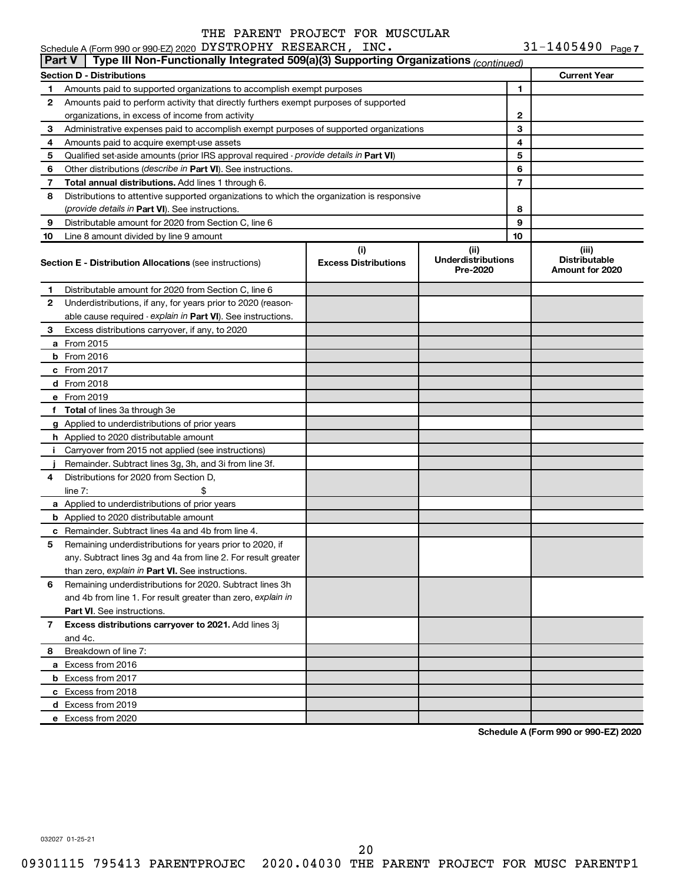|               | Schedule A (Form 990 or 990-EZ) 2020 DYSTROPHY RESEARCH, INC.                              |                                    |                                               |    | $31 - 1405490$ Page 7                            |
|---------------|--------------------------------------------------------------------------------------------|------------------------------------|-----------------------------------------------|----|--------------------------------------------------|
| <b>Part V</b> | Type III Non-Functionally Integrated 509(a)(3) Supporting Organizations (continued)        |                                    |                                               |    |                                                  |
|               | <b>Section D - Distributions</b>                                                           |                                    |                                               |    | <b>Current Year</b>                              |
| 1             | Amounts paid to supported organizations to accomplish exempt purposes                      |                                    |                                               | 1  |                                                  |
| 2             | Amounts paid to perform activity that directly furthers exempt purposes of supported       |                                    |                                               |    |                                                  |
|               | organizations, in excess of income from activity                                           |                                    |                                               | 2  |                                                  |
| 3             | Administrative expenses paid to accomplish exempt purposes of supported organizations      |                                    |                                               | 3  |                                                  |
| 4             | Amounts paid to acquire exempt-use assets                                                  |                                    | 4                                             |    |                                                  |
| 5             | Qualified set-aside amounts (prior IRS approval required - provide details in Part VI)     |                                    | 5                                             |    |                                                  |
| 6             | Other distributions (describe in Part VI). See instructions.                               |                                    | 6                                             |    |                                                  |
| 7             | Total annual distributions. Add lines 1 through 6.                                         |                                    | $\overline{7}$                                |    |                                                  |
| 8             | Distributions to attentive supported organizations to which the organization is responsive |                                    |                                               |    |                                                  |
|               | (provide details in Part VI). See instructions.                                            |                                    |                                               | 8  |                                                  |
| 9             | Distributable amount for 2020 from Section C, line 6                                       |                                    |                                               | 9  |                                                  |
| 10            | Line 8 amount divided by line 9 amount                                                     |                                    |                                               | 10 |                                                  |
|               | <b>Section E - Distribution Allocations (see instructions)</b>                             | (i)<br><b>Excess Distributions</b> | (ii)<br><b>Underdistributions</b><br>Pre-2020 |    | (iii)<br><b>Distributable</b><br>Amount for 2020 |
| 1             | Distributable amount for 2020 from Section C, line 6                                       |                                    |                                               |    |                                                  |
| 2             | Underdistributions, if any, for years prior to 2020 (reason-                               |                                    |                                               |    |                                                  |
|               | able cause required - explain in Part VI). See instructions.                               |                                    |                                               |    |                                                  |
| 3             | Excess distributions carryover, if any, to 2020                                            |                                    |                                               |    |                                                  |
|               | a From 2015                                                                                |                                    |                                               |    |                                                  |
|               | $b$ From 2016                                                                              |                                    |                                               |    |                                                  |
|               | $c$ From 2017                                                                              |                                    |                                               |    |                                                  |
|               | <b>d</b> From 2018                                                                         |                                    |                                               |    |                                                  |
|               | e From 2019                                                                                |                                    |                                               |    |                                                  |
|               | f Total of lines 3a through 3e                                                             |                                    |                                               |    |                                                  |
|               | g Applied to underdistributions of prior years                                             |                                    |                                               |    |                                                  |
|               | <b>h</b> Applied to 2020 distributable amount                                              |                                    |                                               |    |                                                  |
| Ť.            | Carryover from 2015 not applied (see instructions)                                         |                                    |                                               |    |                                                  |
|               | Remainder. Subtract lines 3g, 3h, and 3i from line 3f.                                     |                                    |                                               |    |                                                  |
| 4             | Distributions for 2020 from Section D,                                                     |                                    |                                               |    |                                                  |
|               | line $7:$                                                                                  |                                    |                                               |    |                                                  |
|               | a Applied to underdistributions of prior years                                             |                                    |                                               |    |                                                  |
|               | <b>b</b> Applied to 2020 distributable amount                                              |                                    |                                               |    |                                                  |
|               | c Remainder. Subtract lines 4a and 4b from line 4.                                         |                                    |                                               |    |                                                  |
|               | 5 Remaining underdistributions for years prior to 2020, if                                 |                                    |                                               |    |                                                  |
|               | any. Subtract lines 3g and 4a from line 2. For result greater                              |                                    |                                               |    |                                                  |
|               | than zero, explain in Part VI. See instructions.                                           |                                    |                                               |    |                                                  |
| 6             | Remaining underdistributions for 2020. Subtract lines 3h                                   |                                    |                                               |    |                                                  |
|               | and 4b from line 1. For result greater than zero, explain in                               |                                    |                                               |    |                                                  |
|               | <b>Part VI.</b> See instructions.                                                          |                                    |                                               |    |                                                  |
| 7             | Excess distributions carryover to 2021. Add lines 3j                                       |                                    |                                               |    |                                                  |
|               | and 4c.                                                                                    |                                    |                                               |    |                                                  |
| 8             | Breakdown of line 7:                                                                       |                                    |                                               |    |                                                  |
|               | a Excess from 2016                                                                         |                                    |                                               |    |                                                  |
|               | <b>b</b> Excess from 2017                                                                  |                                    |                                               |    |                                                  |
|               | c Excess from 2018                                                                         |                                    |                                               |    |                                                  |
|               | d Excess from 2019                                                                         |                                    |                                               |    |                                                  |
|               | e Excess from 2020                                                                         |                                    |                                               |    |                                                  |

**Schedule A (Form 990 or 990-EZ) 2020**

032027 01-25-21

20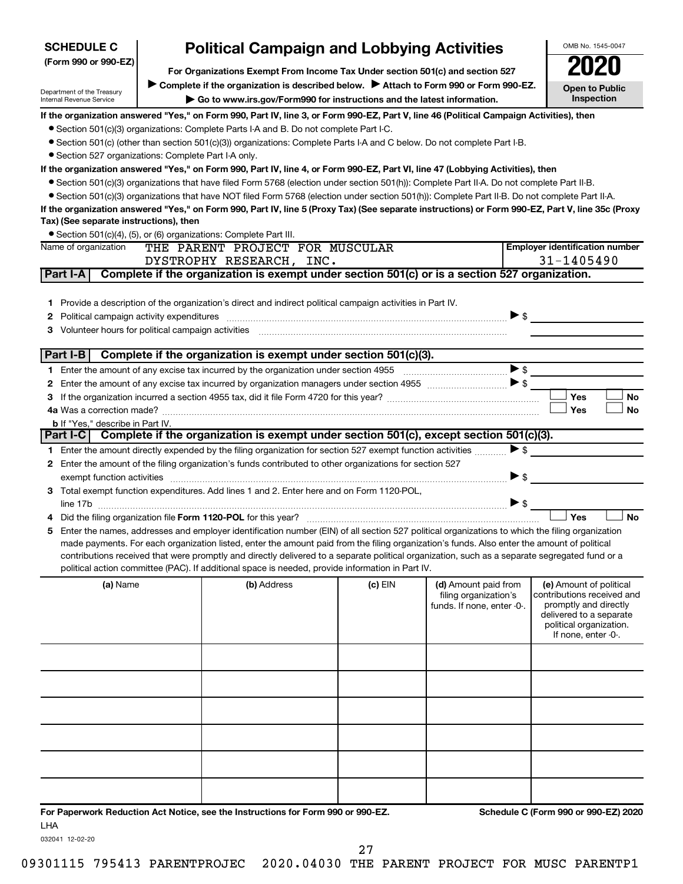| <b>SCHEDULE C</b>                                                                                                                  |  | <b>Political Campaign and Lobbying Activities</b>                                                                                                                                                                                                                                                                                                                                                                                                                                                                                                                                                                                                                                                                                                                                                                                                                                                                                                                                                                                                                                                                                                                                           |           |                                                                             | OMB No. 1545-0047                                                                                                                                           |
|------------------------------------------------------------------------------------------------------------------------------------|--|---------------------------------------------------------------------------------------------------------------------------------------------------------------------------------------------------------------------------------------------------------------------------------------------------------------------------------------------------------------------------------------------------------------------------------------------------------------------------------------------------------------------------------------------------------------------------------------------------------------------------------------------------------------------------------------------------------------------------------------------------------------------------------------------------------------------------------------------------------------------------------------------------------------------------------------------------------------------------------------------------------------------------------------------------------------------------------------------------------------------------------------------------------------------------------------------|-----------|-----------------------------------------------------------------------------|-------------------------------------------------------------------------------------------------------------------------------------------------------------|
| (Form 990 or 990-EZ)                                                                                                               |  | For Organizations Exempt From Income Tax Under section 501(c) and section 527                                                                                                                                                                                                                                                                                                                                                                                                                                                                                                                                                                                                                                                                                                                                                                                                                                                                                                                                                                                                                                                                                                               |           |                                                                             |                                                                                                                                                             |
|                                                                                                                                    |  | Complete if the organization is described below. Attach to Form 990 or Form 990-EZ.                                                                                                                                                                                                                                                                                                                                                                                                                                                                                                                                                                                                                                                                                                                                                                                                                                                                                                                                                                                                                                                                                                         |           |                                                                             | <b>Open to Public</b>                                                                                                                                       |
| Department of the Treasury<br>Internal Revenue Service                                                                             |  | Go to www.irs.gov/Form990 for instructions and the latest information.                                                                                                                                                                                                                                                                                                                                                                                                                                                                                                                                                                                                                                                                                                                                                                                                                                                                                                                                                                                                                                                                                                                      |           |                                                                             | Inspection                                                                                                                                                  |
| • Section 527 organizations: Complete Part I-A only.<br>Tax) (See separate instructions), then<br>Name of organization<br>Part I-A |  | If the organization answered "Yes," on Form 990, Part IV, line 3, or Form 990-EZ, Part V, line 46 (Political Campaign Activities), then<br>• Section 501(c)(3) organizations: Complete Parts I-A and B. Do not complete Part I-C.<br>• Section 501(c) (other than section 501(c)(3)) organizations: Complete Parts I-A and C below. Do not complete Part I-B.<br>If the organization answered "Yes," on Form 990, Part IV, line 4, or Form 990-EZ, Part VI, line 47 (Lobbying Activities), then<br>● Section 501(c)(3) organizations that have filed Form 5768 (election under section 501(h)): Complete Part II-A. Do not complete Part II-B.<br>• Section 501(c)(3) organizations that have NOT filed Form 5768 (election under section 501(h)): Complete Part II-B. Do not complete Part II-A.<br>If the organization answered "Yes," on Form 990, Part IV, line 5 (Proxy Tax) (See separate instructions) or Form 990-EZ, Part V, line 35c (Proxy<br>• Section 501(c)(4), (5), or (6) organizations: Complete Part III.<br>THE PARENT PROJECT FOR MUSCULAR<br>DYSTROPHY RESEARCH, INC.<br>Complete if the organization is exempt under section 501(c) or is a section 527 organization. |           |                                                                             | <b>Employer identification number</b><br>31-1405490                                                                                                         |
| 1.                                                                                                                                 |  | Provide a description of the organization's direct and indirect political campaign activities in Part IV.                                                                                                                                                                                                                                                                                                                                                                                                                                                                                                                                                                                                                                                                                                                                                                                                                                                                                                                                                                                                                                                                                   |           |                                                                             |                                                                                                                                                             |
| 2                                                                                                                                  |  |                                                                                                                                                                                                                                                                                                                                                                                                                                                                                                                                                                                                                                                                                                                                                                                                                                                                                                                                                                                                                                                                                                                                                                                             |           | $\blacktriangleright$ \$                                                    |                                                                                                                                                             |
| Volunteer hours for political campaign activities<br>з                                                                             |  |                                                                                                                                                                                                                                                                                                                                                                                                                                                                                                                                                                                                                                                                                                                                                                                                                                                                                                                                                                                                                                                                                                                                                                                             |           |                                                                             |                                                                                                                                                             |
| Part I-B                                                                                                                           |  | Complete if the organization is exempt under section 501(c)(3).                                                                                                                                                                                                                                                                                                                                                                                                                                                                                                                                                                                                                                                                                                                                                                                                                                                                                                                                                                                                                                                                                                                             |           |                                                                             |                                                                                                                                                             |
| 1.                                                                                                                                 |  | Enter the amount of any excise tax incurred by the organization under section 4955                                                                                                                                                                                                                                                                                                                                                                                                                                                                                                                                                                                                                                                                                                                                                                                                                                                                                                                                                                                                                                                                                                          |           | $\blacktriangleright$ \$                                                    |                                                                                                                                                             |
| 2                                                                                                                                  |  |                                                                                                                                                                                                                                                                                                                                                                                                                                                                                                                                                                                                                                                                                                                                                                                                                                                                                                                                                                                                                                                                                                                                                                                             |           | $\blacktriangleright$ \$                                                    |                                                                                                                                                             |
| 3                                                                                                                                  |  |                                                                                                                                                                                                                                                                                                                                                                                                                                                                                                                                                                                                                                                                                                                                                                                                                                                                                                                                                                                                                                                                                                                                                                                             |           |                                                                             | Yes<br><b>No</b>                                                                                                                                            |
| Yes<br><b>No</b>                                                                                                                   |  |                                                                                                                                                                                                                                                                                                                                                                                                                                                                                                                                                                                                                                                                                                                                                                                                                                                                                                                                                                                                                                                                                                                                                                                             |           |                                                                             |                                                                                                                                                             |
| <b>b</b> If "Yes," describe in Part IV.<br>Part I-C                                                                                |  | Complete if the organization is exempt under section 501(c), except section 501(c)(3).                                                                                                                                                                                                                                                                                                                                                                                                                                                                                                                                                                                                                                                                                                                                                                                                                                                                                                                                                                                                                                                                                                      |           |                                                                             |                                                                                                                                                             |
|                                                                                                                                    |  | 1 Enter the amount directly expended by the filing organization for section 527 exempt function activities                                                                                                                                                                                                                                                                                                                                                                                                                                                                                                                                                                                                                                                                                                                                                                                                                                                                                                                                                                                                                                                                                  |           | $\blacktriangleright$ \$                                                    |                                                                                                                                                             |
| 2                                                                                                                                  |  | Enter the amount of the filing organization's funds contributed to other organizations for section 527                                                                                                                                                                                                                                                                                                                                                                                                                                                                                                                                                                                                                                                                                                                                                                                                                                                                                                                                                                                                                                                                                      |           |                                                                             |                                                                                                                                                             |
|                                                                                                                                    |  |                                                                                                                                                                                                                                                                                                                                                                                                                                                                                                                                                                                                                                                                                                                                                                                                                                                                                                                                                                                                                                                                                                                                                                                             |           | ▶ \$                                                                        |                                                                                                                                                             |
|                                                                                                                                    |  | 3 Total exempt function expenditures. Add lines 1 and 2. Enter here and on Form 1120-POL.                                                                                                                                                                                                                                                                                                                                                                                                                                                                                                                                                                                                                                                                                                                                                                                                                                                                                                                                                                                                                                                                                                   |           |                                                                             |                                                                                                                                                             |
| line 17b                                                                                                                           |  |                                                                                                                                                                                                                                                                                                                                                                                                                                                                                                                                                                                                                                                                                                                                                                                                                                                                                                                                                                                                                                                                                                                                                                                             |           | $\blacktriangleright$ \$                                                    |                                                                                                                                                             |
|                                                                                                                                    |  | Did the filing organization file Form 1120-POL for this year?                                                                                                                                                                                                                                                                                                                                                                                                                                                                                                                                                                                                                                                                                                                                                                                                                                                                                                                                                                                                                                                                                                                               |           |                                                                             | <b>No</b><br>Yes                                                                                                                                            |
| 5                                                                                                                                  |  | Enter the names, addresses and employer identification number (EIN) of all section 527 political organizations to which the filing organization<br>made payments. For each organization listed, enter the amount paid from the filing organization's funds. Also enter the amount of political<br>contributions received that were promptly and directly delivered to a separate political organization, such as a separate segregated fund or a<br>political action committee (PAC). If additional space is needed, provide information in Part IV.                                                                                                                                                                                                                                                                                                                                                                                                                                                                                                                                                                                                                                        |           |                                                                             |                                                                                                                                                             |
| (a) Name                                                                                                                           |  | (b) Address                                                                                                                                                                                                                                                                                                                                                                                                                                                                                                                                                                                                                                                                                                                                                                                                                                                                                                                                                                                                                                                                                                                                                                                 | $(c)$ EIN | (d) Amount paid from<br>filing organization's<br>funds. If none, enter -0-. | (e) Amount of political<br>contributions received and<br>promptly and directly<br>delivered to a separate<br>political organization.<br>If none, enter -0-. |
|                                                                                                                                    |  |                                                                                                                                                                                                                                                                                                                                                                                                                                                                                                                                                                                                                                                                                                                                                                                                                                                                                                                                                                                                                                                                                                                                                                                             |           |                                                                             |                                                                                                                                                             |
|                                                                                                                                    |  | For Paperwork Reduction Act Notice, see the Instructions for Form 990 or 990-EZ.                                                                                                                                                                                                                                                                                                                                                                                                                                                                                                                                                                                                                                                                                                                                                                                                                                                                                                                                                                                                                                                                                                            |           |                                                                             | Schedule C (Form 990 or 990-EZ) 2020                                                                                                                        |
| LHA                                                                                                                                |  |                                                                                                                                                                                                                                                                                                                                                                                                                                                                                                                                                                                                                                                                                                                                                                                                                                                                                                                                                                                                                                                                                                                                                                                             |           |                                                                             |                                                                                                                                                             |

032041 12-02-20

27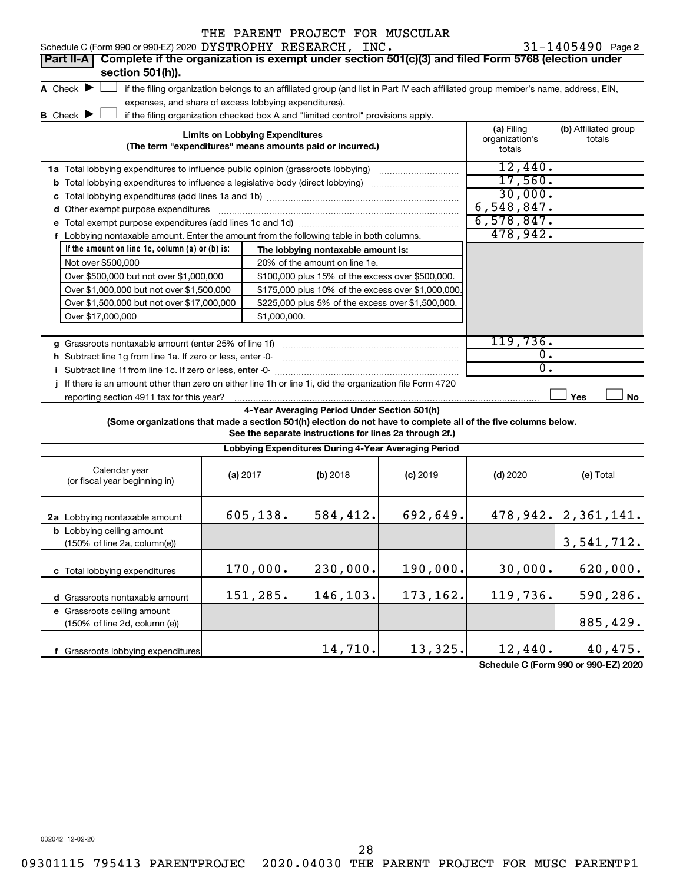|  |  | THE PARENT PROJECT FOR MUSCULAR |
|--|--|---------------------------------|
|  |  |                                 |

**2**

| Schedule C (Form 990 or 990-EZ) 2020 DYSTROPHY RESEARCH, INC.                                                   |          |                                        |                                                                                  |                                                                                                                                   |                              | $31 - 1405490$ Page 2          |
|-----------------------------------------------------------------------------------------------------------------|----------|----------------------------------------|----------------------------------------------------------------------------------|-----------------------------------------------------------------------------------------------------------------------------------|------------------------------|--------------------------------|
| Complete if the organization is exempt under section 501(c)(3) and filed Form 5768 (election under<br>Part II-A |          |                                        |                                                                                  |                                                                                                                                   |                              |                                |
| section 501(h)).                                                                                                |          |                                        |                                                                                  |                                                                                                                                   |                              |                                |
| A Check $\blacktriangleright$                                                                                   |          |                                        |                                                                                  | if the filing organization belongs to an affiliated group (and list in Part IV each affiliated group member's name, address, EIN, |                              |                                |
| expenses, and share of excess lobbying expenditures).                                                           |          |                                        |                                                                                  |                                                                                                                                   |                              |                                |
| <b>B</b> Check $\blacktriangleright$                                                                            |          |                                        | if the filing organization checked box A and "limited control" provisions apply. |                                                                                                                                   |                              |                                |
|                                                                                                                 |          | <b>Limits on Lobbying Expenditures</b> |                                                                                  |                                                                                                                                   | (a) Filing<br>organization's | (b) Affiliated group<br>totals |
|                                                                                                                 |          |                                        | (The term "expenditures" means amounts paid or incurred.)                        |                                                                                                                                   | totals                       |                                |
| 1a Total lobbying expenditures to influence public opinion (grassroots lobbying)                                |          |                                        |                                                                                  |                                                                                                                                   | 12,440.                      |                                |
| <b>b</b> Total lobbying expenditures to influence a legislative body (direct lobbying)                          |          |                                        |                                                                                  | <u> 1986 - John Bernstein, skriuwer en s</u>                                                                                      | 17,560.                      |                                |
|                                                                                                                 |          |                                        |                                                                                  |                                                                                                                                   | 30,000.                      |                                |
| d Other exempt purpose expenditures                                                                             |          |                                        |                                                                                  |                                                                                                                                   | 6,548,847.                   |                                |
|                                                                                                                 |          |                                        |                                                                                  |                                                                                                                                   | 6,578,847.                   |                                |
| f Lobbying nontaxable amount. Enter the amount from the following table in both columns.                        |          |                                        |                                                                                  |                                                                                                                                   | 478,942.                     |                                |
| If the amount on line 1e, column $(a)$ or $(b)$ is:                                                             |          |                                        | The lobbying nontaxable amount is:                                               |                                                                                                                                   |                              |                                |
| Not over \$500,000                                                                                              |          |                                        | 20% of the amount on line 1e.                                                    |                                                                                                                                   |                              |                                |
| Over \$500,000 but not over \$1,000,000                                                                         |          |                                        | \$100,000 plus 15% of the excess over \$500,000.                                 |                                                                                                                                   |                              |                                |
| Over \$1,000,000 but not over \$1,500,000                                                                       |          |                                        | \$175,000 plus 10% of the excess over \$1,000,000                                |                                                                                                                                   |                              |                                |
| Over \$1,500,000 but not over \$17,000,000<br>\$225,000 plus 5% of the excess over \$1,500,000.                 |          |                                        |                                                                                  |                                                                                                                                   |                              |                                |
| Over \$17,000,000                                                                                               |          | \$1,000,000.                           |                                                                                  |                                                                                                                                   |                              |                                |
|                                                                                                                 |          |                                        |                                                                                  |                                                                                                                                   |                              |                                |
|                                                                                                                 |          |                                        |                                                                                  |                                                                                                                                   | 119,736.                     |                                |
| h Subtract line 1q from line 1a. If zero or less, enter -0-                                                     |          |                                        |                                                                                  |                                                                                                                                   | $\overline{0}$ .             |                                |
|                                                                                                                 |          |                                        |                                                                                  |                                                                                                                                   | 0.                           |                                |
| If there is an amount other than zero on either line 1h or line 1i, did the organization file Form 4720         |          |                                        |                                                                                  |                                                                                                                                   |                              |                                |
| reporting section 4911 tax for this year?                                                                       |          |                                        |                                                                                  |                                                                                                                                   |                              | Yes<br>No                      |
| (Some organizations that made a section 501(h) election do not have to complete all of the five columns below.  |          |                                        | 4-Year Averaging Period Under Section 501(h)                                     |                                                                                                                                   |                              |                                |
|                                                                                                                 |          |                                        | See the separate instructions for lines 2a through 2f.)                          |                                                                                                                                   |                              |                                |
|                                                                                                                 |          |                                        | Lobbying Expenditures During 4-Year Averaging Period                             |                                                                                                                                   |                              |                                |
|                                                                                                                 |          |                                        |                                                                                  |                                                                                                                                   |                              |                                |
| Calendar year                                                                                                   | (a) 2017 |                                        | (b) 2018                                                                         | $(c)$ 2019                                                                                                                        | $(d)$ 2020                   | (e) Total                      |
| (or fiscal year beginning in)                                                                                   |          |                                        |                                                                                  |                                                                                                                                   |                              |                                |
|                                                                                                                 |          |                                        |                                                                                  |                                                                                                                                   |                              |                                |
| 2a Lobbying nontaxable amount                                                                                   |          | 605,138.                               | 584,412.                                                                         | 692,649.                                                                                                                          |                              | $478, 942.$ 2, 361, 141.       |
| <b>b</b> Lobbying ceiling amount                                                                                |          |                                        |                                                                                  |                                                                                                                                   |                              |                                |
| (150% of line 2a, column(e))                                                                                    |          |                                        |                                                                                  |                                                                                                                                   |                              | 3,541,712.                     |
|                                                                                                                 |          |                                        |                                                                                  |                                                                                                                                   |                              |                                |
| c Total lobbying expenditures                                                                                   |          | 170,000.                               | 230,000.                                                                         | 190,000.                                                                                                                          | 30,000.                      | 620,000.                       |
|                                                                                                                 |          |                                        |                                                                                  |                                                                                                                                   |                              |                                |
| d Grassroots nontaxable amount                                                                                  |          | 151,285.                               | 146,103.                                                                         | 173,162.                                                                                                                          | 119,736.                     | 590,286.                       |
| e Grassroots ceiling amount<br>(150% of line 2d, column (e))                                                    |          |                                        |                                                                                  |                                                                                                                                   |                              | 885,429.                       |
|                                                                                                                 |          |                                        |                                                                                  |                                                                                                                                   |                              |                                |
| f Grassroots lobbying expenditures                                                                              |          |                                        | 14,710.                                                                          | 13,325.                                                                                                                           | 12,440.                      | 40,475.                        |
|                                                                                                                 |          |                                        |                                                                                  |                                                                                                                                   |                              |                                |

**Schedule C (Form 990 or 990-EZ) 2020**

032042 12-02-20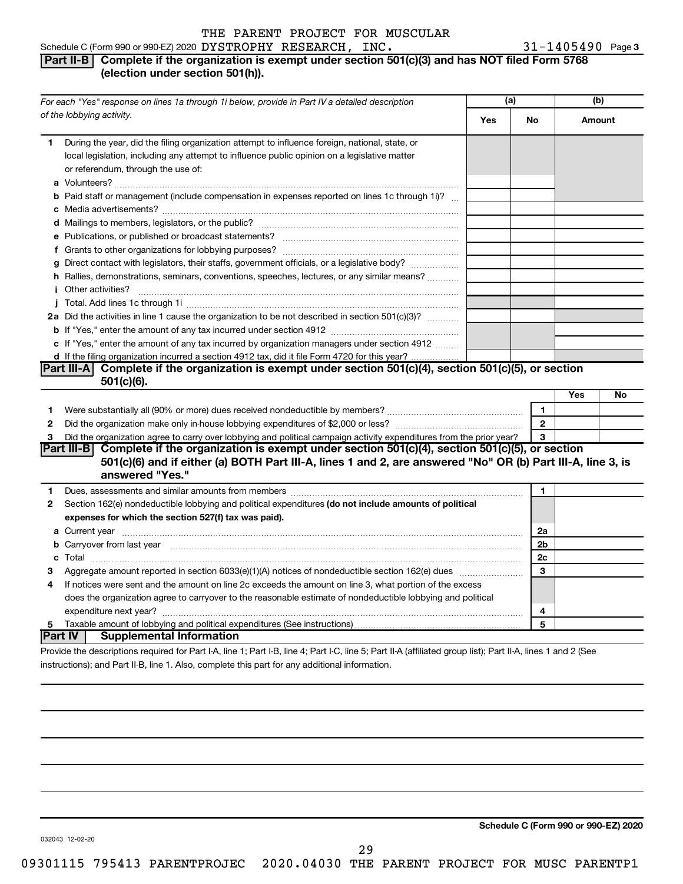#### 31-1405490 Page 3 Schedule C (Form 990 or 990-EZ) 2020 DYSTROPHY RESEARCH, INC  $\boldsymbol{\cdot}$  states that are allocated to  $31\text{--}1405490$  Page **Part II-B Complete if the organization is exempt under section 501(c)(3) and has NOT filed Form 5768**

#### **(election under section 501(h)).**

|    | For each "Yes" response on lines 1a through 1i below, provide in Part IV a detailed description                                                                                                                                      | (a) |                | (b)    |    |
|----|--------------------------------------------------------------------------------------------------------------------------------------------------------------------------------------------------------------------------------------|-----|----------------|--------|----|
|    | of the lobbying activity.                                                                                                                                                                                                            | Yes | No             | Amount |    |
| 1. | During the year, did the filing organization attempt to influence foreign, national, state, or<br>local legislation, including any attempt to influence public opinion on a legislative matter<br>or referendum, through the use of: |     |                |        |    |
|    | <b>b</b> Paid staff or management (include compensation in expenses reported on lines 1c through 1i)?                                                                                                                                |     |                |        |    |
|    |                                                                                                                                                                                                                                      |     |                |        |    |
|    |                                                                                                                                                                                                                                      |     |                |        |    |
|    |                                                                                                                                                                                                                                      |     |                |        |    |
|    |                                                                                                                                                                                                                                      |     |                |        |    |
|    | g Direct contact with legislators, their staffs, government officials, or a legislative body?                                                                                                                                        |     |                |        |    |
|    | h Rallies, demonstrations, seminars, conventions, speeches, lectures, or any similar means?                                                                                                                                          |     |                |        |    |
|    | Other activities?                                                                                                                                                                                                                    |     |                |        |    |
|    |                                                                                                                                                                                                                                      |     |                |        |    |
|    | 2a Did the activities in line 1 cause the organization to be not described in section 501(c)(3)?                                                                                                                                     |     |                |        |    |
|    |                                                                                                                                                                                                                                      |     |                |        |    |
|    | c If "Yes," enter the amount of any tax incurred by organization managers under section 4912                                                                                                                                         |     |                |        |    |
|    | d If the filing organization incurred a section 4912 tax, did it file Form 4720 for this year?                                                                                                                                       |     |                |        |    |
|    | Complete if the organization is exempt under section 501(c)(4), section 501(c)(5), or section<br> Part III-A <br>$501(c)(6)$ .                                                                                                       |     |                |        |    |
|    |                                                                                                                                                                                                                                      |     |                | Yes    | No |
| 1. |                                                                                                                                                                                                                                      |     | 1              |        |    |
| 2  |                                                                                                                                                                                                                                      |     | $\overline{2}$ |        |    |
| 3  | Did the organization agree to carry over lobbying and political campaign activity expenditures from the prior year?                                                                                                                  |     | 3              |        |    |
|    | <b>Part III-B</b><br>Complete if the organization is exempt under section 501(c)(4), section 501(c)(5), or section                                                                                                                   |     |                |        |    |
|    | 501(c)(6) and if either (a) BOTH Part III-A, lines 1 and 2, are answered "No" OR (b) Part III-A, line 3, is                                                                                                                          |     |                |        |    |
|    | answered "Yes."                                                                                                                                                                                                                      |     |                |        |    |
| 1. | Dues, assessments and similar amounts from members [11] matter content and streamly matter and similar amounts from members [11] matter and streamly matter and similar amounts from members [11] matter and streamly matter a       |     | 1              |        |    |
| 2  | Section 162(e) nondeductible lobbying and political expenditures (do not include amounts of political                                                                                                                                |     |                |        |    |
|    | expenses for which the section 527(f) tax was paid).                                                                                                                                                                                 |     |                |        |    |
| a  |                                                                                                                                                                                                                                      |     | 2a             |        |    |
| b  | Carryover from last year manufactured and content to the state of the content of the content of the content of                                                                                                                       |     | 2 <sub>b</sub> |        |    |
|    |                                                                                                                                                                                                                                      |     | 2c             |        |    |
| З  | Aggregate amount reported in section 6033(e)(1)(A) notices of nondeductible section 162(e) dues <i>manameroum</i>                                                                                                                    |     | 3              |        |    |
| 4  | If notices were sent and the amount on line 2c exceeds the amount on line 3, what portion of the excess                                                                                                                              |     |                |        |    |
|    | does the organization agree to carryover to the reasonable estimate of nondeductible lobbying and political                                                                                                                          |     |                |        |    |
|    |                                                                                                                                                                                                                                      |     | 4              |        |    |
| 5. |                                                                                                                                                                                                                                      |     | 5              |        |    |
|    | Part IV  <br><b>Supplemental Information</b>                                                                                                                                                                                         |     |                |        |    |
|    | Provide the descriptions required for Part I-A, line 1; Part I-B, line 4; Part I-C, line 5; Part II-A (affiliated group list); Part II-A, lines 1 and 2 (See                                                                         |     |                |        |    |
|    | instructions); and Part II-B, line 1. Also, complete this part for any additional information.                                                                                                                                       |     |                |        |    |

**Schedule C (Form 990 or 990-EZ) 2020**

032043 12-02-20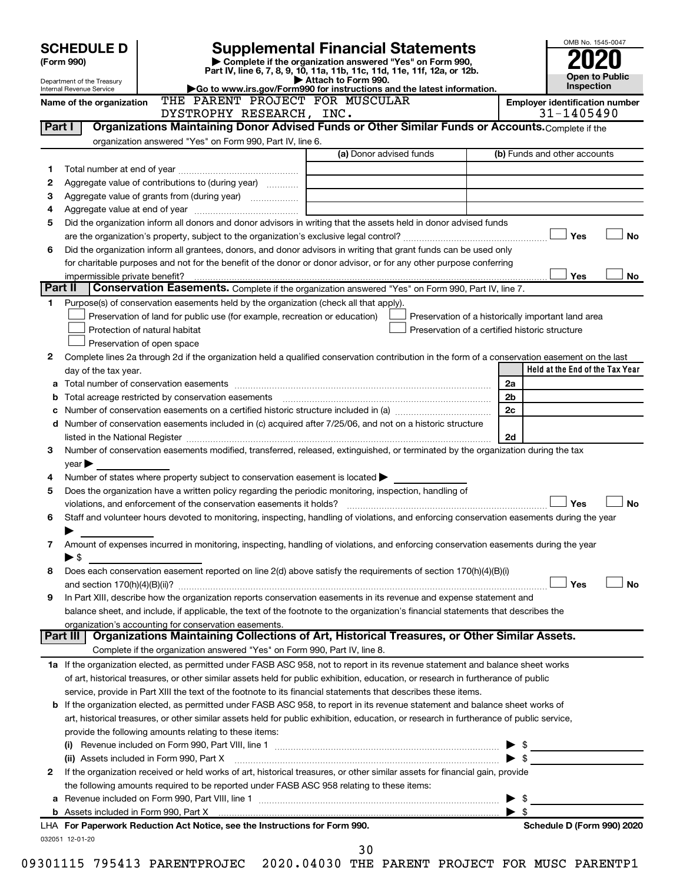|         | <b>SCHEDULE D</b>                                           |                                                                                           | <b>Supplemental Financial Statements</b>                                                                                                       |                          | OMB No. 1545-0047                     |
|---------|-------------------------------------------------------------|-------------------------------------------------------------------------------------------|------------------------------------------------------------------------------------------------------------------------------------------------|--------------------------|---------------------------------------|
|         | (Form 990)                                                  |                                                                                           | Complete if the organization answered "Yes" on Form 990,<br>Part IV, line 6, 7, 8, 9, 10, 11a, 11b, 11c, 11d, 11e, 11f, 12a, or 12b.           |                          |                                       |
|         | Department of the Treasury                                  |                                                                                           | Attach to Form 990.                                                                                                                            |                          | <b>Open to Public</b><br>Inspection   |
|         | <b>Internal Revenue Service</b><br>Name of the organization | THE PARENT PROJECT FOR MUSCULAR                                                           | Go to www.irs.gov/Form990 for instructions and the latest information.                                                                         |                          | <b>Employer identification number</b> |
|         |                                                             | DYSTROPHY RESEARCH, INC.                                                                  |                                                                                                                                                |                          | $31 - 1405490$                        |
| Part I  |                                                             |                                                                                           | Organizations Maintaining Donor Advised Funds or Other Similar Funds or Accounts. Complete if the                                              |                          |                                       |
|         |                                                             | organization answered "Yes" on Form 990, Part IV, line 6.                                 |                                                                                                                                                |                          |                                       |
|         |                                                             |                                                                                           | (a) Donor advised funds                                                                                                                        |                          | (b) Funds and other accounts          |
| 1       |                                                             |                                                                                           |                                                                                                                                                |                          |                                       |
| 2       |                                                             | Aggregate value of contributions to (during year)                                         |                                                                                                                                                |                          |                                       |
| З       |                                                             |                                                                                           | the control of the control of the control of the control of the control of                                                                     |                          |                                       |
| 4       |                                                             |                                                                                           |                                                                                                                                                |                          |                                       |
| 5       |                                                             |                                                                                           | Did the organization inform all donors and donor advisors in writing that the assets held in donor advised funds                               |                          | Yes<br><b>No</b>                      |
| 6       |                                                             |                                                                                           | Did the organization inform all grantees, donors, and donor advisors in writing that grant funds can be used only                              |                          |                                       |
|         |                                                             |                                                                                           | for charitable purposes and not for the benefit of the donor or donor advisor, or for any other purpose conferring                             |                          |                                       |
|         |                                                             |                                                                                           |                                                                                                                                                |                          | No<br>Yes                             |
| Part II |                                                             |                                                                                           | Conservation Easements. Complete if the organization answered "Yes" on Form 990, Part IV, line 7.                                              |                          |                                       |
| 1.      |                                                             | Purpose(s) of conservation easements held by the organization (check all that apply).     |                                                                                                                                                |                          |                                       |
|         |                                                             | Preservation of land for public use (for example, recreation or education)                | Preservation of a historically important land area                                                                                             |                          |                                       |
|         | Protection of natural habitat                               |                                                                                           | Preservation of a certified historic structure                                                                                                 |                          |                                       |
|         | Preservation of open space                                  |                                                                                           |                                                                                                                                                |                          |                                       |
| 2       |                                                             |                                                                                           | Complete lines 2a through 2d if the organization held a qualified conservation contribution in the form of a conservation easement on the last |                          |                                       |
|         | day of the tax year.                                        |                                                                                           |                                                                                                                                                |                          | Held at the End of the Tax Year       |
| а       |                                                             |                                                                                           |                                                                                                                                                | 2a                       |                                       |
| b       |                                                             |                                                                                           |                                                                                                                                                | 2b                       |                                       |
| с       |                                                             |                                                                                           |                                                                                                                                                | 2c                       |                                       |
|         |                                                             |                                                                                           | d Number of conservation easements included in (c) acquired after 7/25/06, and not on a historic structure                                     |                          |                                       |
| 3       |                                                             |                                                                                           | Number of conservation easements modified, transferred, released, extinguished, or terminated by the organization during the tax               | 2d                       |                                       |
|         | $\mathsf{year}$                                             |                                                                                           |                                                                                                                                                |                          |                                       |
| 4       |                                                             | Number of states where property subject to conservation easement is located >             |                                                                                                                                                |                          |                                       |
| 5       |                                                             |                                                                                           | Does the organization have a written policy regarding the periodic monitoring, inspection, handling of                                         |                          |                                       |
|         |                                                             | violations, and enforcement of the conservation easements it holds?                       |                                                                                                                                                |                          | Yes<br><b>No</b>                      |
| 6       |                                                             |                                                                                           | Staff and volunteer hours devoted to monitoring, inspecting, handling of violations, and enforcing conservation easements during the year      |                          |                                       |
|         |                                                             |                                                                                           |                                                                                                                                                |                          |                                       |
| 7       |                                                             |                                                                                           | Amount of expenses incurred in monitoring, inspecting, handling of violations, and enforcing conservation easements during the year            |                          |                                       |
|         | $\blacktriangleright$ \$                                    |                                                                                           |                                                                                                                                                |                          |                                       |
| 8       |                                                             |                                                                                           | Does each conservation easement reported on line 2(d) above satisfy the requirements of section 170(h)(4)(B)(i)                                |                          |                                       |
|         |                                                             |                                                                                           |                                                                                                                                                |                          | Yes<br><b>No</b>                      |
| 9       |                                                             |                                                                                           | In Part XIII, describe how the organization reports conservation easements in its revenue and expense statement and                            |                          |                                       |
|         |                                                             |                                                                                           | balance sheet, and include, if applicable, the text of the footnote to the organization's financial statements that describes the              |                          |                                       |
|         | Part III                                                    | organization's accounting for conservation easements.                                     | Organizations Maintaining Collections of Art, Historical Treasures, or Other Similar Assets.                                                   |                          |                                       |
|         |                                                             | Complete if the organization answered "Yes" on Form 990, Part IV, line 8.                 |                                                                                                                                                |                          |                                       |
|         |                                                             |                                                                                           | 1a If the organization elected, as permitted under FASB ASC 958, not to report in its revenue statement and balance sheet works                |                          |                                       |
|         |                                                             |                                                                                           | of art, historical treasures, or other similar assets held for public exhibition, education, or research in furtherance of public              |                          |                                       |
|         |                                                             |                                                                                           | service, provide in Part XIII the text of the footnote to its financial statements that describes these items.                                 |                          |                                       |
|         |                                                             |                                                                                           | <b>b</b> If the organization elected, as permitted under FASB ASC 958, to report in its revenue statement and balance sheet works of           |                          |                                       |
|         |                                                             |                                                                                           | art, historical treasures, or other similar assets held for public exhibition, education, or research in furtherance of public service,        |                          |                                       |
|         |                                                             | provide the following amounts relating to these items:                                    |                                                                                                                                                |                          |                                       |
|         |                                                             |                                                                                           |                                                                                                                                                |                          | $\frac{1}{2}$                         |
|         |                                                             |                                                                                           |                                                                                                                                                |                          | $\triangleright$ \$                   |
| 2       |                                                             |                                                                                           | If the organization received or held works of art, historical treasures, or other similar assets for financial gain, provide                   |                          |                                       |
|         |                                                             | the following amounts required to be reported under FASB ASC 958 relating to these items: |                                                                                                                                                |                          |                                       |
|         |                                                             |                                                                                           |                                                                                                                                                | $\blacktriangleright$ \$ |                                       |
|         |                                                             |                                                                                           |                                                                                                                                                | $\blacktriangleright$ s  |                                       |
|         |                                                             | LHA For Paperwork Reduction Act Notice, see the Instructions for Form 990.                |                                                                                                                                                |                          | Schedule D (Form 990) 2020            |
|         | 032051 12-01-20                                             |                                                                                           | 30                                                                                                                                             |                          |                                       |
|         |                                                             |                                                                                           |                                                                                                                                                |                          |                                       |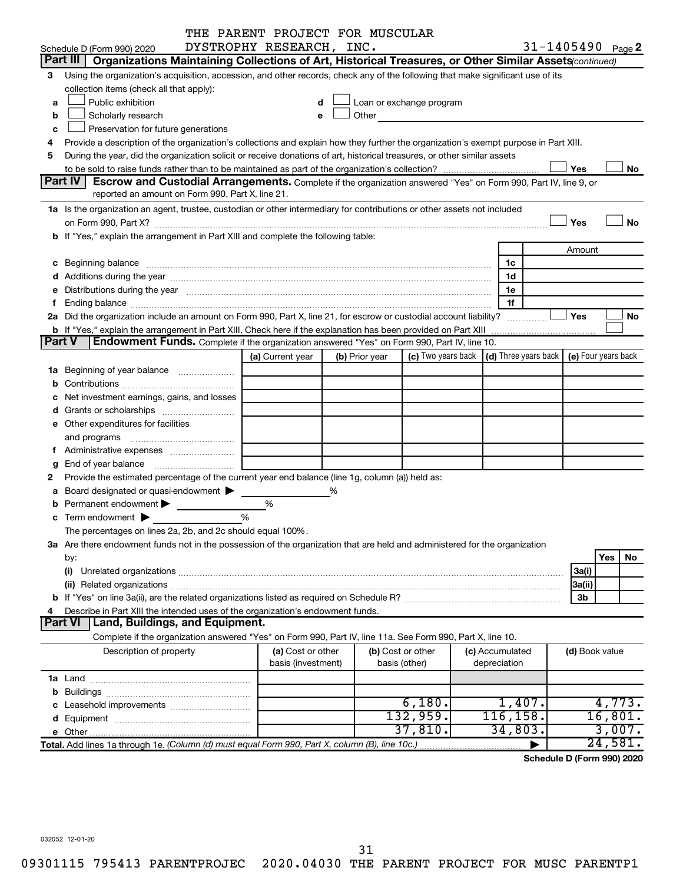|    |                                                                                                                                                                                                                                | THE PARENT PROJECT FOR MUSCULAR         |   |                |                                                                                                                                                                                                                               |                                 |                                              |
|----|--------------------------------------------------------------------------------------------------------------------------------------------------------------------------------------------------------------------------------|-----------------------------------------|---|----------------|-------------------------------------------------------------------------------------------------------------------------------------------------------------------------------------------------------------------------------|---------------------------------|----------------------------------------------|
|    | Schedule D (Form 990) 2020                                                                                                                                                                                                     | DYSTROPHY RESEARCH, INC.                |   |                |                                                                                                                                                                                                                               |                                 | $31 - 1405490$ Page 2                        |
|    | Part III  <br>Organizations Maintaining Collections of Art, Historical Treasures, or Other Similar Assets (continued)                                                                                                          |                                         |   |                |                                                                                                                                                                                                                               |                                 |                                              |
| 3  | Using the organization's acquisition, accession, and other records, check any of the following that make significant use of its                                                                                                |                                         |   |                |                                                                                                                                                                                                                               |                                 |                                              |
|    | collection items (check all that apply):                                                                                                                                                                                       |                                         |   |                |                                                                                                                                                                                                                               |                                 |                                              |
| a  | Public exhibition                                                                                                                                                                                                              |                                         | d |                | Loan or exchange program                                                                                                                                                                                                      |                                 |                                              |
| b  | Scholarly research                                                                                                                                                                                                             |                                         | е |                | Other and the contract of the contract of the contract of the contract of the contract of the contract of the contract of the contract of the contract of the contract of the contract of the contract of the contract of the |                                 |                                              |
| с  | Preservation for future generations                                                                                                                                                                                            |                                         |   |                |                                                                                                                                                                                                                               |                                 |                                              |
| 4  | Provide a description of the organization's collections and explain how they further the organization's exempt purpose in Part XIII.                                                                                           |                                         |   |                |                                                                                                                                                                                                                               |                                 |                                              |
| 5  | During the year, did the organization solicit or receive donations of art, historical treasures, or other similar assets                                                                                                       |                                         |   |                |                                                                                                                                                                                                                               |                                 |                                              |
|    |                                                                                                                                                                                                                                |                                         |   |                |                                                                                                                                                                                                                               |                                 | Yes<br>No                                    |
|    | Part IV<br><b>Escrow and Custodial Arrangements.</b> Complete if the organization answered "Yes" on Form 990, Part IV, line 9, or                                                                                              |                                         |   |                |                                                                                                                                                                                                                               |                                 |                                              |
|    | reported an amount on Form 990, Part X, line 21.                                                                                                                                                                               |                                         |   |                |                                                                                                                                                                                                                               |                                 |                                              |
|    | 1a Is the organization an agent, trustee, custodian or other intermediary for contributions or other assets not included                                                                                                       |                                         |   |                |                                                                                                                                                                                                                               |                                 |                                              |
|    |                                                                                                                                                                                                                                |                                         |   |                |                                                                                                                                                                                                                               |                                 | Yes<br>No                                    |
|    | b If "Yes," explain the arrangement in Part XIII and complete the following table:                                                                                                                                             |                                         |   |                |                                                                                                                                                                                                                               |                                 |                                              |
|    |                                                                                                                                                                                                                                |                                         |   |                |                                                                                                                                                                                                                               |                                 | Amount                                       |
|    |                                                                                                                                                                                                                                |                                         |   |                |                                                                                                                                                                                                                               | 1c                              |                                              |
|    |                                                                                                                                                                                                                                |                                         |   |                |                                                                                                                                                                                                                               | 1d                              |                                              |
|    | Distributions during the year manufactured and an account of the year manufactured and the year manufactured and the year manufactured and the year manufactured and the year manufactured and the year manufactured and the y |                                         |   |                |                                                                                                                                                                                                                               | 1e                              |                                              |
|    |                                                                                                                                                                                                                                |                                         |   |                |                                                                                                                                                                                                                               | 1f                              |                                              |
|    | 2a Did the organization include an amount on Form 990, Part X, line 21, for escrow or custodial account liability?                                                                                                             |                                         |   |                |                                                                                                                                                                                                                               | .                               | Yes<br>No                                    |
|    | b If "Yes," explain the arrangement in Part XIII. Check here if the explanation has been provided on Part XIII                                                                                                                 |                                         |   |                |                                                                                                                                                                                                                               |                                 |                                              |
|    | <b>Part V</b><br>Endowment Funds. Complete if the organization answered "Yes" on Form 990, Part IV, line 10.                                                                                                                   |                                         |   |                |                                                                                                                                                                                                                               |                                 |                                              |
|    |                                                                                                                                                                                                                                | (a) Current year                        |   | (b) Prior year | (c) Two years back                                                                                                                                                                                                            |                                 | $(d)$ Three years back $(e)$ Four years back |
|    | <b>1a</b> Beginning of year balance                                                                                                                                                                                            |                                         |   |                |                                                                                                                                                                                                                               |                                 |                                              |
| b  |                                                                                                                                                                                                                                |                                         |   |                |                                                                                                                                                                                                                               |                                 |                                              |
|    | Net investment earnings, gains, and losses                                                                                                                                                                                     |                                         |   |                |                                                                                                                                                                                                                               |                                 |                                              |
|    |                                                                                                                                                                                                                                |                                         |   |                |                                                                                                                                                                                                                               |                                 |                                              |
|    | e Other expenditures for facilities                                                                                                                                                                                            |                                         |   |                |                                                                                                                                                                                                                               |                                 |                                              |
|    | and programs                                                                                                                                                                                                                   |                                         |   |                |                                                                                                                                                                                                                               |                                 |                                              |
| f. | Administrative expenses                                                                                                                                                                                                        |                                         |   |                |                                                                                                                                                                                                                               |                                 |                                              |
| g  |                                                                                                                                                                                                                                |                                         |   |                |                                                                                                                                                                                                                               |                                 |                                              |
| 2  | Provide the estimated percentage of the current year end balance (line 1g, column (a)) held as:                                                                                                                                |                                         |   |                |                                                                                                                                                                                                                               |                                 |                                              |
| a  | Board designated or quasi-endowment                                                                                                                                                                                            |                                         | % |                |                                                                                                                                                                                                                               |                                 |                                              |
|    | Permanent endowment >                                                                                                                                                                                                          | %                                       |   |                |                                                                                                                                                                                                                               |                                 |                                              |
|    | $c$ Term endowment $\blacktriangleright$                                                                                                                                                                                       | $\frac{0}{0}$                           |   |                |                                                                                                                                                                                                                               |                                 |                                              |
|    | The percentages on lines 2a, 2b, and 2c should equal 100%.                                                                                                                                                                     |                                         |   |                |                                                                                                                                                                                                                               |                                 |                                              |
|    | 3a Are there endowment funds not in the possession of the organization that are held and administered for the organization                                                                                                     |                                         |   |                |                                                                                                                                                                                                                               |                                 |                                              |
|    | by:                                                                                                                                                                                                                            |                                         |   |                |                                                                                                                                                                                                                               |                                 | Yes<br>No.                                   |
|    | (i)                                                                                                                                                                                                                            |                                         |   |                |                                                                                                                                                                                                                               |                                 | 3a(i)                                        |
|    |                                                                                                                                                                                                                                |                                         |   |                |                                                                                                                                                                                                                               |                                 | 3a(ii)                                       |
|    |                                                                                                                                                                                                                                |                                         |   |                |                                                                                                                                                                                                                               |                                 | 3b                                           |
| 4  | Describe in Part XIII the intended uses of the organization's endowment funds.                                                                                                                                                 |                                         |   |                |                                                                                                                                                                                                                               |                                 |                                              |
|    | <b>Part VI</b><br>  Land, Buildings, and Equipment.                                                                                                                                                                            |                                         |   |                |                                                                                                                                                                                                                               |                                 |                                              |
|    | Complete if the organization answered "Yes" on Form 990, Part IV, line 11a. See Form 990, Part X, line 10.                                                                                                                     |                                         |   |                |                                                                                                                                                                                                                               |                                 |                                              |
|    | Description of property                                                                                                                                                                                                        | (a) Cost or other<br>basis (investment) |   |                | (b) Cost or other<br>basis (other)                                                                                                                                                                                            | (c) Accumulated<br>depreciation | (d) Book value                               |
|    |                                                                                                                                                                                                                                |                                         |   |                |                                                                                                                                                                                                                               |                                 |                                              |
|    |                                                                                                                                                                                                                                |                                         |   |                |                                                                                                                                                                                                                               |                                 |                                              |
|    |                                                                                                                                                                                                                                |                                         |   |                | 6,180.                                                                                                                                                                                                                        | 1,407.                          | 4,773.                                       |
|    |                                                                                                                                                                                                                                |                                         |   |                | 132,959.                                                                                                                                                                                                                      | 116, 158.                       | 16,801.                                      |
|    |                                                                                                                                                                                                                                |                                         |   |                | 37,810.                                                                                                                                                                                                                       | 34,803.                         | 3,007.                                       |
|    | Total. Add lines 1a through 1e. (Column (d) must equal Form 990, Part X, column (B), line 10c.)                                                                                                                                |                                         |   |                |                                                                                                                                                                                                                               |                                 | 24,581.                                      |
|    |                                                                                                                                                                                                                                |                                         |   |                |                                                                                                                                                                                                                               |                                 |                                              |

**Schedule D (Form 990) 2020**

032052 12-01-20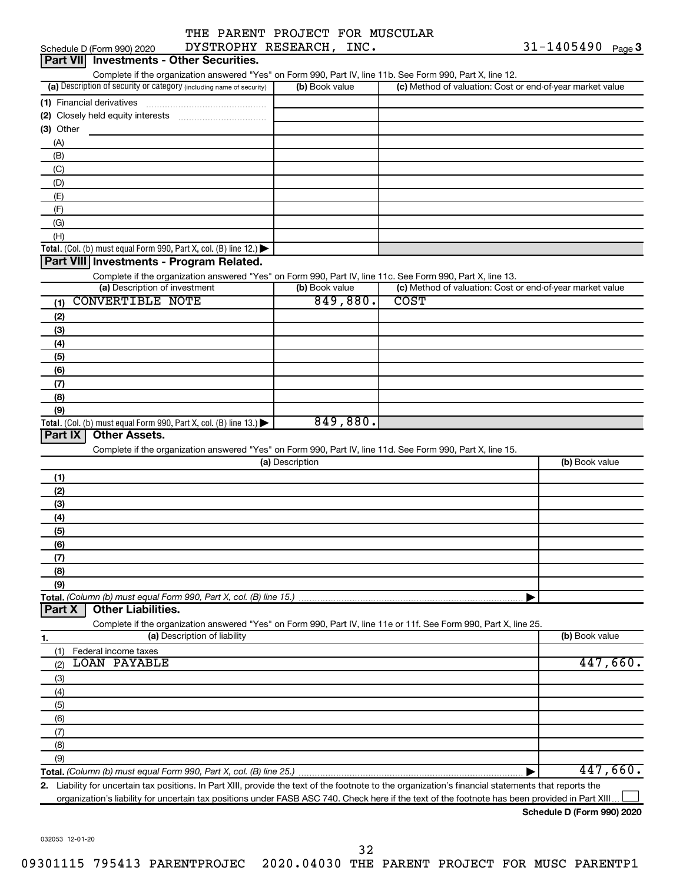|                          |  | THE PARENT PROJECT FOR MUSCULAR |
|--------------------------|--|---------------------------------|
| DYSTROPHY RESEARCH, INC. |  |                                 |

| Schedule D (Form 990) 2020<br>DYSTROPHY RESEARCH,<br>Part VII Investments - Other Securities.                                                        | TMC.            |                                                           | 31-1405490<br>Page 3 |
|------------------------------------------------------------------------------------------------------------------------------------------------------|-----------------|-----------------------------------------------------------|----------------------|
| Complete if the organization answered "Yes" on Form 990, Part IV, line 11b. See Form 990, Part X, line 12.                                           |                 |                                                           |                      |
| (a) Description of security or category (including name of security)                                                                                 | (b) Book value  | (c) Method of valuation: Cost or end-of-year market value |                      |
| (1) Financial derivatives                                                                                                                            |                 |                                                           |                      |
|                                                                                                                                                      |                 |                                                           |                      |
| (3) Other                                                                                                                                            |                 |                                                           |                      |
| (A)                                                                                                                                                  |                 |                                                           |                      |
| (B)                                                                                                                                                  |                 |                                                           |                      |
| (C)                                                                                                                                                  |                 |                                                           |                      |
| (D)                                                                                                                                                  |                 |                                                           |                      |
| (E)                                                                                                                                                  |                 |                                                           |                      |
| (F)                                                                                                                                                  |                 |                                                           |                      |
| (G)                                                                                                                                                  |                 |                                                           |                      |
| (H)                                                                                                                                                  |                 |                                                           |                      |
| Total. (Col. (b) must equal Form 990, Part X, col. (B) line 12.)                                                                                     |                 |                                                           |                      |
| Part VIII Investments - Program Related.                                                                                                             |                 |                                                           |                      |
| Complete if the organization answered "Yes" on Form 990, Part IV, line 11c. See Form 990, Part X, line 13.                                           |                 |                                                           |                      |
| (a) Description of investment                                                                                                                        | (b) Book value  | (c) Method of valuation: Cost or end-of-year market value |                      |
| <b>CONVERTIBLE NOTE</b><br>(1)                                                                                                                       | 849,880.        | <b>COST</b>                                               |                      |
| (2)                                                                                                                                                  |                 |                                                           |                      |
| (3)                                                                                                                                                  |                 |                                                           |                      |
| (4)                                                                                                                                                  |                 |                                                           |                      |
| (5)                                                                                                                                                  |                 |                                                           |                      |
| (6)                                                                                                                                                  |                 |                                                           |                      |
| (7)                                                                                                                                                  |                 |                                                           |                      |
| (8)                                                                                                                                                  |                 |                                                           |                      |
| (9)                                                                                                                                                  |                 |                                                           |                      |
| Total. (Col. (b) must equal Form 990, Part X, col. (B) line 13.) $\blacktriangleright$                                                               | 849,880.        |                                                           |                      |
| <b>Other Assets.</b><br>Part IX                                                                                                                      |                 |                                                           |                      |
| Complete if the organization answered "Yes" on Form 990, Part IV, line 11d. See Form 990, Part X, line 15.                                           |                 |                                                           |                      |
|                                                                                                                                                      | (a) Description |                                                           | (b) Book value       |
| (1)                                                                                                                                                  |                 |                                                           |                      |
| (2)                                                                                                                                                  |                 |                                                           |                      |
| (3)                                                                                                                                                  |                 |                                                           |                      |
| (4)                                                                                                                                                  |                 |                                                           |                      |
| (5)                                                                                                                                                  |                 |                                                           |                      |
| (6)                                                                                                                                                  |                 |                                                           |                      |
| (7)                                                                                                                                                  |                 |                                                           |                      |
| (8)                                                                                                                                                  |                 |                                                           |                      |
| (9)                                                                                                                                                  |                 |                                                           |                      |
|                                                                                                                                                      |                 |                                                           |                      |
| <b>Other Liabilities.</b><br>Part X                                                                                                                  |                 |                                                           |                      |
| Complete if the organization answered "Yes" on Form 990, Part IV, line 11e or 11f. See Form 990, Part X, line 25.                                    |                 |                                                           |                      |
| (a) Description of liability<br>1.                                                                                                                   |                 |                                                           | (b) Book value       |
| Federal income taxes<br>(1)                                                                                                                          |                 |                                                           |                      |
| <b>LOAN PAYABLE</b><br>(2)                                                                                                                           |                 |                                                           | 447,660.             |
| (3)                                                                                                                                                  |                 |                                                           |                      |
| (4)                                                                                                                                                  |                 |                                                           |                      |
| (5)                                                                                                                                                  |                 |                                                           |                      |
| (6)                                                                                                                                                  |                 |                                                           |                      |
| (7)                                                                                                                                                  |                 |                                                           |                      |
| (8)                                                                                                                                                  |                 |                                                           |                      |
| (9)                                                                                                                                                  |                 |                                                           |                      |
|                                                                                                                                                      |                 |                                                           | 447,660.             |
| 2. Liability for uncertain tax positions. In Part XIII, provide the text of the footnote to the organization's financial statements that reports the |                 |                                                           |                      |

organization's liability for uncertain tax positions under FASB ASC 740. Check here if the text of the footnote has been provided in Part XIII...

**Schedule D (Form 990) 2020**

032053 12-01-20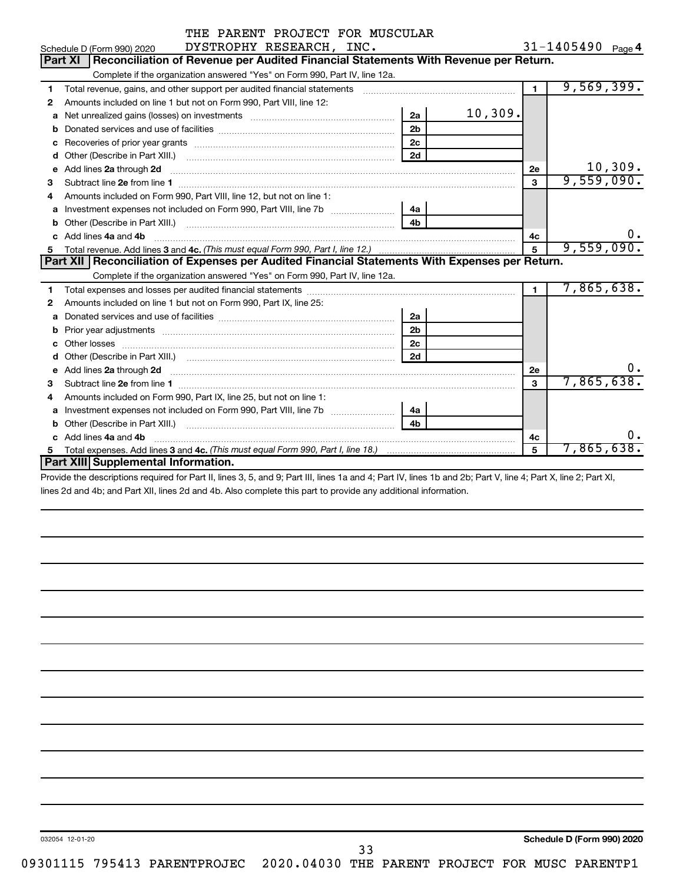| THE PARENT PROJECT FOR MUSCULAR                                                                                                                                                                                                           |                |            |                |                       |
|-------------------------------------------------------------------------------------------------------------------------------------------------------------------------------------------------------------------------------------------|----------------|------------|----------------|-----------------------|
| DYSTROPHY RESEARCH, INC.<br>Schedule D (Form 990) 2020                                                                                                                                                                                    |                |            |                | $31 - 1405490$ Page 4 |
| <b>Part XI</b><br>Reconciliation of Revenue per Audited Financial Statements With Revenue per Return.                                                                                                                                     |                |            |                |                       |
| Complete if the organization answered "Yes" on Form 990, Part IV, line 12a.                                                                                                                                                               |                |            |                |                       |
| Total revenue, gains, and other support per audited financial statements [111] [11] Total revenue, gains, and other support per audited financial statements<br>1                                                                         |                |            | $\mathbf 1$    | 9,569,399.            |
| Amounts included on line 1 but not on Form 990, Part VIII, line 12:<br>2                                                                                                                                                                  |                |            |                |                       |
| Net unrealized gains (losses) on investments [111] [12] matter and the unrealized gains (losses) on investments<br>a                                                                                                                      | 2a             | 10, 309.   |                |                       |
|                                                                                                                                                                                                                                           | 2 <sub>b</sub> |            |                |                       |
|                                                                                                                                                                                                                                           | 2c             |            |                |                       |
| d                                                                                                                                                                                                                                         | 2d             |            |                |                       |
| Add lines 2a through 2d <b>continuum continuum contract and continuum contract and continuum contract and continuum contract and continuum contract and continuum contract and continuum contract and continuum contract and con</b><br>e |                |            | 2e             | 10,309.               |
| 3                                                                                                                                                                                                                                         |                |            | 3              | 9,559,090.            |
| Amounts included on Form 990, Part VIII, line 12, but not on line 1:<br>4                                                                                                                                                                 |                |            |                |                       |
| a                                                                                                                                                                                                                                         | 4a             |            |                |                       |
| b                                                                                                                                                                                                                                         | 4h             |            |                |                       |
| Add lines 4a and 4b                                                                                                                                                                                                                       |                |            | 4c             | $0 \cdot$             |
| 5                                                                                                                                                                                                                                         | $\overline{5}$ | 9,559,090. |                |                       |
| Part XII   Reconciliation of Expenses per Audited Financial Statements With Expenses per Return.                                                                                                                                          |                |            |                |                       |
| Complete if the organization answered "Yes" on Form 990, Part IV, line 12a.                                                                                                                                                               |                |            |                |                       |
| 1                                                                                                                                                                                                                                         |                |            | $\blacksquare$ | 7,865,638.            |
| Amounts included on line 1 but not on Form 990, Part IX, line 25:<br>2                                                                                                                                                                    |                |            |                |                       |
| a                                                                                                                                                                                                                                         | 2a             |            |                |                       |
| b                                                                                                                                                                                                                                         | 2 <sub>b</sub> |            |                |                       |
|                                                                                                                                                                                                                                           | 2 <sub>c</sub> |            |                |                       |
|                                                                                                                                                                                                                                           | 2d             |            |                |                       |
|                                                                                                                                                                                                                                           |                |            | 2e             | 0.                    |
| З                                                                                                                                                                                                                                         |                |            | 3              | 7,865,638.            |
| Amounts included on Form 990, Part IX, line 25, but not on line 1:<br>4                                                                                                                                                                   |                |            |                |                       |
| a                                                                                                                                                                                                                                         | 4a             |            |                |                       |
|                                                                                                                                                                                                                                           | 4b             |            |                |                       |
| c Add lines 4a and 4b                                                                                                                                                                                                                     |                |            | 4c             | υ.                    |
| 5                                                                                                                                                                                                                                         |                |            | 5              | 7,865,638.            |
| Part XIII Supplemental Information.                                                                                                                                                                                                       |                |            |                |                       |

Provide the descriptions required for Part II, lines 3, 5, and 9; Part III, lines 1a and 4; Part IV, lines 1b and 2b; Part V, line 4; Part X, line 2; Part XI, lines 2d and 4b; and Part XII, lines 2d and 4b. Also complete this part to provide any additional information.

**Schedule D (Form 990) 2020**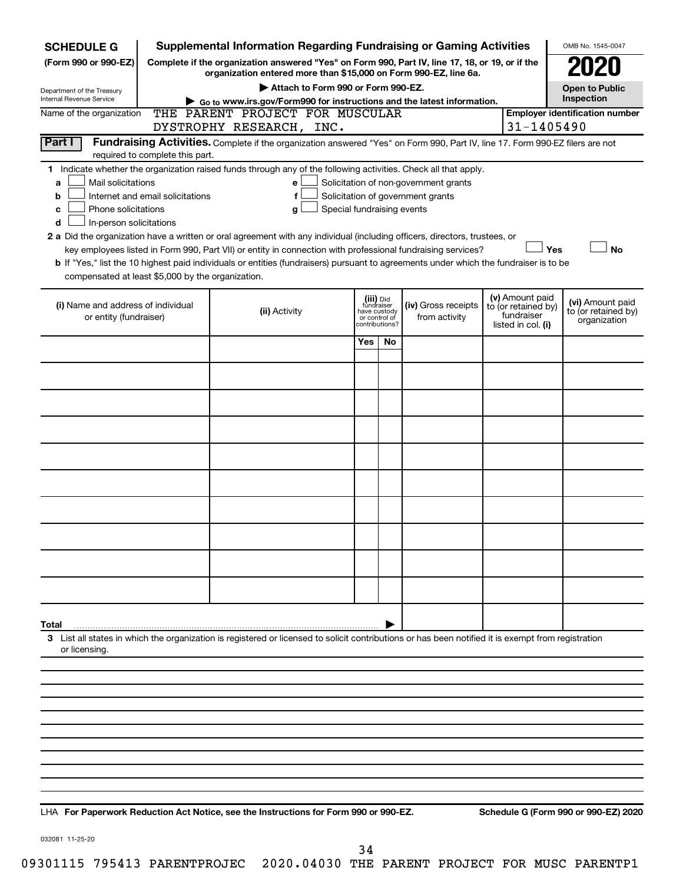| <b>SCHEDULE G</b>                                                                                                          |                                 | <b>Supplemental Information Regarding Fundraising or Gaming Activities</b>                                                                                          |                               |     |                     |                    |                                   | OMB No. 1545-0047                     |  |  |  |
|----------------------------------------------------------------------------------------------------------------------------|---------------------------------|---------------------------------------------------------------------------------------------------------------------------------------------------------------------|-------------------------------|-----|---------------------|--------------------|-----------------------------------|---------------------------------------|--|--|--|
| (Form 990 or 990-EZ)                                                                                                       |                                 | Complete if the organization answered "Yes" on Form 990, Part IV, line 17, 18, or 19, or if the<br>organization entered more than \$15,000 on Form 990-EZ, line 6a. |                               |     |                     |                    |                                   |                                       |  |  |  |
| Department of the Treasury                                                                                                 |                                 | Attach to Form 990 or Form 990-EZ.                                                                                                                                  |                               |     |                     |                    |                                   | <b>Open to Public</b>                 |  |  |  |
| Internal Revenue Service                                                                                                   |                                 | Go to www.irs.gov/Form990 for instructions and the latest information.                                                                                              |                               |     |                     |                    |                                   | Inspection                            |  |  |  |
| Name of the organization                                                                                                   |                                 | THE PARENT PROJECT FOR MUSCULAR<br>DYSTROPHY RESEARCH, INC.                                                                                                         |                               |     |                     |                    | 31-1405490                        | <b>Employer identification number</b> |  |  |  |
| Part I                                                                                                                     |                                 | Fundraising Activities. Complete if the organization answered "Yes" on Form 990, Part IV, line 17. Form 990-EZ filers are not                                       |                               |     |                     |                    |                                   |                                       |  |  |  |
|                                                                                                                            | required to complete this part. |                                                                                                                                                                     |                               |     |                     |                    |                                   |                                       |  |  |  |
| Mail solicitations<br>a                                                                                                    |                                 | 1 Indicate whether the organization raised funds through any of the following activities. Check all that apply.<br>е                                                |                               |     |                     |                    |                                   |                                       |  |  |  |
| Solicitation of non-government grants<br>Internet and email solicitations<br>Solicitation of government grants<br>f<br>b   |                                 |                                                                                                                                                                     |                               |     |                     |                    |                                   |                                       |  |  |  |
| Phone solicitations<br>c                                                                                                   |                                 | Special fundraising events<br>g                                                                                                                                     |                               |     |                     |                    |                                   |                                       |  |  |  |
| In-person solicitations<br>d                                                                                               |                                 |                                                                                                                                                                     |                               |     |                     |                    |                                   |                                       |  |  |  |
| 2 a Did the organization have a written or oral agreement with any individual (including officers, directors, trustees, or |                                 |                                                                                                                                                                     |                               |     |                     |                    |                                   |                                       |  |  |  |
|                                                                                                                            |                                 | key employees listed in Form 990, Part VII) or entity in connection with professional fundraising services?                                                         |                               |     |                     |                    | Yes                               | <b>No</b>                             |  |  |  |
|                                                                                                                            |                                 | b If "Yes," list the 10 highest paid individuals or entities (fundraisers) pursuant to agreements under which the fundraiser is to be                               |                               |     |                     |                    |                                   |                                       |  |  |  |
| compensated at least \$5,000 by the organization.                                                                          |                                 |                                                                                                                                                                     |                               |     |                     |                    |                                   |                                       |  |  |  |
| (i) Name and address of individual                                                                                         |                                 |                                                                                                                                                                     | (iii) Did<br>fundraiser       |     | (iv) Gross receipts |                    | (v) Amount paid                   | (vi) Amount paid                      |  |  |  |
| or entity (fundraiser)                                                                                                     |                                 | (ii) Activity                                                                                                                                                       | have custody<br>or control of |     | from activity       |                    | to (or retained by)<br>fundraiser | to (or retained by)<br>organization   |  |  |  |
|                                                                                                                            |                                 |                                                                                                                                                                     | contributions?                |     |                     | listed in col. (i) |                                   |                                       |  |  |  |
|                                                                                                                            |                                 |                                                                                                                                                                     | Yes                           | No. |                     |                    |                                   |                                       |  |  |  |
|                                                                                                                            |                                 |                                                                                                                                                                     |                               |     |                     |                    |                                   |                                       |  |  |  |
|                                                                                                                            |                                 |                                                                                                                                                                     |                               |     |                     |                    |                                   |                                       |  |  |  |
|                                                                                                                            |                                 |                                                                                                                                                                     |                               |     |                     |                    |                                   |                                       |  |  |  |
|                                                                                                                            |                                 |                                                                                                                                                                     |                               |     |                     |                    |                                   |                                       |  |  |  |
|                                                                                                                            |                                 |                                                                                                                                                                     |                               |     |                     |                    |                                   |                                       |  |  |  |
|                                                                                                                            |                                 |                                                                                                                                                                     |                               |     |                     |                    |                                   |                                       |  |  |  |
|                                                                                                                            |                                 |                                                                                                                                                                     |                               |     |                     |                    |                                   |                                       |  |  |  |
|                                                                                                                            |                                 |                                                                                                                                                                     |                               |     |                     |                    |                                   |                                       |  |  |  |
|                                                                                                                            |                                 |                                                                                                                                                                     |                               |     |                     |                    |                                   |                                       |  |  |  |
|                                                                                                                            |                                 |                                                                                                                                                                     |                               |     |                     |                    |                                   |                                       |  |  |  |
|                                                                                                                            |                                 |                                                                                                                                                                     |                               |     |                     |                    |                                   |                                       |  |  |  |
| Total                                                                                                                      |                                 |                                                                                                                                                                     |                               |     |                     |                    |                                   |                                       |  |  |  |
| or licensing.                                                                                                              |                                 | 3 List all states in which the organization is registered or licensed to solicit contributions or has been notified it is exempt from registration                  |                               |     |                     |                    |                                   |                                       |  |  |  |
|                                                                                                                            |                                 |                                                                                                                                                                     |                               |     |                     |                    |                                   |                                       |  |  |  |
|                                                                                                                            |                                 |                                                                                                                                                                     |                               |     |                     |                    |                                   |                                       |  |  |  |
|                                                                                                                            |                                 |                                                                                                                                                                     |                               |     |                     |                    |                                   |                                       |  |  |  |
|                                                                                                                            |                                 |                                                                                                                                                                     |                               |     |                     |                    |                                   |                                       |  |  |  |
|                                                                                                                            |                                 |                                                                                                                                                                     |                               |     |                     |                    |                                   |                                       |  |  |  |
|                                                                                                                            |                                 |                                                                                                                                                                     |                               |     |                     |                    |                                   |                                       |  |  |  |
|                                                                                                                            |                                 |                                                                                                                                                                     |                               |     |                     |                    |                                   |                                       |  |  |  |
|                                                                                                                            |                                 |                                                                                                                                                                     |                               |     |                     |                    |                                   |                                       |  |  |  |
|                                                                                                                            |                                 |                                                                                                                                                                     |                               |     |                     |                    |                                   |                                       |  |  |  |

**For Paperwork Reduction Act Notice, see the Instructions for Form 990 or 990-EZ. Schedule G (Form 990 or 990-EZ) 2020** LHA

032081 11-25-20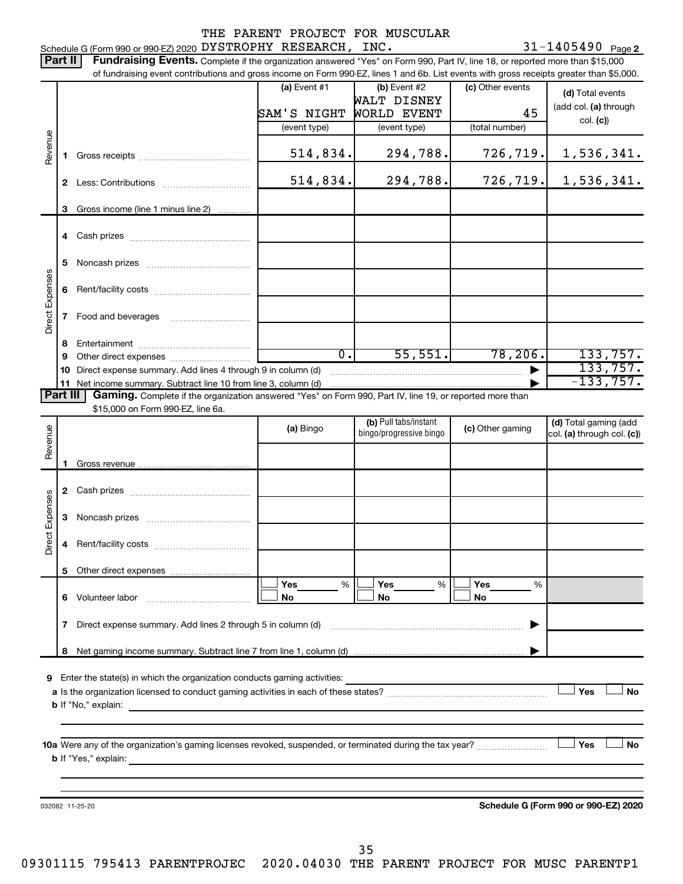### Schedule G (Form 990 or 990-EZ) 2020 DYSTROPHY RESEARCH, INC.  $31-1405490$   $_{\rm Page}$ THE PARENT PROJECT FOR MUSCULAR

31-1405490 Page 2

Part II | Fundraising Events. Complete if the organization answered "Yes" on Form 990, Part IV, line 18, or reported more than \$15,000 of fundraising event contributions and gross income on Form 990-EZ, lines 1 and 6b. List events with gross receipts greater than \$5,000.

|                 |    |                                                                                                          | (a) Event $#1$                  |    | $(b)$ Event #2          | (c) Other events        | (d) Total events                     |
|-----------------|----|----------------------------------------------------------------------------------------------------------|---------------------------------|----|-------------------------|-------------------------|--------------------------------------|
|                 |    |                                                                                                          |                                 |    | WALT DISNEY             |                         |                                      |
|                 |    |                                                                                                          | SAM'S NIGHT                     |    | WORLD EVENT             | 45                      | (add col. (a) through                |
|                 |    |                                                                                                          | (event type)                    |    | (event type)            | (total number)          | col. (c)                             |
|                 |    |                                                                                                          |                                 |    |                         |                         |                                      |
| Revenue         | 1. |                                                                                                          | 514,834.                        |    | 294,788.                | 726,719.                | 1,536,341.                           |
|                 |    |                                                                                                          | 514,834.                        |    | 294,788.                | 726,719.                | 1,536,341.                           |
|                 | З  | Gross income (line 1 minus line 2)                                                                       |                                 |    |                         |                         |                                      |
|                 |    |                                                                                                          |                                 |    |                         |                         |                                      |
|                 |    |                                                                                                          |                                 |    |                         |                         |                                      |
|                 | 5  |                                                                                                          |                                 |    |                         |                         |                                      |
|                 | 6  |                                                                                                          |                                 |    |                         |                         |                                      |
| Direct Expenses | 7  |                                                                                                          |                                 |    |                         |                         |                                      |
|                 | 8  |                                                                                                          |                                 |    |                         |                         |                                      |
|                 | 9  |                                                                                                          | $\overline{0}$ .                |    | 55,551.                 | 78, 206.                | 133,757.                             |
|                 | 10 |                                                                                                          |                                 |    |                         |                         | 133,757.                             |
|                 |    |                                                                                                          |                                 |    |                         |                         | $-133,757.$                          |
| Part III        |    | Gaming. Complete if the organization answered "Yes" on Form 990, Part IV, line 19, or reported more than |                                 |    |                         |                         |                                      |
|                 |    | \$15,000 on Form 990-EZ, line 6a.                                                                        |                                 |    |                         |                         |                                      |
|                 |    |                                                                                                          | (a) Bingo                       |    | (b) Pull tabs/instant   | (c) Other gaming        | (d) Total gaming (add                |
| Revenue         |    |                                                                                                          |                                 |    | bingo/progressive bingo |                         | col. (a) through col. (c))           |
|                 |    |                                                                                                          |                                 |    |                         |                         |                                      |
|                 |    |                                                                                                          |                                 |    |                         |                         |                                      |
|                 |    |                                                                                                          |                                 |    |                         |                         |                                      |
| Direct Expenses | 3  |                                                                                                          |                                 |    |                         |                         |                                      |
|                 |    |                                                                                                          |                                 |    |                         |                         |                                      |
|                 |    |                                                                                                          |                                 |    |                         |                         |                                      |
|                 | 5. |                                                                                                          |                                 |    |                         |                         |                                      |
|                 |    |                                                                                                          | $\sqrt{Y}$ Yes % $\sqrt{Y}$ Yes |    | $\frac{1}{100}$         | $\blacksquare$ Yes<br>% |                                      |
|                 |    |                                                                                                          | No                              |    | No                      | No                      |                                      |
|                 |    |                                                                                                          |                                 |    |                         |                         |                                      |
|                 |    |                                                                                                          |                                 |    |                         |                         |                                      |
|                 |    |                                                                                                          |                                 |    |                         |                         |                                      |
|                 |    |                                                                                                          |                                 |    |                         |                         |                                      |
|                 |    |                                                                                                          |                                 |    |                         |                         | Yes<br><b>No</b>                     |
|                 |    |                                                                                                          |                                 |    |                         |                         |                                      |
|                 |    |                                                                                                          |                                 |    |                         |                         |                                      |
|                 |    |                                                                                                          |                                 |    |                         |                         |                                      |
|                 |    |                                                                                                          |                                 |    |                         |                         | Yes<br>No                            |
|                 |    |                                                                                                          |                                 |    |                         |                         |                                      |
|                 |    |                                                                                                          |                                 |    |                         |                         |                                      |
|                 |    |                                                                                                          |                                 |    |                         |                         |                                      |
|                 |    | 032082 11-25-20                                                                                          |                                 |    |                         |                         | Schedule G (Form 990 or 990-EZ) 2020 |
|                 |    |                                                                                                          |                                 |    |                         |                         |                                      |
|                 |    |                                                                                                          |                                 |    |                         |                         |                                      |
|                 |    |                                                                                                          |                                 | 35 |                         |                         |                                      |
|                 |    |                                                                                                          |                                 |    |                         |                         |                                      |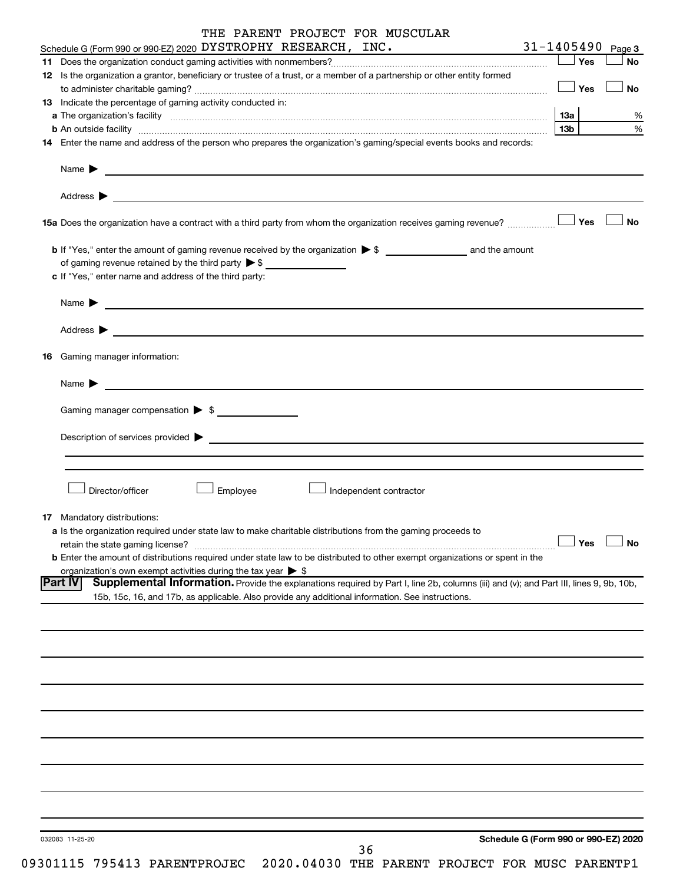| THE PARENT PROJECT FOR MUSCULAR                                                                                                                                                                                                                              |                       |           |
|--------------------------------------------------------------------------------------------------------------------------------------------------------------------------------------------------------------------------------------------------------------|-----------------------|-----------|
| Schedule G (Form 990 or 990-EZ) 2020 DYSTROPHY RESEARCH, INC.                                                                                                                                                                                                | $31 - 1405490$ Page 3 |           |
|                                                                                                                                                                                                                                                              |                       | No        |
| 12 Is the organization a grantor, beneficiary or trustee of a trust, or a member of a partnership or other entity formed                                                                                                                                     | $\Box$ Yes            | No        |
| 13 Indicate the percentage of gaming activity conducted in:                                                                                                                                                                                                  |                       |           |
| a The organization's facility measure and the contract of the contract of the contract of the contract of the contract of the contract of the contract of the contract of the contract of the contract of the contract of the                                |                       | %         |
| b An outside facility www.communications.com/news/communications.com/news/communications.com/news/communicatio                                                                                                                                               | -13b l                | $\%$      |
| 14 Enter the name and address of the person who prepares the organization's gaming/special events books and records:                                                                                                                                         |                       |           |
| Name $\blacktriangleright$<br><u> 1989 - Johann Barn, fransk politik amerikansk politik (d. 1989)</u>                                                                                                                                                        |                       |           |
| Address $\triangleright$                                                                                                                                                                                                                                     |                       |           |
|                                                                                                                                                                                                                                                              |                       | <b>No</b> |
|                                                                                                                                                                                                                                                              |                       |           |
| of gaming revenue retained by the third party $\triangleright$ \$                                                                                                                                                                                            |                       |           |
| c If "Yes," enter name and address of the third party:                                                                                                                                                                                                       |                       |           |
| Name $\blacktriangleright$<br><u> 1989 - John Harry Harry Harry Harry Harry Harry Harry Harry Harry Harry Harry Harry Harry Harry Harry Harry H</u>                                                                                                          |                       |           |
| Address > <u>Address &gt; Address &gt; Address + Address + Address + Address + Address + Address + Address + Address + Address + Address + Address + Address + Address + Address + Address + Address + Address + Address + Address + A</u>                   |                       |           |
| <b>16</b> Gaming manager information:                                                                                                                                                                                                                        |                       |           |
| Name $\blacktriangleright$<br><u> 1989 - Jan Sterner, mars andre skrivet er større og større og større og større og større og større og s</u>                                                                                                                |                       |           |
| Gaming manager compensation > \$                                                                                                                                                                                                                             |                       |           |
| Description of services provided states and the contract of the contract of the contract of the contract of the contract of the contract of the contract of the contract of the contract of the contract of the contract of th                               |                       |           |
|                                                                                                                                                                                                                                                              |                       |           |
| Director/officer<br>Employee<br>Independent contractor                                                                                                                                                                                                       |                       |           |
| 17 Mandatory distributions:                                                                                                                                                                                                                                  |                       |           |
| a Is the organization required under state law to make charitable distributions from the gaming proceeds to                                                                                                                                                  |                       |           |
| retain the state gaming license?                                                                                                                                                                                                                             | Yes                   | No        |
| <b>b</b> Enter the amount of distributions required under state law to be distributed to other exempt organizations or spent in the                                                                                                                          |                       |           |
| organization's own exempt activities during the tax year $\triangleright$ \$                                                                                                                                                                                 |                       |           |
| <b>Part IV</b><br>Supplemental Information. Provide the explanations required by Part I, line 2b, columns (iii) and (v); and Part III, lines 9, 9b, 10b,<br>15b, 15c, 16, and 17b, as applicable. Also provide any additional information. See instructions. |                       |           |
|                                                                                                                                                                                                                                                              |                       |           |
|                                                                                                                                                                                                                                                              |                       |           |
|                                                                                                                                                                                                                                                              |                       |           |
|                                                                                                                                                                                                                                                              |                       |           |
|                                                                                                                                                                                                                                                              |                       |           |
|                                                                                                                                                                                                                                                              |                       |           |
|                                                                                                                                                                                                                                                              |                       |           |
|                                                                                                                                                                                                                                                              |                       |           |
|                                                                                                                                                                                                                                                              |                       |           |
|                                                                                                                                                                                                                                                              |                       |           |
|                                                                                                                                                                                                                                                              |                       |           |
|                                                                                                                                                                                                                                                              |                       |           |
| Schedule G (Form 990 or 990-EZ) 2020<br>032083 11-25-20                                                                                                                                                                                                      |                       |           |
| 36                                                                                                                                                                                                                                                           |                       |           |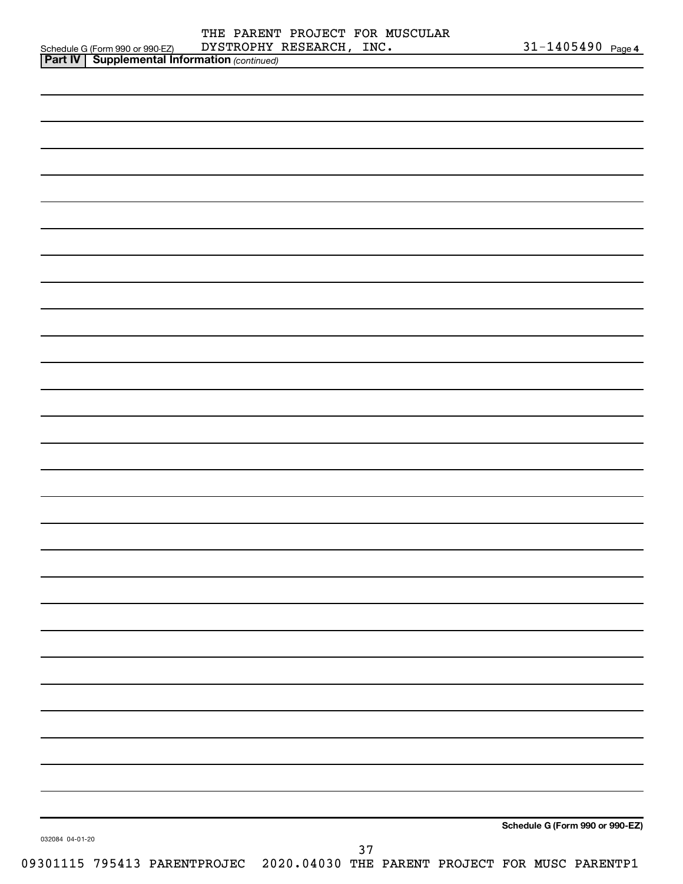|                 | <b>Part IV   Supplemental Information (continued)</b> |    |  |  |                                 |
|-----------------|-------------------------------------------------------|----|--|--|---------------------------------|
|                 |                                                       |    |  |  |                                 |
|                 |                                                       |    |  |  |                                 |
|                 |                                                       |    |  |  |                                 |
|                 |                                                       |    |  |  |                                 |
|                 |                                                       |    |  |  |                                 |
|                 |                                                       |    |  |  |                                 |
|                 |                                                       |    |  |  |                                 |
|                 |                                                       |    |  |  |                                 |
|                 |                                                       |    |  |  |                                 |
|                 |                                                       |    |  |  |                                 |
|                 |                                                       |    |  |  |                                 |
|                 |                                                       |    |  |  |                                 |
|                 |                                                       |    |  |  |                                 |
|                 |                                                       |    |  |  |                                 |
|                 |                                                       |    |  |  |                                 |
|                 |                                                       |    |  |  |                                 |
|                 |                                                       |    |  |  |                                 |
|                 |                                                       |    |  |  |                                 |
|                 |                                                       |    |  |  |                                 |
|                 |                                                       |    |  |  |                                 |
|                 |                                                       |    |  |  |                                 |
|                 |                                                       |    |  |  |                                 |
|                 |                                                       |    |  |  |                                 |
|                 |                                                       |    |  |  |                                 |
|                 |                                                       |    |  |  |                                 |
|                 |                                                       |    |  |  |                                 |
|                 |                                                       |    |  |  |                                 |
|                 |                                                       |    |  |  |                                 |
|                 |                                                       |    |  |  |                                 |
|                 |                                                       |    |  |  |                                 |
|                 |                                                       |    |  |  |                                 |
|                 |                                                       |    |  |  |                                 |
|                 |                                                       |    |  |  |                                 |
|                 |                                                       |    |  |  |                                 |
|                 |                                                       |    |  |  |                                 |
| 032084 04-01-20 |                                                       |    |  |  | Schedule G (Form 990 or 990-EZ) |
|                 |                                                       | 37 |  |  |                                 |

Schedule G (Form 990 or 990-EZ) DYSTROPHY RESEARCH, INC.  $31-1405490$   $_{\rm Page}$ 

THE PARENT PROJECT FOR MUSCULAR

31-1405490 Page 4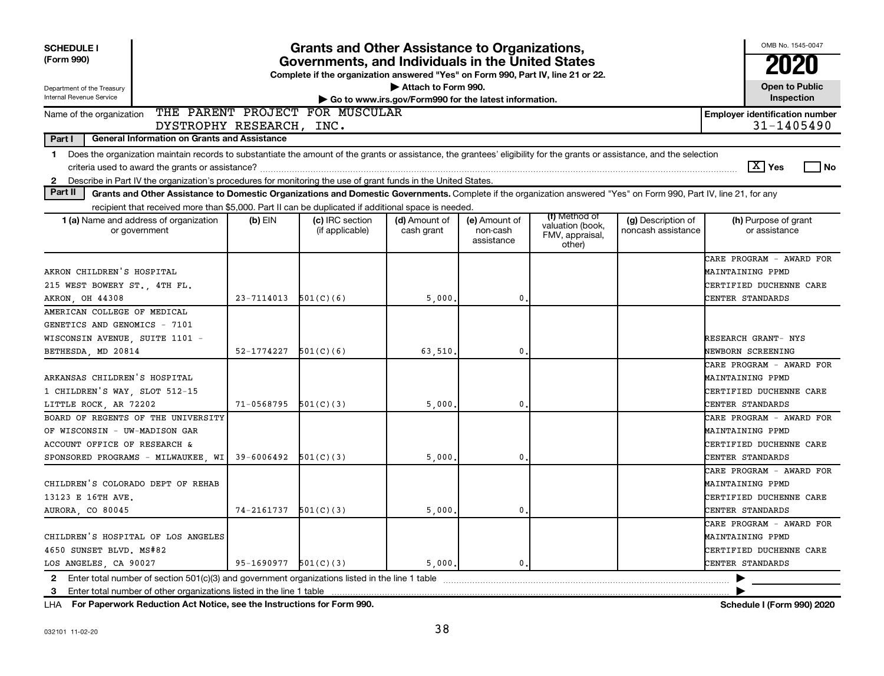| <b>SCHEDULE I</b><br>(Form 990)                                                                                                                                                                                                                                                                                                              | <b>Grants and Other Assistance to Organizations,</b><br>Governments, and Individuals in the United States<br>Complete if the organization answered "Yes" on Form 990, Part IV, line 21 or 22.<br>Attach to Form 990. |                                    |                                                       |                                         |                                                                |                                          |                                                                                             |  |  |  |  |
|----------------------------------------------------------------------------------------------------------------------------------------------------------------------------------------------------------------------------------------------------------------------------------------------------------------------------------------------|----------------------------------------------------------------------------------------------------------------------------------------------------------------------------------------------------------------------|------------------------------------|-------------------------------------------------------|-----------------------------------------|----------------------------------------------------------------|------------------------------------------|---------------------------------------------------------------------------------------------|--|--|--|--|
| Department of the Treasury<br>Internal Revenue Service                                                                                                                                                                                                                                                                                       |                                                                                                                                                                                                                      |                                    | Go to www.irs.gov/Form990 for the latest information. |                                         |                                                                |                                          | <b>Open to Public</b><br>Inspection                                                         |  |  |  |  |
| Name of the organization<br>DYSTROPHY RESEARCH, INC.                                                                                                                                                                                                                                                                                         |                                                                                                                                                                                                                      | THE PARENT PROJECT FOR MUSCULAR    |                                                       |                                         |                                                                |                                          | <b>Employer identification number</b><br>31-1405490                                         |  |  |  |  |
| Part I<br>General Information on Grants and Assistance                                                                                                                                                                                                                                                                                       |                                                                                                                                                                                                                      |                                    |                                                       |                                         |                                                                |                                          |                                                                                             |  |  |  |  |
| Does the organization maintain records to substantiate the amount of the grants or assistance, the grantees' eligibility for the grants or assistance, and the selection<br>1<br>$ \mathbf{X} $ Yes<br>l No<br>Describe in Part IV the organization's procedures for monitoring the use of grant funds in the United States.<br>$\mathbf{2}$ |                                                                                                                                                                                                                      |                                    |                                                       |                                         |                                                                |                                          |                                                                                             |  |  |  |  |
| Part II<br>Grants and Other Assistance to Domestic Organizations and Domestic Governments. Complete if the organization answered "Yes" on Form 990, Part IV, line 21, for any                                                                                                                                                                |                                                                                                                                                                                                                      |                                    |                                                       |                                         |                                                                |                                          |                                                                                             |  |  |  |  |
| recipient that received more than \$5,000. Part II can be duplicated if additional space is needed.<br>1 (a) Name and address of organization<br>or government                                                                                                                                                                               | $(b)$ EIN                                                                                                                                                                                                            | (c) IRC section<br>(if applicable) | (d) Amount of<br>cash grant                           | (e) Amount of<br>non-cash<br>assistance | (f) Method of<br>valuation (book,<br>FMV, appraisal,<br>other) | (g) Description of<br>noncash assistance | (h) Purpose of grant<br>or assistance                                                       |  |  |  |  |
| AKRON CHILDREN'S HOSPITAL<br>215 WEST BOWERY ST., 4TH FL.<br>AKRON, OH 44308                                                                                                                                                                                                                                                                 | 23-7114013                                                                                                                                                                                                           | 501(C)(6)                          | 5.000.                                                | $\mathbf{0}$                            |                                                                |                                          | CARE PROGRAM - AWARD FOR<br>MAINTAINING PPMD<br>CERTIFIED DUCHENNE CARE<br>CENTER STANDARDS |  |  |  |  |
| AMERICAN COLLEGE OF MEDICAL<br>GENETICS AND GENOMICS - 7101<br>WISCONSIN AVENUE, SUITE 1101 -<br>BETHESDA, MD 20814                                                                                                                                                                                                                          | 52-1774227                                                                                                                                                                                                           | 501(C)(6)                          | 63,510.                                               | $\mathbf 0$                             |                                                                |                                          | RESEARCH GRANT- NYS<br>NEWBORN SCREENING                                                    |  |  |  |  |
| ARKANSAS CHILDREN'S HOSPITAL<br>1 CHILDREN'S WAY, SLOT 512-15<br>LITTLE ROCK, AR 72202                                                                                                                                                                                                                                                       | 71-0568795                                                                                                                                                                                                           | 501(C)(3)                          | 5,000                                                 | $\mathbf 0$                             |                                                                |                                          | CARE PROGRAM - AWARD FOR<br>MAINTAINING PPMD<br>CERTIFIED DUCHENNE CARE<br>CENTER STANDARDS |  |  |  |  |
| BOARD OF REGENTS OF THE UNIVERSITY<br>OF WISCONSIN - UW-MADISON GAR<br>ACCOUNT OFFICE OF RESEARCH &<br>SPONSORED PROGRAMS - MILWAUKEE, WI                                                                                                                                                                                                    | 39-6006492                                                                                                                                                                                                           | 501(C)(3)                          | 5,000                                                 | $\mathbf 0$                             |                                                                |                                          | CARE PROGRAM - AWARD FOR<br>MAINTAINING PPMD<br>CERTIFIED DUCHENNE CARE<br>CENTER STANDARDS |  |  |  |  |
| CHILDREN'S COLORADO DEPT OF REHAB<br>13123 E 16TH AVE.<br>AURORA, CO 80045                                                                                                                                                                                                                                                                   | $74 - 2161737$ $501(C)(3)$                                                                                                                                                                                           |                                    | 5,000                                                 | 0.                                      |                                                                |                                          | CARE PROGRAM - AWARD FOR<br>MAINTAINING PPMD<br>CERTIFIED DUCHENNE CARE<br>CENTER STANDARDS |  |  |  |  |
| CHILDREN'S HOSPITAL OF LOS ANGELES<br>4650 SUNSET BLVD. MS#82<br>LOS ANGELES, CA 90027                                                                                                                                                                                                                                                       | 95-1690977                                                                                                                                                                                                           | 501(C)(3)                          | 5.000.                                                | $\mathbf{0}$ .                          |                                                                |                                          | CARE PROGRAM - AWARD FOR<br>MAINTAINING PPMD<br>CERTIFIED DUCHENNE CARE<br>CENTER STANDARDS |  |  |  |  |
| $\mathbf{2}$<br>Enter total number of other organizations listed in the line 1 table<br>3                                                                                                                                                                                                                                                    |                                                                                                                                                                                                                      |                                    |                                                       |                                         |                                                                |                                          |                                                                                             |  |  |  |  |

**For Paperwork Reduction Act Notice, see the Instructions for Form 990. Schedule I (Form 990) 2020** LHA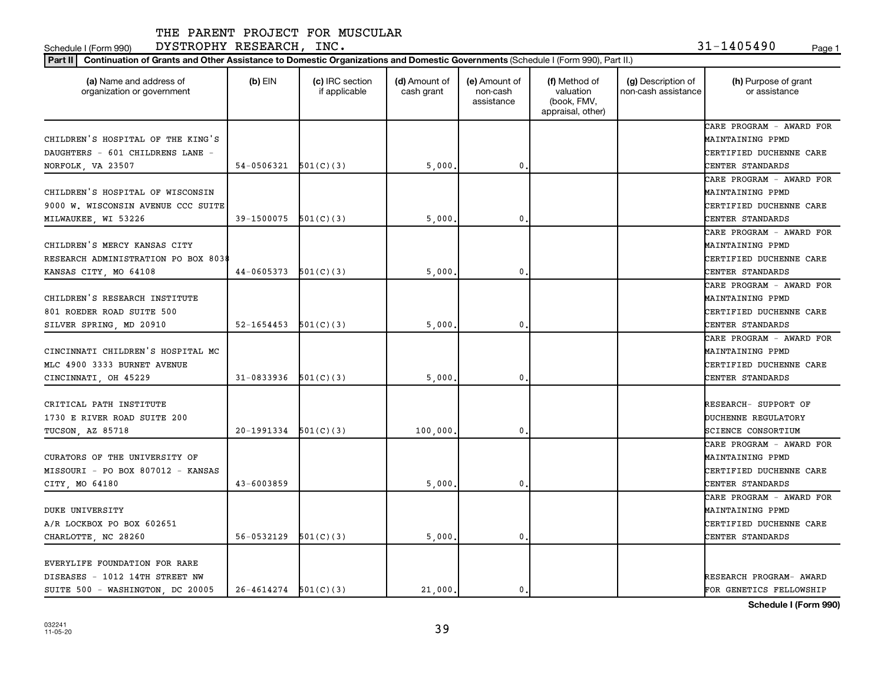Schedule I (Form 990) DYSTROPHY RESEARCH, INC . 31-1405490 <sub>Page 1</sub>

|                                                       | Part II   Continuation of Grants and Other Assistance to Domestic Organizations and Domestic Governments (Schedule I (Form 990), Part II.) |                                  |                             |                                         |                                                                |                                           |                                       |  |  |  |
|-------------------------------------------------------|--------------------------------------------------------------------------------------------------------------------------------------------|----------------------------------|-----------------------------|-----------------------------------------|----------------------------------------------------------------|-------------------------------------------|---------------------------------------|--|--|--|
| (a) Name and address of<br>organization or government | $(b)$ EIN                                                                                                                                  | (c) IRC section<br>if applicable | (d) Amount of<br>cash grant | (e) Amount of<br>non-cash<br>assistance | (f) Method of<br>valuation<br>(book, FMV,<br>appraisal, other) | (g) Description of<br>non-cash assistance | (h) Purpose of grant<br>or assistance |  |  |  |
|                                                       |                                                                                                                                            |                                  |                             |                                         |                                                                |                                           | CARE PROGRAM - AWARD FOR              |  |  |  |
| CHILDREN'S HOSPITAL OF THE KING'S                     |                                                                                                                                            |                                  |                             |                                         |                                                                |                                           | MAINTAINING PPMD                      |  |  |  |
| DAUGHTERS - 601 CHILDRENS LANE -                      |                                                                                                                                            |                                  |                             |                                         |                                                                |                                           | CERTIFIED DUCHENNE CARE               |  |  |  |
| NORFOLK, VA 23507                                     | 54-0506321                                                                                                                                 | 501(C)(3)                        | 5,000.                      | 0                                       |                                                                |                                           | CENTER STANDARDS                      |  |  |  |
|                                                       |                                                                                                                                            |                                  |                             |                                         |                                                                |                                           | CARE PROGRAM - AWARD FOR              |  |  |  |
| CHILDREN'S HOSPITAL OF WISCONSIN                      |                                                                                                                                            |                                  |                             |                                         |                                                                |                                           | MAINTAINING PPMD                      |  |  |  |
| 9000 W. WISCONSIN AVENUE CCC SUITE                    |                                                                                                                                            |                                  |                             |                                         |                                                                |                                           | CERTIFIED DUCHENNE CARE               |  |  |  |
| MILWAUKEE, WI 53226                                   | 39-1500075                                                                                                                                 | 501(C)(3)                        | 5,000.                      | 0                                       |                                                                |                                           | CENTER STANDARDS                      |  |  |  |
|                                                       |                                                                                                                                            |                                  |                             |                                         |                                                                |                                           | CARE PROGRAM - AWARD FOR              |  |  |  |
| CHILDREN'S MERCY KANSAS CITY                          |                                                                                                                                            |                                  |                             |                                         |                                                                |                                           | MAINTAINING PPMD                      |  |  |  |
| RESEARCH ADMINISTRATION PO BOX 8038                   |                                                                                                                                            |                                  |                             |                                         |                                                                |                                           | CERTIFIED DUCHENNE CARE               |  |  |  |
| KANSAS CITY, MO 64108                                 | 44-0605373                                                                                                                                 | 501(C)(3)                        | 5,000                       | 0                                       |                                                                |                                           | CENTER STANDARDS                      |  |  |  |
|                                                       |                                                                                                                                            |                                  |                             |                                         |                                                                |                                           | CARE PROGRAM - AWARD FOR              |  |  |  |
| CHILDREN'S RESEARCH INSTITUTE                         |                                                                                                                                            |                                  |                             |                                         |                                                                |                                           | MAINTAINING PPMD                      |  |  |  |
| 801 ROEDER ROAD SUITE 500                             |                                                                                                                                            |                                  |                             |                                         |                                                                |                                           | CERTIFIED DUCHENNE CARE               |  |  |  |
| SILVER SPRING, MD 20910                               | 52-1654453                                                                                                                                 | 501(C)(3)                        | 5,000.                      | 0                                       |                                                                |                                           | CENTER STANDARDS                      |  |  |  |
|                                                       |                                                                                                                                            |                                  |                             |                                         |                                                                |                                           | CARE PROGRAM - AWARD FOR              |  |  |  |
| CINCINNATI CHILDREN'S HOSPITAL MC                     |                                                                                                                                            |                                  |                             |                                         |                                                                |                                           | MAINTAINING PPMD                      |  |  |  |
| MLC 4900 3333 BURNET AVENUE                           |                                                                                                                                            |                                  |                             |                                         |                                                                |                                           | CERTIFIED DUCHENNE CARE               |  |  |  |
| CINCINNATI, OH 45229                                  | 31-0833936                                                                                                                                 | 501(C)(3)                        | 5,000                       | 0                                       |                                                                |                                           | CENTER STANDARDS                      |  |  |  |
|                                                       |                                                                                                                                            |                                  |                             |                                         |                                                                |                                           |                                       |  |  |  |
| CRITICAL PATH INSTITUTE                               |                                                                                                                                            |                                  |                             |                                         |                                                                |                                           | RESEARCH- SUPPORT OF                  |  |  |  |
| 1730 E RIVER ROAD SUITE 200                           |                                                                                                                                            |                                  |                             |                                         |                                                                |                                           | DUCHENNE REGULATORY                   |  |  |  |
| TUCSON, AZ 85718                                      | 20-1991334                                                                                                                                 | 501(C)(3)                        | 100,000                     | 0                                       |                                                                |                                           | SCIENCE CONSORTIUM                    |  |  |  |
|                                                       |                                                                                                                                            |                                  |                             |                                         |                                                                |                                           | CARE PROGRAM - AWARD FOR              |  |  |  |
| CURATORS OF THE UNIVERSITY OF                         |                                                                                                                                            |                                  |                             |                                         |                                                                |                                           | MAINTAINING PPMD                      |  |  |  |
| MISSOURI - PO BOX 807012 - KANSAS                     |                                                                                                                                            |                                  |                             |                                         |                                                                |                                           | CERTIFIED DUCHENNE CARE               |  |  |  |
| CITY, MO 64180                                        | 43-6003859                                                                                                                                 |                                  | 5,000.                      | 0                                       |                                                                |                                           | CENTER STANDARDS                      |  |  |  |
|                                                       |                                                                                                                                            |                                  |                             |                                         |                                                                |                                           | CARE PROGRAM - AWARD FOR              |  |  |  |
| <b>DUKE UNIVERSITY</b>                                |                                                                                                                                            |                                  |                             |                                         |                                                                |                                           | MAINTAINING PPMD                      |  |  |  |
| A/R LOCKBOX PO BOX 602651                             |                                                                                                                                            |                                  |                             |                                         |                                                                |                                           | CERTIFIED DUCHENNE CARE               |  |  |  |
| CHARLOTTE, NC 28260                                   | 56-0532129                                                                                                                                 | 501(C)(3)                        | 5,000.                      | 0                                       |                                                                |                                           | CENTER STANDARDS                      |  |  |  |
|                                                       |                                                                                                                                            |                                  |                             |                                         |                                                                |                                           |                                       |  |  |  |
| EVERYLIFE FOUNDATION FOR RARE                         |                                                                                                                                            |                                  |                             |                                         |                                                                |                                           |                                       |  |  |  |
| DISEASES - 1012 14TH STREET NW                        |                                                                                                                                            |                                  |                             |                                         |                                                                |                                           | RESEARCH PROGRAM- AWARD               |  |  |  |
| SUITE 500 - WASHINGTON, DC 20005                      | $26-4614274$ $501(C)(3)$                                                                                                                   |                                  | 21,000.                     | 0                                       |                                                                |                                           | FOR GENETICS FELLOWSHIP               |  |  |  |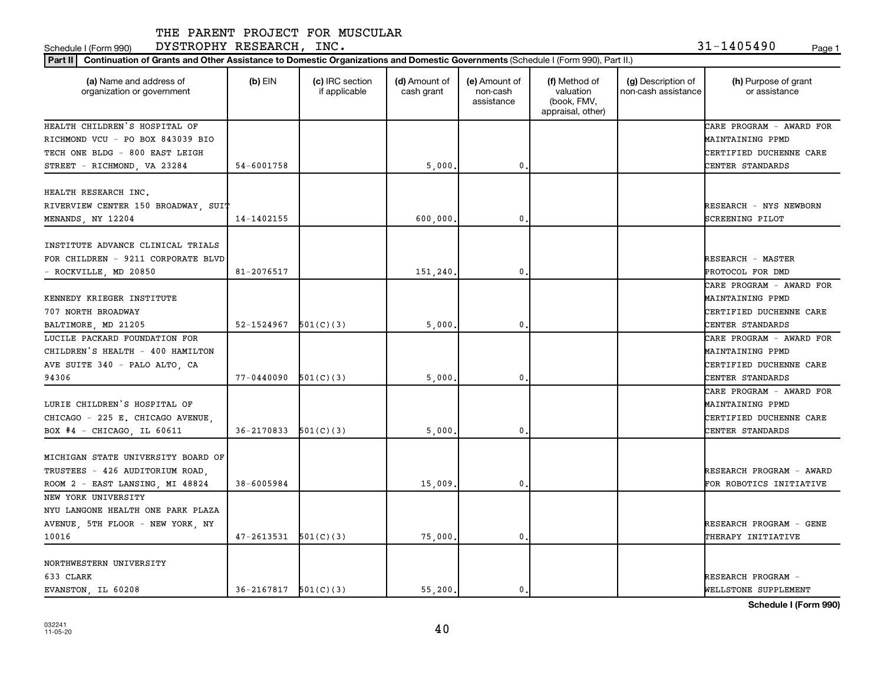Schedule I (Form 990) Page 1 DYSTROPHY RESEARCH, INC. 31-1405490

|                                                       | Part II   Continuation of Grants and Other Assistance to Domestic Organizations and Domestic Governments (Schedule I (Form 990), Part II.) |                                  |                             |                                         |                                                                |                                           |                                       |  |  |  |
|-------------------------------------------------------|--------------------------------------------------------------------------------------------------------------------------------------------|----------------------------------|-----------------------------|-----------------------------------------|----------------------------------------------------------------|-------------------------------------------|---------------------------------------|--|--|--|
| (a) Name and address of<br>organization or government | $(b)$ EIN                                                                                                                                  | (c) IRC section<br>if applicable | (d) Amount of<br>cash grant | (e) Amount of<br>non-cash<br>assistance | (f) Method of<br>valuation<br>(book, FMV,<br>appraisal, other) | (g) Description of<br>non-cash assistance | (h) Purpose of grant<br>or assistance |  |  |  |
| HEALTH CHILDREN'S HOSPITAL OF                         |                                                                                                                                            |                                  |                             |                                         |                                                                |                                           | CARE PROGRAM - AWARD FOR              |  |  |  |
| RICHMOND VCU - PO BOX 843039 BIO                      |                                                                                                                                            |                                  |                             |                                         |                                                                |                                           | MAINTAINING PPMD                      |  |  |  |
| TECH ONE BLDG - 800 EAST LEIGH                        |                                                                                                                                            |                                  |                             |                                         |                                                                |                                           | CERTIFIED DUCHENNE CARE               |  |  |  |
| STREET - RICHMOND, VA 23284                           | 54-6001758                                                                                                                                 |                                  | 5,000.                      | $\pmb{0}$                               |                                                                |                                           | CENTER STANDARDS                      |  |  |  |
| HEALTH RESEARCH INC.                                  |                                                                                                                                            |                                  |                             |                                         |                                                                |                                           |                                       |  |  |  |
| RIVERVIEW CENTER 150 BROADWAY, SUIT                   |                                                                                                                                            |                                  |                             |                                         |                                                                |                                           | RESEARCH - NYS NEWBORN                |  |  |  |
| MENANDS, NY 12204                                     | 14-1402155                                                                                                                                 |                                  | 600,000                     | 0                                       |                                                                |                                           | SCREENING PILOT                       |  |  |  |
|                                                       |                                                                                                                                            |                                  |                             |                                         |                                                                |                                           |                                       |  |  |  |
| INSTITUTE ADVANCE CLINICAL TRIALS                     |                                                                                                                                            |                                  |                             |                                         |                                                                |                                           |                                       |  |  |  |
| FOR CHILDREN - 9211 CORPORATE BLVD                    |                                                                                                                                            |                                  |                             |                                         |                                                                |                                           | RESEARCH - MASTER                     |  |  |  |
| - ROCKVILLE, MD 20850                                 | 81-2076517                                                                                                                                 |                                  | 151,240                     | $\mathbf 0$                             |                                                                |                                           | PROTOCOL FOR DMD                      |  |  |  |
|                                                       |                                                                                                                                            |                                  |                             |                                         |                                                                |                                           | CARE PROGRAM - AWARD FOR              |  |  |  |
| KENNEDY KRIEGER INSTITUTE                             |                                                                                                                                            |                                  |                             |                                         |                                                                |                                           | MAINTAINING PPMD                      |  |  |  |
| 707 NORTH BROADWAY                                    |                                                                                                                                            |                                  |                             |                                         |                                                                |                                           | CERTIFIED DUCHENNE CARE               |  |  |  |
| BALTIMORE, MD 21205                                   | 52-1524967                                                                                                                                 | 501(C)(3)                        | 5,000.                      | $\mathbf{0}$                            |                                                                |                                           | CENTER STANDARDS                      |  |  |  |
| LUCILE PACKARD FOUNDATION FOR                         |                                                                                                                                            |                                  |                             |                                         |                                                                |                                           | CARE PROGRAM - AWARD FOR              |  |  |  |
| CHILDREN'S HEALTH - 400 HAMILTON                      |                                                                                                                                            |                                  |                             |                                         |                                                                |                                           | MAINTAINING PPMD                      |  |  |  |
| AVE SUITE 340 - PALO ALTO, CA                         |                                                                                                                                            |                                  |                             |                                         |                                                                |                                           | CERTIFIED DUCHENNE CARE               |  |  |  |
| 94306                                                 | $77 - 0440090$                                                                                                                             | 501(C)(3)                        | 5,000                       | 0                                       |                                                                |                                           | CENTER STANDARDS                      |  |  |  |
|                                                       |                                                                                                                                            |                                  |                             |                                         |                                                                |                                           | CARE PROGRAM - AWARD FOR              |  |  |  |
| LURIE CHILDREN'S HOSPITAL OF                          |                                                                                                                                            |                                  |                             |                                         |                                                                |                                           | MAINTAINING PPMD                      |  |  |  |
| CHICAGO - 225 E. CHICAGO AVENUE.                      |                                                                                                                                            |                                  |                             |                                         |                                                                |                                           | CERTIFIED DUCHENNE CARE               |  |  |  |
| BOX #4 - CHICAGO, IL 60611                            | 36-2170833                                                                                                                                 | 501(C)(3)                        | 5,000                       | $\mathbf 0$                             |                                                                |                                           | CENTER STANDARDS                      |  |  |  |
|                                                       |                                                                                                                                            |                                  |                             |                                         |                                                                |                                           |                                       |  |  |  |
| MICHIGAN STATE UNIVERSITY BOARD OF                    |                                                                                                                                            |                                  |                             |                                         |                                                                |                                           |                                       |  |  |  |
| TRUSTEES - 426 AUDITORIUM ROAD,                       |                                                                                                                                            |                                  |                             |                                         |                                                                |                                           | RESEARCH PROGRAM - AWARD              |  |  |  |
| ROOM 2 - EAST LANSING, MI 48824                       | 38-6005984                                                                                                                                 |                                  | 15,009.                     | $\mathbf 0$                             |                                                                |                                           | FOR ROBOTICS INITIATIVE               |  |  |  |
| NEW YORK UNIVERSITY                                   |                                                                                                                                            |                                  |                             |                                         |                                                                |                                           |                                       |  |  |  |
| NYU LANGONE HEALTH ONE PARK PLAZA                     |                                                                                                                                            |                                  |                             |                                         |                                                                |                                           |                                       |  |  |  |
| AVENUE, 5TH FLOOR - NEW YORK, NY                      |                                                                                                                                            |                                  |                             |                                         |                                                                |                                           | RESEARCH PROGRAM - GENE               |  |  |  |
| 10016                                                 | $47 - 2613531$ $501(C)(3)$                                                                                                                 |                                  | 75,000                      | $\mathbf{0}$                            |                                                                |                                           | THERAPY INITIATIVE                    |  |  |  |
| NORTHWESTERN UNIVERSITY                               |                                                                                                                                            |                                  |                             |                                         |                                                                |                                           |                                       |  |  |  |
| 633 CLARK                                             |                                                                                                                                            |                                  |                             |                                         |                                                                |                                           | RESEARCH PROGRAM -                    |  |  |  |
| EVANSTON, IL 60208                                    | $36-2167817$ $501(C)(3)$                                                                                                                   |                                  | 55,200                      | 0.                                      |                                                                |                                           | WELLSTONE SUPPLEMENT                  |  |  |  |
|                                                       |                                                                                                                                            |                                  |                             |                                         |                                                                |                                           |                                       |  |  |  |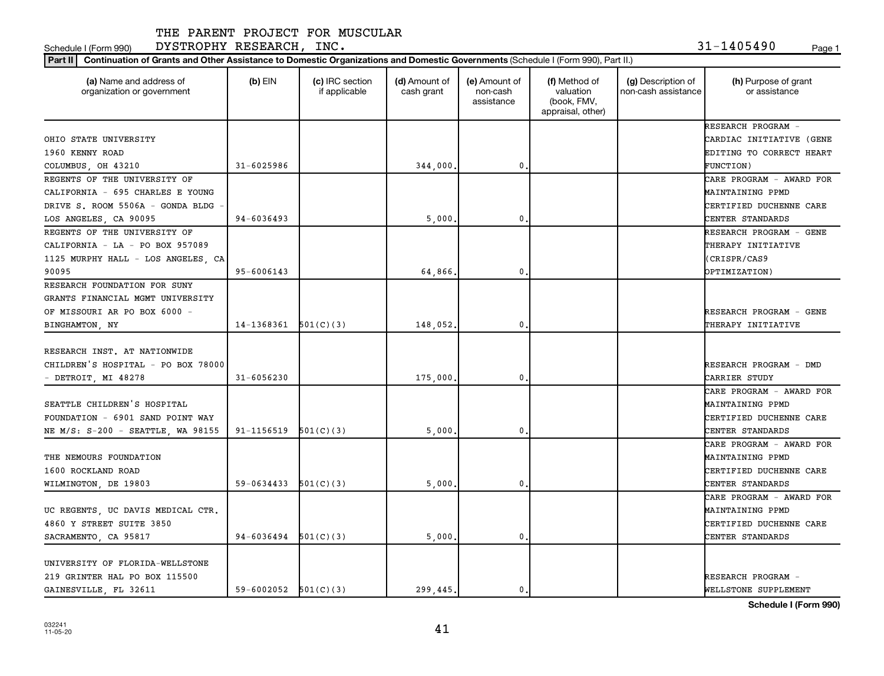Schedule I (Form 990) DYSTROPHY RESEARCH, INC . 31-1405490 <sub>Page 1</sub>

| (a) Name and address of<br>(c) IRC section<br>(d) Amount of<br>(h) Purpose of grant<br>$(b)$ EIN<br>(e) Amount of<br>(f) Method of<br>(g) Description of<br>valuation<br>organization or government<br>if applicable<br>cash grant<br>non-cash<br>non-cash assistance<br>or assistance<br>(book, FMV,<br>assistance<br>appraisal, other)<br>RESEARCH PROGRAM -<br>OHIO STATE UNIVERSITY<br>CARDIAC INITIATIVE (GENE<br>1960 KENNY ROAD<br>EDITING TO CORRECT HEART<br>$31 - 6025986$<br>344,000,<br>$\mathbf 0$<br><b>FUNCTION)</b><br>COLUMBUS, OH 43210<br>CARE PROGRAM - AWARD FOR<br>CALIFORNIA - 695 CHARLES E YOUNG<br>MAINTAINING PPMD<br>DRIVE S. ROOM 5506A - GONDA BLDG<br>CERTIFIED DUCHENNE CARE<br>94-6036493<br>5,000,<br>LOS ANGELES, CA 90095<br>$\mathbf 0$<br>CENTER STANDARDS<br>RESEARCH PROGRAM - GENE<br>CALIFORNIA - LA - PO BOX 957089<br>THERAPY INITIATIVE<br>$ $ (CRISPR/CAS9<br>95-6006143<br>90095<br>64,866<br>$\mathbf 0$<br>OPTIMIZATION)<br>RESEARCH FOUNDATION FOR SUNY<br>GRANTS FINANCIAL MGMT UNIVERSITY<br>OF MISSOURI AR PO BOX 6000 -<br>RESEARCH PROGRAM - GENE<br>$14-1368361$ $501(C)(3)$<br>148,052.<br>$\mathbf{0}$<br>BINGHAMTON, NY<br>THERAPY INITIATIVE<br>CHILDREN'S HOSPITAL - PO BOX 78000<br>RESEARCH PROGRAM - DMD<br>$31 - 6056230$<br>175,000.<br>- DETROIT, MI 48278<br>$\mathbf 0$<br>CARRIER STUDY<br>CARE PROGRAM - AWARD FOR<br>SEATTLE CHILDREN'S HOSPITAL<br>MAINTAINING PPMD<br>FOUNDATION - 6901 SAND POINT WAY<br>CERTIFIED DUCHENNE CARE<br>NE M/S: S-200 - SEATTLE, WA 98155<br>$91-1156519$ $501(C)(3)$<br>5,000<br>$\mathbf 0$<br>CENTER STANDARDS<br>CARE PROGRAM - AWARD FOR<br>THE NEMOURS FOUNDATION<br>MAINTAINING PPMD<br>1600 ROCKLAND ROAD<br>CERTIFIED DUCHENNE CARE<br>59-0634433<br>501(C)(3)<br>$\mathbf 0$<br>WILMINGTON, DE 19803<br>5,000<br>CENTER STANDARDS<br>CARE PROGRAM - AWARD FOR<br>UC REGENTS, UC DAVIS MEDICAL CTR.<br>MAINTAINING PPMD<br>4860 Y STREET SUITE 3850<br>CERTIFIED DUCHENNE CARE<br>94-6036494<br>501(C)(3)<br>5,000,<br>SACRAMENTO, CA 95817<br>$\mathbf 0$<br>CENTER STANDARDS<br>UNIVERSITY OF FLORIDA-WELLSTONE<br>219 GRINTER HAL PO BOX 115500<br>RESEARCH PROGRAM -<br>$59 - 6002052$ $501(C)(3)$<br>299,445.<br>GAINESVILLE, FL 32611<br>0.<br>WELLSTONE SUPPLEMENT | Part II   Continuation of Grants and Other Assistance to Domestic Organizations and Domestic Governments (Schedule I (Form 990), Part II.) |  |  |  |  |
|-------------------------------------------------------------------------------------------------------------------------------------------------------------------------------------------------------------------------------------------------------------------------------------------------------------------------------------------------------------------------------------------------------------------------------------------------------------------------------------------------------------------------------------------------------------------------------------------------------------------------------------------------------------------------------------------------------------------------------------------------------------------------------------------------------------------------------------------------------------------------------------------------------------------------------------------------------------------------------------------------------------------------------------------------------------------------------------------------------------------------------------------------------------------------------------------------------------------------------------------------------------------------------------------------------------------------------------------------------------------------------------------------------------------------------------------------------------------------------------------------------------------------------------------------------------------------------------------------------------------------------------------------------------------------------------------------------------------------------------------------------------------------------------------------------------------------------------------------------------------------------------------------------------------------------------------------------------------------------------------------------------------------------------------------------------------------------------------------------------------------------------------------------------------------------------------------------------------------------------------------------------------------------------------|--------------------------------------------------------------------------------------------------------------------------------------------|--|--|--|--|
|                                                                                                                                                                                                                                                                                                                                                                                                                                                                                                                                                                                                                                                                                                                                                                                                                                                                                                                                                                                                                                                                                                                                                                                                                                                                                                                                                                                                                                                                                                                                                                                                                                                                                                                                                                                                                                                                                                                                                                                                                                                                                                                                                                                                                                                                                           |                                                                                                                                            |  |  |  |  |
|                                                                                                                                                                                                                                                                                                                                                                                                                                                                                                                                                                                                                                                                                                                                                                                                                                                                                                                                                                                                                                                                                                                                                                                                                                                                                                                                                                                                                                                                                                                                                                                                                                                                                                                                                                                                                                                                                                                                                                                                                                                                                                                                                                                                                                                                                           |                                                                                                                                            |  |  |  |  |
|                                                                                                                                                                                                                                                                                                                                                                                                                                                                                                                                                                                                                                                                                                                                                                                                                                                                                                                                                                                                                                                                                                                                                                                                                                                                                                                                                                                                                                                                                                                                                                                                                                                                                                                                                                                                                                                                                                                                                                                                                                                                                                                                                                                                                                                                                           |                                                                                                                                            |  |  |  |  |
|                                                                                                                                                                                                                                                                                                                                                                                                                                                                                                                                                                                                                                                                                                                                                                                                                                                                                                                                                                                                                                                                                                                                                                                                                                                                                                                                                                                                                                                                                                                                                                                                                                                                                                                                                                                                                                                                                                                                                                                                                                                                                                                                                                                                                                                                                           |                                                                                                                                            |  |  |  |  |
|                                                                                                                                                                                                                                                                                                                                                                                                                                                                                                                                                                                                                                                                                                                                                                                                                                                                                                                                                                                                                                                                                                                                                                                                                                                                                                                                                                                                                                                                                                                                                                                                                                                                                                                                                                                                                                                                                                                                                                                                                                                                                                                                                                                                                                                                                           |                                                                                                                                            |  |  |  |  |
|                                                                                                                                                                                                                                                                                                                                                                                                                                                                                                                                                                                                                                                                                                                                                                                                                                                                                                                                                                                                                                                                                                                                                                                                                                                                                                                                                                                                                                                                                                                                                                                                                                                                                                                                                                                                                                                                                                                                                                                                                                                                                                                                                                                                                                                                                           | REGENTS OF THE UNIVERSITY OF                                                                                                               |  |  |  |  |
|                                                                                                                                                                                                                                                                                                                                                                                                                                                                                                                                                                                                                                                                                                                                                                                                                                                                                                                                                                                                                                                                                                                                                                                                                                                                                                                                                                                                                                                                                                                                                                                                                                                                                                                                                                                                                                                                                                                                                                                                                                                                                                                                                                                                                                                                                           |                                                                                                                                            |  |  |  |  |
|                                                                                                                                                                                                                                                                                                                                                                                                                                                                                                                                                                                                                                                                                                                                                                                                                                                                                                                                                                                                                                                                                                                                                                                                                                                                                                                                                                                                                                                                                                                                                                                                                                                                                                                                                                                                                                                                                                                                                                                                                                                                                                                                                                                                                                                                                           |                                                                                                                                            |  |  |  |  |
|                                                                                                                                                                                                                                                                                                                                                                                                                                                                                                                                                                                                                                                                                                                                                                                                                                                                                                                                                                                                                                                                                                                                                                                                                                                                                                                                                                                                                                                                                                                                                                                                                                                                                                                                                                                                                                                                                                                                                                                                                                                                                                                                                                                                                                                                                           |                                                                                                                                            |  |  |  |  |
|                                                                                                                                                                                                                                                                                                                                                                                                                                                                                                                                                                                                                                                                                                                                                                                                                                                                                                                                                                                                                                                                                                                                                                                                                                                                                                                                                                                                                                                                                                                                                                                                                                                                                                                                                                                                                                                                                                                                                                                                                                                                                                                                                                                                                                                                                           | REGENTS OF THE UNIVERSITY OF                                                                                                               |  |  |  |  |
|                                                                                                                                                                                                                                                                                                                                                                                                                                                                                                                                                                                                                                                                                                                                                                                                                                                                                                                                                                                                                                                                                                                                                                                                                                                                                                                                                                                                                                                                                                                                                                                                                                                                                                                                                                                                                                                                                                                                                                                                                                                                                                                                                                                                                                                                                           |                                                                                                                                            |  |  |  |  |
|                                                                                                                                                                                                                                                                                                                                                                                                                                                                                                                                                                                                                                                                                                                                                                                                                                                                                                                                                                                                                                                                                                                                                                                                                                                                                                                                                                                                                                                                                                                                                                                                                                                                                                                                                                                                                                                                                                                                                                                                                                                                                                                                                                                                                                                                                           | 1125 MURPHY HALL - LOS ANGELES, CA                                                                                                         |  |  |  |  |
|                                                                                                                                                                                                                                                                                                                                                                                                                                                                                                                                                                                                                                                                                                                                                                                                                                                                                                                                                                                                                                                                                                                                                                                                                                                                                                                                                                                                                                                                                                                                                                                                                                                                                                                                                                                                                                                                                                                                                                                                                                                                                                                                                                                                                                                                                           |                                                                                                                                            |  |  |  |  |
|                                                                                                                                                                                                                                                                                                                                                                                                                                                                                                                                                                                                                                                                                                                                                                                                                                                                                                                                                                                                                                                                                                                                                                                                                                                                                                                                                                                                                                                                                                                                                                                                                                                                                                                                                                                                                                                                                                                                                                                                                                                                                                                                                                                                                                                                                           |                                                                                                                                            |  |  |  |  |
|                                                                                                                                                                                                                                                                                                                                                                                                                                                                                                                                                                                                                                                                                                                                                                                                                                                                                                                                                                                                                                                                                                                                                                                                                                                                                                                                                                                                                                                                                                                                                                                                                                                                                                                                                                                                                                                                                                                                                                                                                                                                                                                                                                                                                                                                                           |                                                                                                                                            |  |  |  |  |
|                                                                                                                                                                                                                                                                                                                                                                                                                                                                                                                                                                                                                                                                                                                                                                                                                                                                                                                                                                                                                                                                                                                                                                                                                                                                                                                                                                                                                                                                                                                                                                                                                                                                                                                                                                                                                                                                                                                                                                                                                                                                                                                                                                                                                                                                                           |                                                                                                                                            |  |  |  |  |
|                                                                                                                                                                                                                                                                                                                                                                                                                                                                                                                                                                                                                                                                                                                                                                                                                                                                                                                                                                                                                                                                                                                                                                                                                                                                                                                                                                                                                                                                                                                                                                                                                                                                                                                                                                                                                                                                                                                                                                                                                                                                                                                                                                                                                                                                                           |                                                                                                                                            |  |  |  |  |
|                                                                                                                                                                                                                                                                                                                                                                                                                                                                                                                                                                                                                                                                                                                                                                                                                                                                                                                                                                                                                                                                                                                                                                                                                                                                                                                                                                                                                                                                                                                                                                                                                                                                                                                                                                                                                                                                                                                                                                                                                                                                                                                                                                                                                                                                                           |                                                                                                                                            |  |  |  |  |
|                                                                                                                                                                                                                                                                                                                                                                                                                                                                                                                                                                                                                                                                                                                                                                                                                                                                                                                                                                                                                                                                                                                                                                                                                                                                                                                                                                                                                                                                                                                                                                                                                                                                                                                                                                                                                                                                                                                                                                                                                                                                                                                                                                                                                                                                                           | RESEARCH INST. AT NATIONWIDE                                                                                                               |  |  |  |  |
|                                                                                                                                                                                                                                                                                                                                                                                                                                                                                                                                                                                                                                                                                                                                                                                                                                                                                                                                                                                                                                                                                                                                                                                                                                                                                                                                                                                                                                                                                                                                                                                                                                                                                                                                                                                                                                                                                                                                                                                                                                                                                                                                                                                                                                                                                           |                                                                                                                                            |  |  |  |  |
|                                                                                                                                                                                                                                                                                                                                                                                                                                                                                                                                                                                                                                                                                                                                                                                                                                                                                                                                                                                                                                                                                                                                                                                                                                                                                                                                                                                                                                                                                                                                                                                                                                                                                                                                                                                                                                                                                                                                                                                                                                                                                                                                                                                                                                                                                           |                                                                                                                                            |  |  |  |  |
|                                                                                                                                                                                                                                                                                                                                                                                                                                                                                                                                                                                                                                                                                                                                                                                                                                                                                                                                                                                                                                                                                                                                                                                                                                                                                                                                                                                                                                                                                                                                                                                                                                                                                                                                                                                                                                                                                                                                                                                                                                                                                                                                                                                                                                                                                           |                                                                                                                                            |  |  |  |  |
|                                                                                                                                                                                                                                                                                                                                                                                                                                                                                                                                                                                                                                                                                                                                                                                                                                                                                                                                                                                                                                                                                                                                                                                                                                                                                                                                                                                                                                                                                                                                                                                                                                                                                                                                                                                                                                                                                                                                                                                                                                                                                                                                                                                                                                                                                           |                                                                                                                                            |  |  |  |  |
|                                                                                                                                                                                                                                                                                                                                                                                                                                                                                                                                                                                                                                                                                                                                                                                                                                                                                                                                                                                                                                                                                                                                                                                                                                                                                                                                                                                                                                                                                                                                                                                                                                                                                                                                                                                                                                                                                                                                                                                                                                                                                                                                                                                                                                                                                           |                                                                                                                                            |  |  |  |  |
|                                                                                                                                                                                                                                                                                                                                                                                                                                                                                                                                                                                                                                                                                                                                                                                                                                                                                                                                                                                                                                                                                                                                                                                                                                                                                                                                                                                                                                                                                                                                                                                                                                                                                                                                                                                                                                                                                                                                                                                                                                                                                                                                                                                                                                                                                           |                                                                                                                                            |  |  |  |  |
|                                                                                                                                                                                                                                                                                                                                                                                                                                                                                                                                                                                                                                                                                                                                                                                                                                                                                                                                                                                                                                                                                                                                                                                                                                                                                                                                                                                                                                                                                                                                                                                                                                                                                                                                                                                                                                                                                                                                                                                                                                                                                                                                                                                                                                                                                           |                                                                                                                                            |  |  |  |  |
|                                                                                                                                                                                                                                                                                                                                                                                                                                                                                                                                                                                                                                                                                                                                                                                                                                                                                                                                                                                                                                                                                                                                                                                                                                                                                                                                                                                                                                                                                                                                                                                                                                                                                                                                                                                                                                                                                                                                                                                                                                                                                                                                                                                                                                                                                           |                                                                                                                                            |  |  |  |  |
|                                                                                                                                                                                                                                                                                                                                                                                                                                                                                                                                                                                                                                                                                                                                                                                                                                                                                                                                                                                                                                                                                                                                                                                                                                                                                                                                                                                                                                                                                                                                                                                                                                                                                                                                                                                                                                                                                                                                                                                                                                                                                                                                                                                                                                                                                           |                                                                                                                                            |  |  |  |  |
|                                                                                                                                                                                                                                                                                                                                                                                                                                                                                                                                                                                                                                                                                                                                                                                                                                                                                                                                                                                                                                                                                                                                                                                                                                                                                                                                                                                                                                                                                                                                                                                                                                                                                                                                                                                                                                                                                                                                                                                                                                                                                                                                                                                                                                                                                           |                                                                                                                                            |  |  |  |  |
|                                                                                                                                                                                                                                                                                                                                                                                                                                                                                                                                                                                                                                                                                                                                                                                                                                                                                                                                                                                                                                                                                                                                                                                                                                                                                                                                                                                                                                                                                                                                                                                                                                                                                                                                                                                                                                                                                                                                                                                                                                                                                                                                                                                                                                                                                           |                                                                                                                                            |  |  |  |  |
|                                                                                                                                                                                                                                                                                                                                                                                                                                                                                                                                                                                                                                                                                                                                                                                                                                                                                                                                                                                                                                                                                                                                                                                                                                                                                                                                                                                                                                                                                                                                                                                                                                                                                                                                                                                                                                                                                                                                                                                                                                                                                                                                                                                                                                                                                           |                                                                                                                                            |  |  |  |  |
|                                                                                                                                                                                                                                                                                                                                                                                                                                                                                                                                                                                                                                                                                                                                                                                                                                                                                                                                                                                                                                                                                                                                                                                                                                                                                                                                                                                                                                                                                                                                                                                                                                                                                                                                                                                                                                                                                                                                                                                                                                                                                                                                                                                                                                                                                           |                                                                                                                                            |  |  |  |  |
|                                                                                                                                                                                                                                                                                                                                                                                                                                                                                                                                                                                                                                                                                                                                                                                                                                                                                                                                                                                                                                                                                                                                                                                                                                                                                                                                                                                                                                                                                                                                                                                                                                                                                                                                                                                                                                                                                                                                                                                                                                                                                                                                                                                                                                                                                           |                                                                                                                                            |  |  |  |  |
|                                                                                                                                                                                                                                                                                                                                                                                                                                                                                                                                                                                                                                                                                                                                                                                                                                                                                                                                                                                                                                                                                                                                                                                                                                                                                                                                                                                                                                                                                                                                                                                                                                                                                                                                                                                                                                                                                                                                                                                                                                                                                                                                                                                                                                                                                           |                                                                                                                                            |  |  |  |  |
|                                                                                                                                                                                                                                                                                                                                                                                                                                                                                                                                                                                                                                                                                                                                                                                                                                                                                                                                                                                                                                                                                                                                                                                                                                                                                                                                                                                                                                                                                                                                                                                                                                                                                                                                                                                                                                                                                                                                                                                                                                                                                                                                                                                                                                                                                           |                                                                                                                                            |  |  |  |  |
|                                                                                                                                                                                                                                                                                                                                                                                                                                                                                                                                                                                                                                                                                                                                                                                                                                                                                                                                                                                                                                                                                                                                                                                                                                                                                                                                                                                                                                                                                                                                                                                                                                                                                                                                                                                                                                                                                                                                                                                                                                                                                                                                                                                                                                                                                           |                                                                                                                                            |  |  |  |  |
|                                                                                                                                                                                                                                                                                                                                                                                                                                                                                                                                                                                                                                                                                                                                                                                                                                                                                                                                                                                                                                                                                                                                                                                                                                                                                                                                                                                                                                                                                                                                                                                                                                                                                                                                                                                                                                                                                                                                                                                                                                                                                                                                                                                                                                                                                           |                                                                                                                                            |  |  |  |  |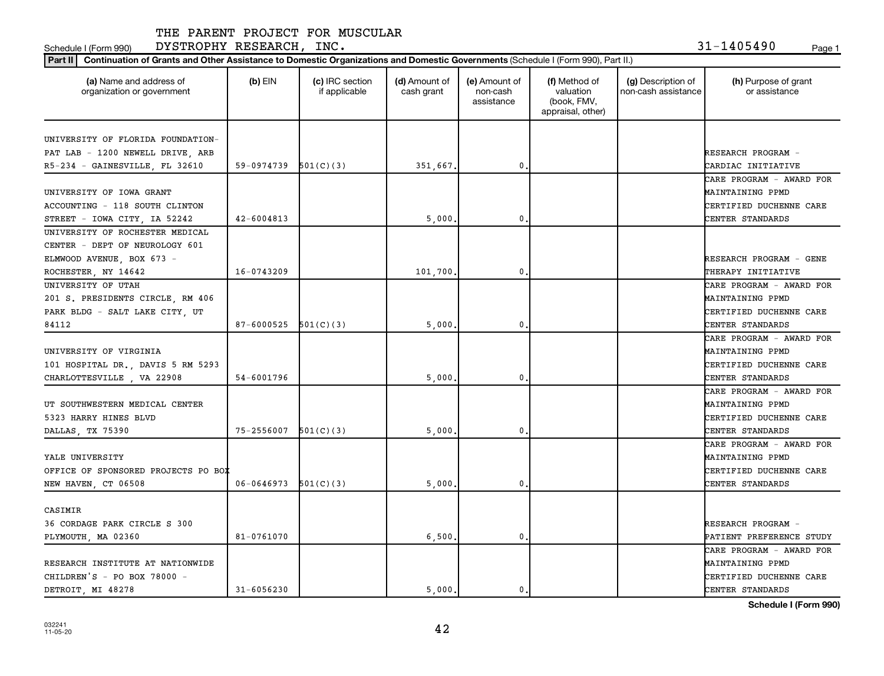Schedule I (Form 990) Page 1 DYSTROPHY RESEARCH, INC. 31-1405490

| Continuation of Grants and Other Assistance to Domestic Organizations and Domestic Governments (Schedule I (Form 990), Part II.)<br>  Part II |                |                                  |                             |                                         |                                                                |                                           |                                       |
|-----------------------------------------------------------------------------------------------------------------------------------------------|----------------|----------------------------------|-----------------------------|-----------------------------------------|----------------------------------------------------------------|-------------------------------------------|---------------------------------------|
| (a) Name and address of<br>organization or government                                                                                         | $(b)$ EIN      | (c) IRC section<br>if applicable | (d) Amount of<br>cash grant | (e) Amount of<br>non-cash<br>assistance | (f) Method of<br>valuation<br>(book, FMV,<br>appraisal, other) | (g) Description of<br>non-cash assistance | (h) Purpose of grant<br>or assistance |
| UNIVERSITY OF FLORIDA FOUNDATION-                                                                                                             |                |                                  |                             |                                         |                                                                |                                           |                                       |
| PAT LAB - 1200 NEWELL DRIVE, ARB                                                                                                              |                |                                  |                             |                                         |                                                                |                                           | RESEARCH PROGRAM -                    |
| R5-234 - GAINESVILLE, FL 32610                                                                                                                | 59-0974739     | 501(C)(3)                        | 351,667.                    | 0                                       |                                                                |                                           | CARDIAC INITIATIVE                    |
|                                                                                                                                               |                |                                  |                             |                                         |                                                                |                                           | CARE PROGRAM - AWARD FOR              |
| UNIVERSITY OF IOWA GRANT                                                                                                                      |                |                                  |                             |                                         |                                                                |                                           | MAINTAINING PPMD                      |
| ACCOUNTING - 118 SOUTH CLINTON                                                                                                                |                |                                  |                             |                                         |                                                                |                                           | CERTIFIED DUCHENNE CARE               |
| STREET - IOWA CITY, IA 52242                                                                                                                  | 42-6004813     |                                  | 5,000                       | 0                                       |                                                                |                                           | CENTER STANDARDS                      |
| UNIVERSITY OF ROCHESTER MEDICAL                                                                                                               |                |                                  |                             |                                         |                                                                |                                           |                                       |
| CENTER - DEPT OF NEUROLOGY 601                                                                                                                |                |                                  |                             |                                         |                                                                |                                           |                                       |
| ELMWOOD AVENUE, BOX 673 -                                                                                                                     |                |                                  |                             |                                         |                                                                |                                           | RESEARCH PROGRAM - GENE               |
| ROCHESTER, NY 14642                                                                                                                           | 16-0743209     |                                  | 101,700.                    | 0,                                      |                                                                |                                           | THERAPY INITIATIVE                    |
| UNIVERSITY OF UTAH                                                                                                                            |                |                                  |                             |                                         |                                                                |                                           | CARE PROGRAM - AWARD FOR              |
| 201 S. PRESIDENTS CIRCLE, RM 406                                                                                                              |                |                                  |                             |                                         |                                                                |                                           | MAINTAINING PPMD                      |
| PARK BLDG - SALT LAKE CITY, UT                                                                                                                |                |                                  |                             |                                         |                                                                |                                           | CERTIFIED DUCHENNE CARE               |
| 84112                                                                                                                                         | 87-6000525     | 501(C)(3)                        | 5,000                       | 0                                       |                                                                |                                           | CENTER STANDARDS                      |
|                                                                                                                                               |                |                                  |                             |                                         |                                                                |                                           | CARE PROGRAM - AWARD FOR              |
| UNIVERSITY OF VIRGINIA                                                                                                                        |                |                                  |                             |                                         |                                                                |                                           | MAINTAINING PPMD                      |
| 101 HOSPITAL DR., DAVIS 5 RM 5293                                                                                                             |                |                                  |                             |                                         |                                                                |                                           | CERTIFIED DUCHENNE CARE               |
| CHARLOTTESVILLE , VA 22908                                                                                                                    | 54-6001796     |                                  | 5,000                       | 0                                       |                                                                |                                           | CENTER STANDARDS                      |
|                                                                                                                                               |                |                                  |                             |                                         |                                                                |                                           | CARE PROGRAM - AWARD FOR              |
| UT SOUTHWESTERN MEDICAL CENTER                                                                                                                |                |                                  |                             |                                         |                                                                |                                           | MAINTAINING PPMD                      |
| 5323 HARRY HINES BLVD                                                                                                                         |                |                                  |                             |                                         |                                                                |                                           | CERTIFIED DUCHENNE CARE               |
| DALLAS, TX 75390                                                                                                                              | 75-2556007     | 501(C)(3)                        | 5,000                       | 0,                                      |                                                                |                                           | CENTER STANDARDS                      |
|                                                                                                                                               |                |                                  |                             |                                         |                                                                |                                           | CARE PROGRAM - AWARD FOR              |
| YALE UNIVERSITY                                                                                                                               |                |                                  |                             |                                         |                                                                |                                           | MAINTAINING PPMD                      |
| OFFICE OF SPONSORED PROJECTS PO BOX                                                                                                           |                |                                  |                             |                                         |                                                                |                                           | CERTIFIED DUCHENNE CARE               |
| NEW HAVEN, CT 06508                                                                                                                           | 06-0646973     | 501(C)(3)                        | 5,000                       | 0                                       |                                                                |                                           | CENTER STANDARDS                      |
|                                                                                                                                               |                |                                  |                             |                                         |                                                                |                                           |                                       |
| CASIMIR                                                                                                                                       |                |                                  |                             |                                         |                                                                |                                           |                                       |
| 36 CORDAGE PARK CIRCLE S 300                                                                                                                  |                |                                  |                             |                                         |                                                                |                                           | RESEARCH PROGRAM -                    |
| PLYMOUTH, MA 02360                                                                                                                            | 81-0761070     |                                  | 6,500                       | $\mathbf 0$                             |                                                                |                                           | PATIENT PREFERENCE STUDY              |
|                                                                                                                                               |                |                                  |                             |                                         |                                                                |                                           | CARE PROGRAM - AWARD FOR              |
| RESEARCH INSTITUTE AT NATIONWIDE                                                                                                              |                |                                  |                             |                                         |                                                                |                                           | MAINTAINING PPMD                      |
| CHILDREN'S - PO BOX 78000 -                                                                                                                   |                |                                  |                             |                                         |                                                                |                                           | CERTIFIED DUCHENNE CARE               |
| DETROIT, MI 48278                                                                                                                             | $31 - 6056230$ |                                  | 5.000.                      | $\mathbf 0$                             |                                                                |                                           | CENTER STANDARDS                      |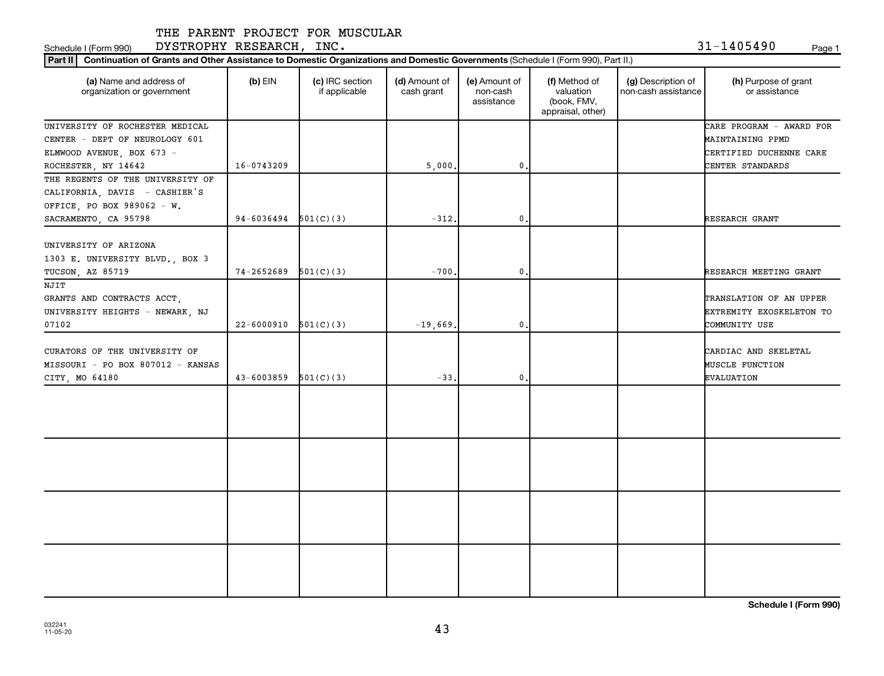Schedule I (Form 990) Page 1 DYSTROPHY RESEARCH, INC. 31-1405490

| (a) Name and address of<br>organization or government                                                                   | $(b)$ EIN  | (c) IRC section<br>if applicable | (d) Amount of<br>cash grant | (e) Amount of<br>non-cash<br>assistance | (f) Method of<br>valuation<br>(book, FMV,<br>appraisal, other) | (g) Description of<br>non-cash assistance | (h) Purpose of grant<br>or assistance                                   |
|-------------------------------------------------------------------------------------------------------------------------|------------|----------------------------------|-----------------------------|-----------------------------------------|----------------------------------------------------------------|-------------------------------------------|-------------------------------------------------------------------------|
| UNIVERSITY OF ROCHESTER MEDICAL<br>CENTER - DEPT OF NEUROLOGY 601<br>ELMWOOD AVENUE, BOX 673 -                          |            |                                  |                             |                                         |                                                                |                                           | CARE PROGRAM - AWARD FOR<br>MAINTAINING PPMD<br>CERTIFIED DUCHENNE CARE |
| ROCHESTER, NY 14642                                                                                                     | 16-0743209 |                                  | 5,000                       | $\mathfrak o$ .                         |                                                                |                                           | CENTER STANDARDS                                                        |
| THE REGENTS OF THE UNIVERSITY OF<br>CALIFORNIA, DAVIS - CASHIER'S<br>OFFICE, PO BOX 989062 - W.<br>SACRAMENTO, CA 95798 | 94-6036494 | 501(C)(3)                        | $-312.$                     | 0                                       |                                                                |                                           | RESEARCH GRANT                                                          |
| UNIVERSITY OF ARIZONA<br>1303 E. UNIVERSITY BLVD., BOX 3<br>TUCSON, AZ 85719                                            | 74-2652689 | 501(C)(3)                        | $-700.$                     | $\mathbf 0$ .                           |                                                                |                                           | RESEARCH MEETING GRANT                                                  |
| NJIT<br>GRANTS AND CONTRACTS ACCT,<br>UNIVERSITY HEIGHTS - NEWARK, NJ<br>07102                                          | 22-6000910 | 501(C)(3)                        | $-19,669.$                  | 0.                                      |                                                                |                                           | TRANSLATION OF AN UPPER<br>EXTREMITY EXOSKELETON TO<br>COMMUNITY USE    |
| CURATORS OF THE UNIVERSITY OF<br>MISSOURI - PO BOX 807012 - KANSAS<br>CITY, MO 64180                                    | 43-6003859 | 501(C)(3)                        | $-33.$                      | $\mathbf{0}$ .                          |                                                                |                                           | CARDIAC AND SKELETAL<br>MUSCLE FUNCTION<br><b>EVALUATION</b>            |
|                                                                                                                         |            |                                  |                             |                                         |                                                                |                                           |                                                                         |
|                                                                                                                         |            |                                  |                             |                                         |                                                                |                                           |                                                                         |
|                                                                                                                         |            |                                  |                             |                                         |                                                                |                                           |                                                                         |
|                                                                                                                         |            |                                  |                             |                                         |                                                                |                                           |                                                                         |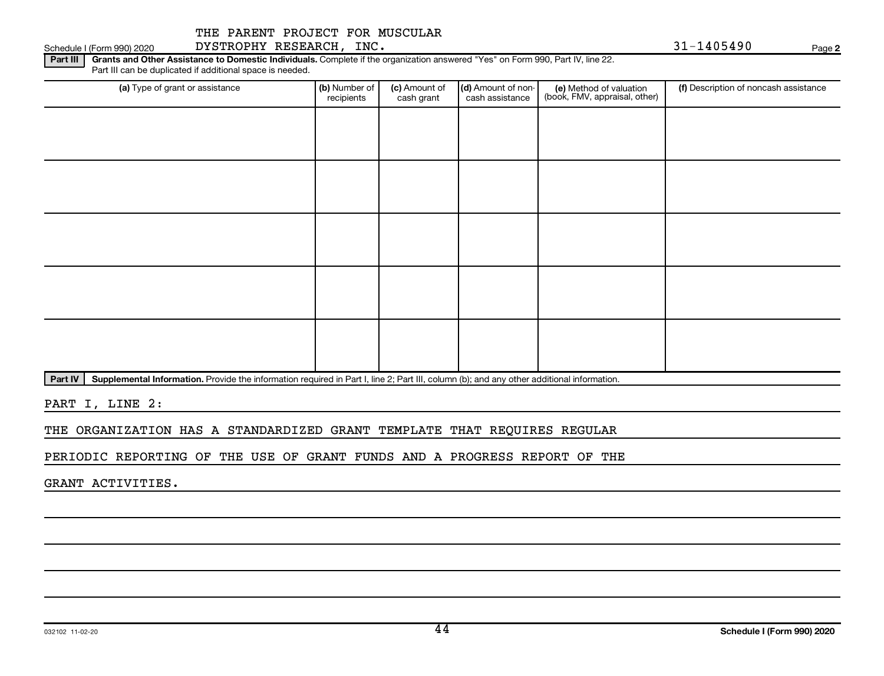Schedule I (Form 990) 2020 DYSTROPHY RESEARCH, INC 31-1405490 Page

**2**

Part III | Grants and Other Assistance to Domestic Individuals. Complete if the organization answered "Yes" on Form 990, Part IV, line 22. Part III can be duplicated if additional space is needed.

| (a) Type of grant or assistance | (b) Number of<br>recipients | (c) Amount of<br>cash grant | (d) Amount of non-<br>cash assistance | (e) Method of valuation<br>(book, FMV, appraisal, other) | (f) Description of noncash assistance |
|---------------------------------|-----------------------------|-----------------------------|---------------------------------------|----------------------------------------------------------|---------------------------------------|
|                                 |                             |                             |                                       |                                                          |                                       |
|                                 |                             |                             |                                       |                                                          |                                       |
|                                 |                             |                             |                                       |                                                          |                                       |
|                                 |                             |                             |                                       |                                                          |                                       |
|                                 |                             |                             |                                       |                                                          |                                       |
|                                 |                             |                             |                                       |                                                          |                                       |
|                                 |                             |                             |                                       |                                                          |                                       |
|                                 |                             |                             |                                       |                                                          |                                       |
|                                 |                             |                             |                                       |                                                          |                                       |
|                                 |                             |                             |                                       |                                                          |                                       |

Part IV | Supplemental Information. Provide the information required in Part I, line 2; Part III, column (b); and any other additional information.

PART I, LINE 2:

THE ORGANIZATION HAS A STANDARDIZED GRANT TEMPLATE THAT REQUIRES REGULAR

PERIODIC REPORTING OF THE USE OF GRANT FUNDS AND A PROGRESS REPORT OF THE

GRANT ACTIVITIES.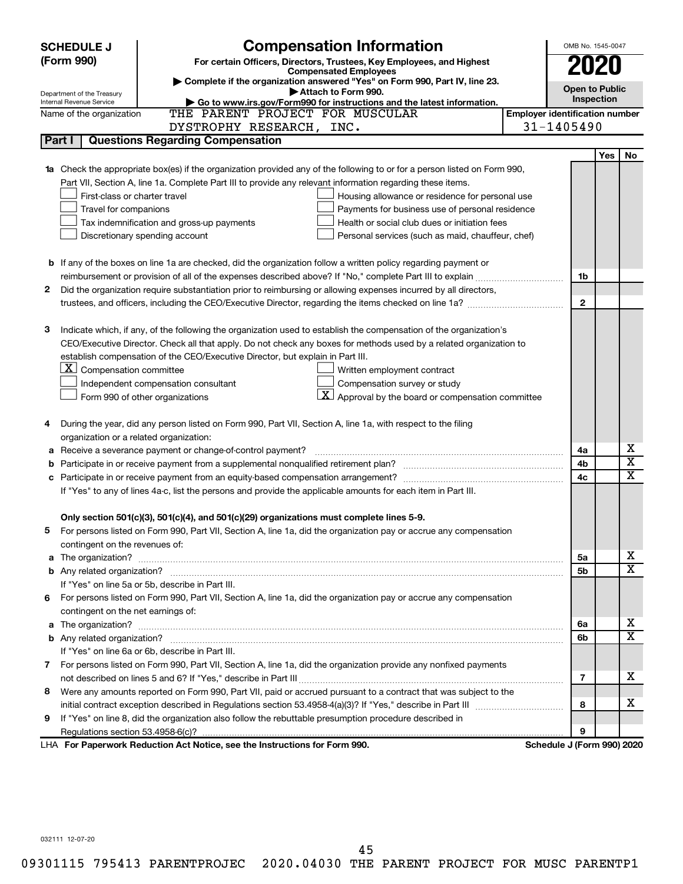|    | <b>SCHEDULE J</b>                                | <b>Compensation Information</b>                                                                                        | OMB No. 1545-0047                     |            |                         |
|----|--------------------------------------------------|------------------------------------------------------------------------------------------------------------------------|---------------------------------------|------------|-------------------------|
|    | (Form 990)                                       | For certain Officers, Directors, Trustees, Key Employees, and Highest                                                  |                                       | 2020       |                         |
|    |                                                  | <b>Compensated Employees</b>                                                                                           |                                       |            |                         |
|    | Department of the Treasury                       | Complete if the organization answered "Yes" on Form 990, Part IV, line 23.<br>Attach to Form 990.                      | <b>Open to Public</b>                 |            |                         |
|    | Internal Revenue Service                         | Go to www.irs.gov/Form990 for instructions and the latest information.                                                 |                                       | Inspection |                         |
|    | Name of the organization                         | THE PARENT PROJECT FOR MUSCULAR                                                                                        | <b>Employer identification number</b> |            |                         |
|    |                                                  | DYSTROPHY RESEARCH, INC.                                                                                               | 31-1405490                            |            |                         |
|    | Part I                                           | <b>Questions Regarding Compensation</b>                                                                                |                                       |            |                         |
|    |                                                  |                                                                                                                        |                                       | <b>Yes</b> | No                      |
|    |                                                  | Check the appropriate box(es) if the organization provided any of the following to or for a person listed on Form 990, |                                       |            |                         |
|    |                                                  | Part VII, Section A, line 1a. Complete Part III to provide any relevant information regarding these items.             |                                       |            |                         |
|    | First-class or charter travel                    | Housing allowance or residence for personal use                                                                        |                                       |            |                         |
|    | Travel for companions                            | Payments for business use of personal residence                                                                        |                                       |            |                         |
|    | Tax indemnification and gross-up payments        | Health or social club dues or initiation fees                                                                          |                                       |            |                         |
|    | Discretionary spending account                   | Personal services (such as maid, chauffeur, chef)                                                                      |                                       |            |                         |
|    |                                                  |                                                                                                                        |                                       |            |                         |
|    |                                                  | <b>b</b> If any of the boxes on line 1a are checked, did the organization follow a written policy regarding payment or |                                       |            |                         |
|    |                                                  |                                                                                                                        | 1b                                    |            |                         |
| 2  |                                                  | Did the organization require substantiation prior to reimbursing or allowing expenses incurred by all directors,       |                                       |            |                         |
|    |                                                  | trustees, and officers, including the CEO/Executive Director, regarding the items checked on line 1a?                  | $\mathbf{2}$                          |            |                         |
|    |                                                  |                                                                                                                        |                                       |            |                         |
| З  |                                                  | Indicate which, if any, of the following the organization used to establish the compensation of the organization's     |                                       |            |                         |
|    |                                                  | CEO/Executive Director. Check all that apply. Do not check any boxes for methods used by a related organization to     |                                       |            |                         |
|    |                                                  | establish compensation of the CEO/Executive Director, but explain in Part III.                                         |                                       |            |                         |
|    | $ \mathbf{X} $ Compensation committee            | Written employment contract                                                                                            |                                       |            |                         |
|    | Independent compensation consultant              | Compensation survey or study                                                                                           |                                       |            |                         |
|    | Form 990 of other organizations                  | $ \mathbf{X} $ Approval by the board or compensation committee                                                         |                                       |            |                         |
|    |                                                  |                                                                                                                        |                                       |            |                         |
| 4  |                                                  | During the year, did any person listed on Form 990, Part VII, Section A, line 1a, with respect to the filing           |                                       |            |                         |
|    | organization or a related organization:          |                                                                                                                        |                                       |            | х                       |
| а  |                                                  | Receive a severance payment or change-of-control payment?                                                              | 4a                                    |            | $\overline{\textbf{x}}$ |
| b  |                                                  |                                                                                                                        | 4b                                    |            | $\mathbf x$             |
| c  |                                                  |                                                                                                                        | 4c                                    |            |                         |
|    |                                                  | If "Yes" to any of lines 4a-c, list the persons and provide the applicable amounts for each item in Part III.          |                                       |            |                         |
|    |                                                  | Only section 501(c)(3), 501(c)(4), and 501(c)(29) organizations must complete lines 5-9.                               |                                       |            |                         |
| b. |                                                  | For persons listed on Form 990, Part VII, Section A, line 1a, did the organization pay or accrue any compensation      |                                       |            |                         |
|    | contingent on the revenues of:                   |                                                                                                                        |                                       |            |                         |
| a  |                                                  |                                                                                                                        | 5a                                    |            | х                       |
|    |                                                  |                                                                                                                        | 5b                                    |            | X                       |
|    | If "Yes" on line 5a or 5b, describe in Part III. |                                                                                                                        |                                       |            |                         |
|    |                                                  | 6 For persons listed on Form 990, Part VII, Section A, line 1a, did the organization pay or accrue any compensation    |                                       |            |                         |
|    | contingent on the net earnings of:               |                                                                                                                        |                                       |            |                         |
| а  |                                                  |                                                                                                                        | 6а                                    |            | х                       |
|    |                                                  |                                                                                                                        | 6b                                    |            | X                       |
|    | If "Yes" on line 6a or 6b, describe in Part III. |                                                                                                                        |                                       |            |                         |
|    |                                                  | 7 For persons listed on Form 990, Part VII, Section A, line 1a, did the organization provide any nonfixed payments     |                                       |            |                         |
|    |                                                  |                                                                                                                        | 7                                     |            | x                       |
| 8  |                                                  | Were any amounts reported on Form 990, Part VII, paid or accrued pursuant to a contract that was subject to the        |                                       |            |                         |
|    |                                                  |                                                                                                                        | 8                                     |            | x                       |
| 9  |                                                  | If "Yes" on line 8, did the organization also follow the rebuttable presumption procedure described in                 |                                       |            |                         |
|    |                                                  |                                                                                                                        | 9                                     |            |                         |
|    |                                                  | LHA For Paperwork Reduction Act Notice, see the Instructions for Form 990.                                             | Schedule J (Form 990) 2020            |            |                         |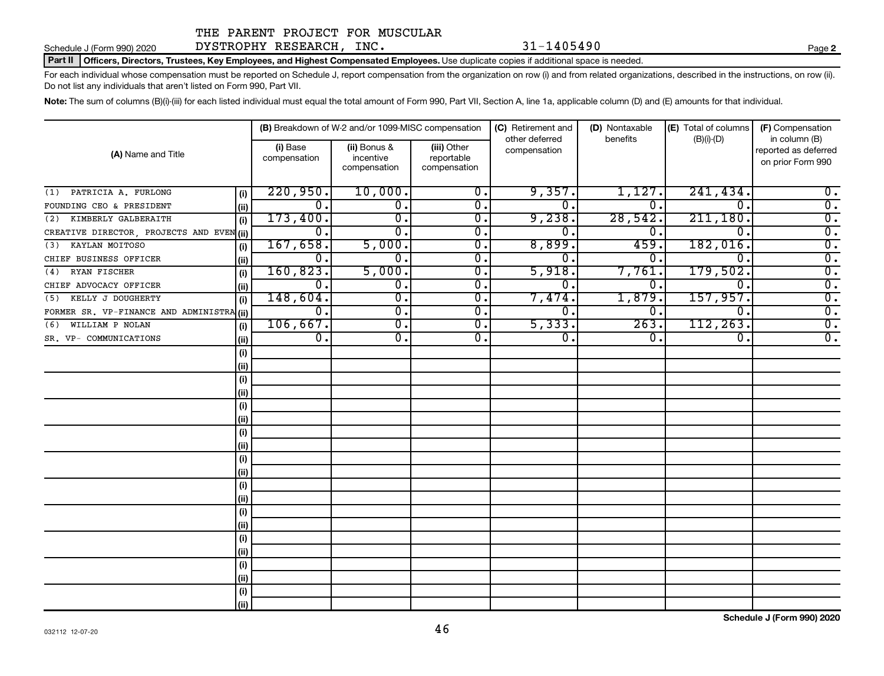Schedule J (Form 990) 2020 DYSTROPHY RESEARCH, INC . 31-1405490 Page

#### Part II | Officers, Directors, Trustees, Key Employees, and Highest Compensated Employees. Use duplicate copies if additional space is needed.

For each individual whose compensation must be reported on Schedule J, report compensation from the organization on row (i) and from related organizations, described in the instructions, on row (ii). Do not list any individuals that aren't listed on Form 990, Part VII.

Note: The sum of columns (B)(i)-(iii) for each listed individual must equal the total amount of Form 990, Part VII, Section A, line 1a, applicable column (D) and (E) amounts for that individual.

|                                           |       |                          | (B) Breakdown of W-2 and/or 1099-MISC compensation |                                           | (C) Retirement and             | (D) Nontaxable | (E) Total of columns | (F) Compensation                                           |
|-------------------------------------------|-------|--------------------------|----------------------------------------------------|-------------------------------------------|--------------------------------|----------------|----------------------|------------------------------------------------------------|
| (A) Name and Title                        |       | (i) Base<br>compensation | (ii) Bonus &<br>incentive<br>compensation          | (iii) Other<br>reportable<br>compensation | other deferred<br>compensation | benefits       | $(B)(i)-(D)$         | in column (B)<br>reported as deferred<br>on prior Form 990 |
| PATRICIA A. FURLONG<br>(1)                | (i)   | 220,950.                 | 10,000.                                            | 0.                                        | 9,357.                         | 1,127          | 241, 434.            | 0.                                                         |
| FOUNDING CEO & PRESIDENT                  | (ii)  | 0.                       | 0.                                                 | $\overline{0}$ .                          | 0.                             | 0              | $\Omega$ .           | $\overline{0}$ .                                           |
| KIMBERLY GALBERAITH<br>(2)                | (i)   | 173,400.                 | $\overline{0}$ .                                   | $\overline{\mathbf{0}}$ .                 | 9,238.                         | 28,542         | 211, 180.            | $\overline{0}$ .                                           |
| CREATIVE DIRECTOR, PROJECTS AND EVEN (ii) |       | $\overline{0}$ .         | 0.                                                 | Ο.                                        | 0                              | 0              | $\Omega$ .           | $\overline{0}$ .                                           |
| KAYLAN MOITOSO<br>(3)                     | (i)   | 167,658.                 | 5,000.                                             | Ο.                                        | 8,899                          | 459            | 182,016.             | $\overline{0}$ .                                           |
| CHIEF BUSINESS OFFICER                    | (ii)  | Ο.                       | 0.                                                 | Ο.                                        | 0                              | 0              | $\Omega$             | $\overline{0}$ .                                           |
| RYAN FISCHER<br>(4)                       | (i)   | 160, 823.                | 5,000.                                             | Ο.                                        | 5,918.                         | 7,761          | 179,502.             | $\overline{0}$ .                                           |
| CHIEF ADVOCACY OFFICER                    | (ii)  | $\overline{0}$ .         | 0.                                                 | Ο.                                        | 0.                             | 0.             | $\Omega$ .           | $\overline{0}$ .                                           |
| KELLY J DOUGHERTY<br>(5)                  | (i)   | 148,604.                 | $\overline{0}$ .                                   | 0.                                        | 7,474.                         | 1,879          | 157,957.             | $\overline{0}$ .                                           |
| FORMER SR. VP-FINANCE AND ADMINISTRA(ii)  |       | 0.                       | $\overline{0}$ .                                   | 0.                                        | 0.                             | 0              | $\mathbf 0$ .        | $\overline{0}$ .                                           |
| WILLIAM P NOLAN<br>(6)                    | (i)   | 106,667.                 | $\overline{0}$ .                                   | 0.                                        | 5,333.                         | 263            | 112, 263.            | $\overline{0}$ .                                           |
| SR. VP- COMMUNICATIONS                    | (ii)  | $\overline{0}$ .         | $\overline{\mathbf{0}}$ .                          | 0.                                        | $\overline{0}$ .               | 0.             | 0.                   | $\overline{0}$ .                                           |
|                                           | (i)   |                          |                                                    |                                           |                                |                |                      |                                                            |
|                                           | (ii)  |                          |                                                    |                                           |                                |                |                      |                                                            |
|                                           | (i)   |                          |                                                    |                                           |                                |                |                      |                                                            |
|                                           | (ii)  |                          |                                                    |                                           |                                |                |                      |                                                            |
|                                           | (i)   |                          |                                                    |                                           |                                |                |                      |                                                            |
|                                           | (ii)  |                          |                                                    |                                           |                                |                |                      |                                                            |
|                                           | (i)   |                          |                                                    |                                           |                                |                |                      |                                                            |
|                                           | (ii)  |                          |                                                    |                                           |                                |                |                      |                                                            |
|                                           | (i)   |                          |                                                    |                                           |                                |                |                      |                                                            |
|                                           | (ii)  |                          |                                                    |                                           |                                |                |                      |                                                            |
|                                           | (i)   |                          |                                                    |                                           |                                |                |                      |                                                            |
|                                           | (ii)  |                          |                                                    |                                           |                                |                |                      |                                                            |
|                                           | (i)   |                          |                                                    |                                           |                                |                |                      |                                                            |
|                                           | (ii)  |                          |                                                    |                                           |                                |                |                      |                                                            |
|                                           | (i)   |                          |                                                    |                                           |                                |                |                      |                                                            |
|                                           | (ii)  |                          |                                                    |                                           |                                |                |                      |                                                            |
|                                           | (i)   |                          |                                                    |                                           |                                |                |                      |                                                            |
|                                           | (ii)  |                          |                                                    |                                           |                                |                |                      |                                                            |
|                                           | (i)   |                          |                                                    |                                           |                                |                |                      |                                                            |
|                                           | (iii) |                          |                                                    |                                           |                                |                |                      |                                                            |

**Schedule J (Form 990) 2020**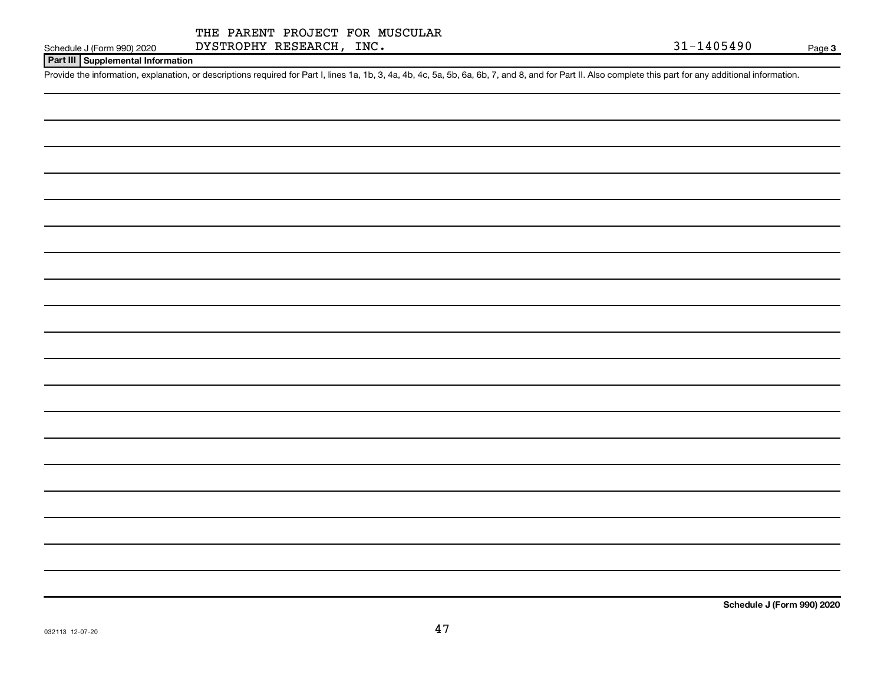**3**

#### **Part III Supplemental Information**

Provide the information, explanation, or descriptions required for Part I, lines 1a, 1b, 3, 4a, 4b, 4c, 5a, 5b, 6a, 6b, 7, and 8, and for Part II. Also complete this part for any additional information.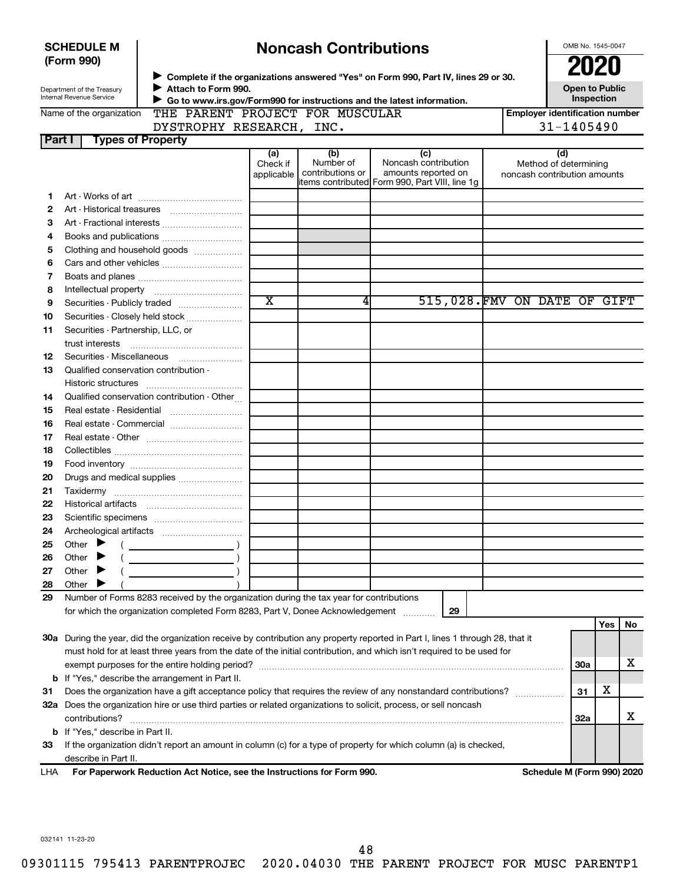|        | <b>SCHEDULE M</b><br>(Form 990)<br>Department of the Treasury | Attach to Form 990.                                                                     |                               | <b>Noncash Contributions</b>         | ▶ Complete if the organizations answered "Yes" on Form 990, Part IV, lines 29 or 30.                                           | OMB No. 1545-0047<br>2020<br><b>Open to Public</b>           |            |    |  |  |  |
|--------|---------------------------------------------------------------|-----------------------------------------------------------------------------------------|-------------------------------|--------------------------------------|--------------------------------------------------------------------------------------------------------------------------------|--------------------------------------------------------------|------------|----|--|--|--|
|        | <b>Internal Revenue Service</b>                               |                                                                                         |                               |                                      | Go to www.irs.gov/Form990 for instructions and the latest information.                                                         | Inspection                                                   |            |    |  |  |  |
|        | Name of the organization                                      | THE PARENT PROJECT FOR MUSCULAR                                                         |                               |                                      |                                                                                                                                | <b>Employer identification number</b>                        |            |    |  |  |  |
|        |                                                               | DYSTROPHY RESEARCH, INC.                                                                |                               |                                      |                                                                                                                                | 31-1405490                                                   |            |    |  |  |  |
| Part I | <b>Types of Property</b>                                      |                                                                                         |                               |                                      |                                                                                                                                |                                                              |            |    |  |  |  |
|        |                                                               |                                                                                         | (a)<br>Check if<br>applicable | (b)<br>Number of<br>contributions or | (c)<br>Noncash contribution<br>amounts reported on<br>items contributed Form 990, Part VIII, line 1g                           | (d)<br>Method of determining<br>noncash contribution amounts |            |    |  |  |  |
| 1      |                                                               |                                                                                         |                               |                                      |                                                                                                                                |                                                              |            |    |  |  |  |
| 2      |                                                               |                                                                                         |                               |                                      |                                                                                                                                |                                                              |            |    |  |  |  |
| з      |                                                               | Art - Fractional interests                                                              |                               |                                      |                                                                                                                                |                                                              |            |    |  |  |  |
| 4      |                                                               |                                                                                         |                               |                                      |                                                                                                                                |                                                              |            |    |  |  |  |
| 5      |                                                               | Clothing and household goods                                                            |                               |                                      |                                                                                                                                |                                                              |            |    |  |  |  |
| 6      |                                                               |                                                                                         |                               |                                      |                                                                                                                                |                                                              |            |    |  |  |  |
| 7      |                                                               |                                                                                         |                               |                                      |                                                                                                                                |                                                              |            |    |  |  |  |
| 8      |                                                               |                                                                                         |                               |                                      |                                                                                                                                |                                                              |            |    |  |  |  |
| 9      |                                                               | Securities - Publicly traded                                                            | $\overline{\text{x}}$         | 4                                    | 515,028.FMV ON DATE OF GIFT                                                                                                    |                                                              |            |    |  |  |  |
| 10     |                                                               | Securities - Closely held stock                                                         |                               |                                      |                                                                                                                                |                                                              |            |    |  |  |  |
| 11     | Securities - Partnership, LLC, or                             |                                                                                         |                               |                                      |                                                                                                                                |                                                              |            |    |  |  |  |
|        |                                                               |                                                                                         |                               |                                      |                                                                                                                                |                                                              |            |    |  |  |  |
| 12     |                                                               | Securities - Miscellaneous                                                              |                               |                                      |                                                                                                                                |                                                              |            |    |  |  |  |
| 13     | Qualified conservation contribution -                         |                                                                                         |                               |                                      |                                                                                                                                |                                                              |            |    |  |  |  |
|        |                                                               |                                                                                         |                               |                                      |                                                                                                                                |                                                              |            |    |  |  |  |
| 14     |                                                               | Qualified conservation contribution - Other                                             |                               |                                      |                                                                                                                                |                                                              |            |    |  |  |  |
| 15     |                                                               | Real estate - Residential                                                               |                               |                                      |                                                                                                                                |                                                              |            |    |  |  |  |
| 16     |                                                               | Real estate - Commercial                                                                |                               |                                      |                                                                                                                                |                                                              |            |    |  |  |  |
| 17     |                                                               |                                                                                         |                               |                                      |                                                                                                                                |                                                              |            |    |  |  |  |
| 18     |                                                               |                                                                                         |                               |                                      |                                                                                                                                |                                                              |            |    |  |  |  |
| 19     |                                                               |                                                                                         |                               |                                      |                                                                                                                                |                                                              |            |    |  |  |  |
| 20     |                                                               | Drugs and medical supplies                                                              |                               |                                      |                                                                                                                                |                                                              |            |    |  |  |  |
| 21     |                                                               |                                                                                         |                               |                                      |                                                                                                                                |                                                              |            |    |  |  |  |
| 22     |                                                               |                                                                                         |                               |                                      |                                                                                                                                |                                                              |            |    |  |  |  |
| 23     |                                                               |                                                                                         |                               |                                      |                                                                                                                                |                                                              |            |    |  |  |  |
| 24     | Archeological artifacts                                       |                                                                                         |                               |                                      |                                                                                                                                |                                                              |            |    |  |  |  |
| 25     | Other                                                         |                                                                                         |                               |                                      |                                                                                                                                |                                                              |            |    |  |  |  |
| 26     | Other                                                         |                                                                                         |                               |                                      |                                                                                                                                |                                                              |            |    |  |  |  |
| 27     | Other                                                         |                                                                                         |                               |                                      |                                                                                                                                |                                                              |            |    |  |  |  |
| 28     | Other                                                         |                                                                                         |                               |                                      |                                                                                                                                |                                                              |            |    |  |  |  |
| 29     |                                                               | Number of Forms 8283 received by the organization during the tax year for contributions |                               |                                      |                                                                                                                                |                                                              |            |    |  |  |  |
|        |                                                               | for which the organization completed Form 8283, Part V, Donee Acknowledgement           |                               |                                      | 29                                                                                                                             |                                                              |            |    |  |  |  |
|        |                                                               |                                                                                         |                               |                                      |                                                                                                                                |                                                              | <b>Yes</b> | No |  |  |  |
|        |                                                               |                                                                                         |                               |                                      | 30a During the year, did the organization receive by contribution any property reported in Part I, lines 1 through 28, that it |                                                              |            |    |  |  |  |
|        |                                                               |                                                                                         |                               |                                      | must hold for at least three years from the date of the initial contribution, and which isn't required to be used for          |                                                              |            | х  |  |  |  |
|        |                                                               |                                                                                         |                               |                                      |                                                                                                                                | 30a                                                          |            |    |  |  |  |
|        |                                                               | <b>b</b> If "Yes," describe the arrangement in Part II.                                 |                               |                                      |                                                                                                                                |                                                              | х          |    |  |  |  |
| 31     |                                                               |                                                                                         |                               |                                      | Does the organization have a gift acceptance policy that requires the review of any nonstandard contributions?                 | 31                                                           |            |    |  |  |  |
| 32a    |                                                               |                                                                                         |                               |                                      | Does the organization hire or use third parties or related organizations to solicit, process, or sell noncash                  |                                                              |            | х  |  |  |  |
|        | contributions?                                                |                                                                                         |                               |                                      |                                                                                                                                | <b>32a</b>                                                   |            |    |  |  |  |
|        | <b>b</b> If "Yes," describe in Part II.                       |                                                                                         |                               |                                      |                                                                                                                                |                                                              |            |    |  |  |  |
| 33     |                                                               |                                                                                         |                               |                                      | If the organization didn't report an amount in column (c) for a type of property for which column (a) is checked,              |                                                              |            |    |  |  |  |
| LHA    | describe in Part II.                                          | For Paperwork Reduction Act Notice, see the Instructions for Form 990.                  |                               |                                      |                                                                                                                                | Schedule M (Form 990) 2020                                   |            |    |  |  |  |
|        |                                                               |                                                                                         |                               |                                      |                                                                                                                                |                                                              |            |    |  |  |  |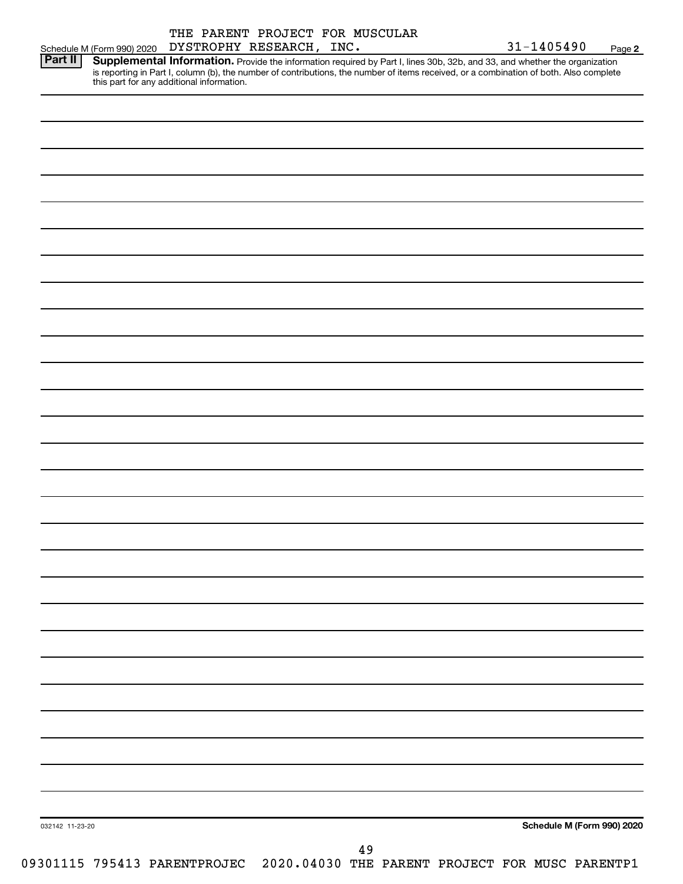|                 | Schedule M (Form 990) 2020 | DYSTROPHY RESEARCH, INC.                  |                                                                                                                                                                                                                                                                      | $31 - 1405490$             | Page 2 |
|-----------------|----------------------------|-------------------------------------------|----------------------------------------------------------------------------------------------------------------------------------------------------------------------------------------------------------------------------------------------------------------------|----------------------------|--------|
| <b>Part II</b>  |                            | this part for any additional information. | Supplemental Information. Provide the information required by Part I, lines 30b, 32b, and 33, and whether the organization<br>is reporting in Part I, column (b), the number of contributions, the number of items received, or a combination of both. Also complete |                            |        |
|                 |                            |                                           |                                                                                                                                                                                                                                                                      |                            |        |
|                 |                            |                                           |                                                                                                                                                                                                                                                                      |                            |        |
|                 |                            |                                           |                                                                                                                                                                                                                                                                      |                            |        |
|                 |                            |                                           |                                                                                                                                                                                                                                                                      |                            |        |
|                 |                            |                                           |                                                                                                                                                                                                                                                                      |                            |        |
|                 |                            |                                           |                                                                                                                                                                                                                                                                      |                            |        |
|                 |                            |                                           |                                                                                                                                                                                                                                                                      |                            |        |
|                 |                            |                                           |                                                                                                                                                                                                                                                                      |                            |        |
|                 |                            |                                           |                                                                                                                                                                                                                                                                      |                            |        |
|                 |                            |                                           |                                                                                                                                                                                                                                                                      |                            |        |
|                 |                            |                                           |                                                                                                                                                                                                                                                                      |                            |        |
|                 |                            |                                           |                                                                                                                                                                                                                                                                      |                            |        |
|                 |                            |                                           |                                                                                                                                                                                                                                                                      |                            |        |
|                 |                            |                                           |                                                                                                                                                                                                                                                                      |                            |        |
|                 |                            |                                           |                                                                                                                                                                                                                                                                      |                            |        |
|                 |                            |                                           |                                                                                                                                                                                                                                                                      |                            |        |
|                 |                            |                                           |                                                                                                                                                                                                                                                                      |                            |        |
|                 |                            |                                           |                                                                                                                                                                                                                                                                      |                            |        |
|                 |                            |                                           |                                                                                                                                                                                                                                                                      |                            |        |
|                 |                            |                                           |                                                                                                                                                                                                                                                                      |                            |        |
|                 |                            |                                           |                                                                                                                                                                                                                                                                      |                            |        |
|                 |                            |                                           |                                                                                                                                                                                                                                                                      |                            |        |
|                 |                            |                                           |                                                                                                                                                                                                                                                                      |                            |        |
|                 |                            |                                           |                                                                                                                                                                                                                                                                      |                            |        |
|                 |                            |                                           |                                                                                                                                                                                                                                                                      |                            |        |
|                 |                            |                                           |                                                                                                                                                                                                                                                                      |                            |        |
| 032142 11-23-20 |                            |                                           |                                                                                                                                                                                                                                                                      | Schedule M (Form 990) 2020 |        |
|                 |                            |                                           | 49                                                                                                                                                                                                                                                                   |                            |        |
|                 |                            |                                           | 301115 795413 PARENTPROJEC 2020.04030 THE PARENT PROJECT FOR MUSC PARENTP1                                                                                                                                                                                           |                            |        |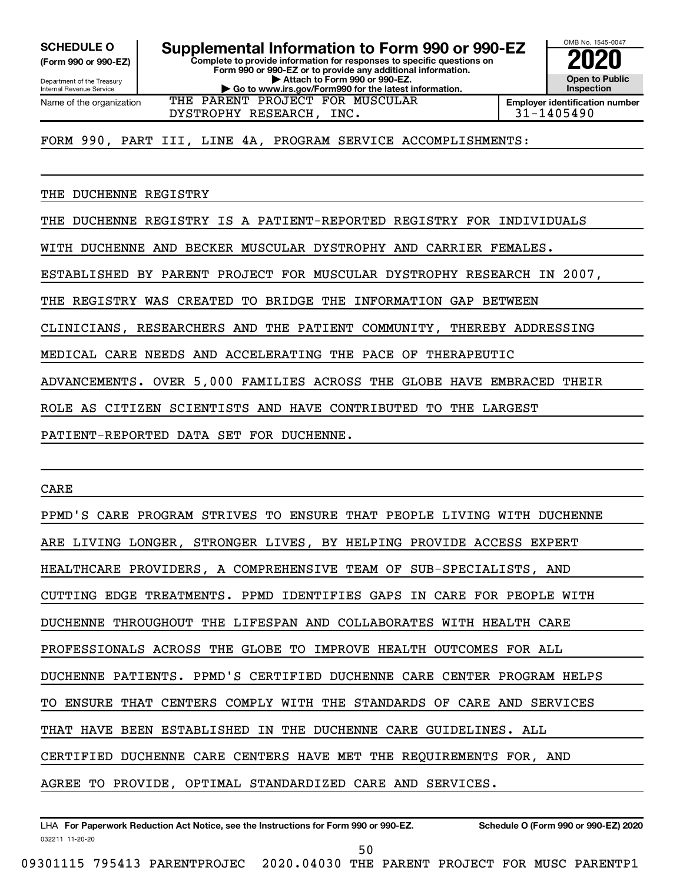**(Form 990 or 990-EZ)**

Department of the Treasury Internal Revenue Service Name of the organization

OMB No. 1545-0047 **Complete to provide information for responses to specific questions on Form 990 or 990-EZ or to provide any additional information. | Attach to Form 990 or 990-EZ. | Go to www.irs.gov/Form990 for the latest information. SCHEDULE O Supplemental Information to Form 990 or 990-EZ 2020**<br>(Form 990 or 990-EZ) Complete to provide information for responses to specific questions on

THE PARENT PROJECT FOR MUSCULAR DYSTROPHY RESEARCH, INC. | 31-1405490

**Inspection Employer identification number**

**Open to Public**

FORM 990, PART III, LINE 4A, PROGRAM SERVICE ACCOMPLISHMENTS:

THE DUCHENNE REGISTRY

THE DUCHENNE REGISTRY IS A PATIENT-REPORTED REGISTRY FOR INDIVIDUALS

WITH DUCHENNE AND BECKER MUSCULAR DYSTROPHY AND CARRIER FEMALES.

ESTABLISHED BY PARENT PROJECT FOR MUSCULAR DYSTROPHY RESEARCH IN 2007,

THE REGISTRY WAS CREATED TO BRIDGE THE INFORMATION GAP BETWEEN

CLINICIANS, RESEARCHERS AND THE PATIENT COMMUNITY, THEREBY ADDRESSING

MEDICAL CARE NEEDS AND ACCELERATING THE PACE OF THERAPEUTIC

ADVANCEMENTS. OVER 5,000 FAMILIES ACROSS THE GLOBE HAVE EMBRACED THEIR

ROLE AS CITIZEN SCIENTISTS AND HAVE CONTRIBUTED TO THE LARGEST

PATIENT-REPORTED DATA SET FOR DUCHENNE.

CARE

PPMD'S CARE PROGRAM STRIVES TO ENSURE THAT PEOPLE LIVING WITH DUCHENNE ARE LIVING LONGER, STRONGER LIVES, BY HELPING PROVIDE ACCESS EXPERT HEALTHCARE PROVIDERS, A COMPREHENSIVE TEAM OF SUB-SPECIALISTS, AND CUTTING EDGE TREATMENTS. PPMD IDENTIFIES GAPS IN CARE FOR PEOPLE WITH DUCHENNE THROUGHOUT THE LIFESPAN AND COLLABORATES WITH HEALTH CARE PROFESSIONALS ACROSS THE GLOBE TO IMPROVE HEALTH OUTCOMES FOR ALL DUCHENNE PATIENTS. PPMD'S CERTIFIED DUCHENNE CARE CENTER PROGRAM HELPS TO ENSURE THAT CENTERS COMPLY WITH THE STANDARDS OF CARE AND SERVICES THAT HAVE BEEN ESTABLISHED IN THE DUCHENNE CARE GUIDELINES. ALL CERTIFIED DUCHENNE CARE CENTERS HAVE MET THE REQUIREMENTS FOR, AND AGREE TO PROVIDE, OPTIMAL STANDARDIZED CARE AND SERVICES.

032211 11-20-20 **For Paperwork Reduction Act Notice, see the Instructions for Form 990 or 990-EZ. Schedule O (Form 990 or 990-EZ) 2020** LHA 50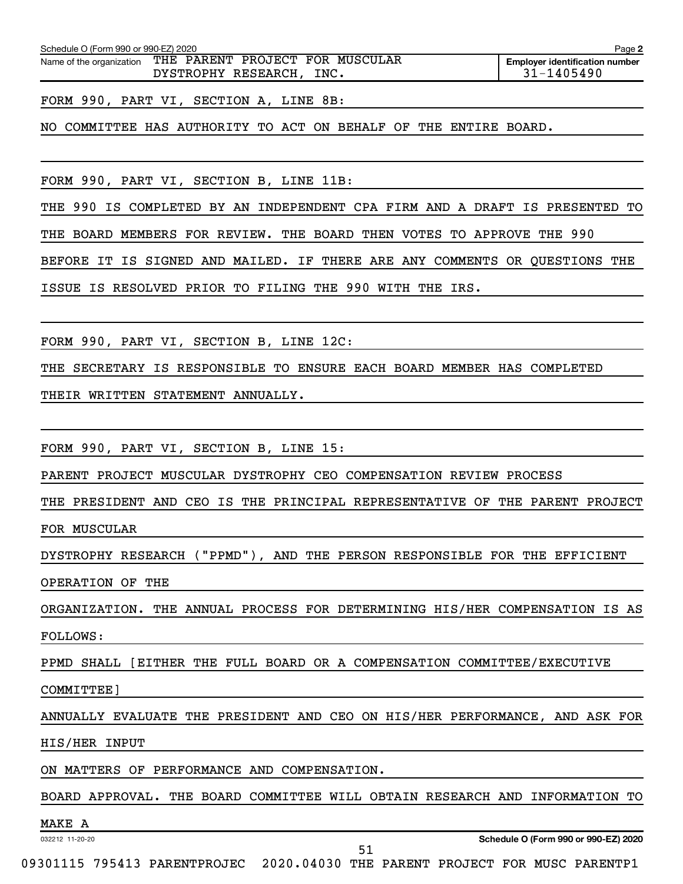| Schedule O (Form 990 or 990-EZ) 2020                                                    | Page 2                                                  |
|-----------------------------------------------------------------------------------------|---------------------------------------------------------|
| THE PARENT PROJECT FOR MUSCULAR<br>Name of the organization<br>DYSTROPHY RESEARCH, INC. | <b>Employer identification number</b><br>$31 - 1405490$ |
| FORM 990, PART VI, SECTION A, LINE 8B:                                                  |                                                         |
| COMMITTEE HAS AUTHORITY TO ACT ON BEHALF OF THE ENTIRE BOARD.<br>NO.                    |                                                         |
|                                                                                         |                                                         |
| FORM 990, PART VI, SECTION B, LINE 11B:                                                 |                                                         |
| THE<br>990 IS COMPLETED BY AN INDEPENDENT CPA FIRM AND A DRAFT IS PRESENTED TO          |                                                         |
| THE BOARD MEMBERS FOR REVIEW. THE BOARD THEN VOTES TO APPROVE THE 990                   |                                                         |
| BEFORE IT IS SIGNED AND MAILED. IF THERE ARE ANY COMMENTS OR QUESTIONS THE              |                                                         |
| ISSUE IS RESOLVED PRIOR TO FILING THE 990 WITH THE IRS.                                 |                                                         |
|                                                                                         |                                                         |
| FORM 990, PART VI, SECTION B, LINE 12C:                                                 |                                                         |
| THE SECRETARY IS RESPONSIBLE TO ENSURE EACH BOARD MEMBER HAS COMPLETED                  |                                                         |
| THEIR WRITTEN STATEMENT ANNUALLY.                                                       |                                                         |
|                                                                                         |                                                         |
| FORM 990, PART VI, SECTION B, LINE 15:                                                  |                                                         |
| PARENT PROJECT MUSCULAR DYSTROPHY CEO COMPENSATION REVIEW PROCESS                       |                                                         |
| THE PRESIDENT AND CEO IS THE PRINCIPAL REPRESENTATIVE OF THE PARENT PROJECT             |                                                         |
| FOR MUSCULAR                                                                            |                                                         |
| DYSTROPHY RESEARCH ("PPMD"), AND THE PERSON RESPONSIBLE FOR THE EFFICIENT               |                                                         |
| OPERATION OF THE                                                                        |                                                         |
| ORGANIZATION. THE ANNUAL PROCESS FOR DETERMINING HIS/HER COMPENSATION IS AS             |                                                         |
| <b>FOLLOWS:</b>                                                                         |                                                         |
| PPMD SHALL [EITHER THE FULL BOARD OR A COMPENSATION COMMITTEE/EXECUTIVE                 |                                                         |
| COMMITTEE]                                                                              |                                                         |
| ANNUALLY EVALUATE THE PRESIDENT AND CEO ON HIS/HER PERFORMANCE, AND ASK FOR             |                                                         |
| HIS/HER INPUT                                                                           |                                                         |
| ON MATTERS OF PERFORMANCE AND COMPENSATION.                                             |                                                         |
| BOARD APPROVAL. THE BOARD COMMITTEE WILL OBTAIN RESEARCH AND INFORMATION TO             |                                                         |
| MAKE A                                                                                  |                                                         |
| 032212 11-20-20<br>51                                                                   | Schedule O (Form 990 or 990-EZ) 2020                    |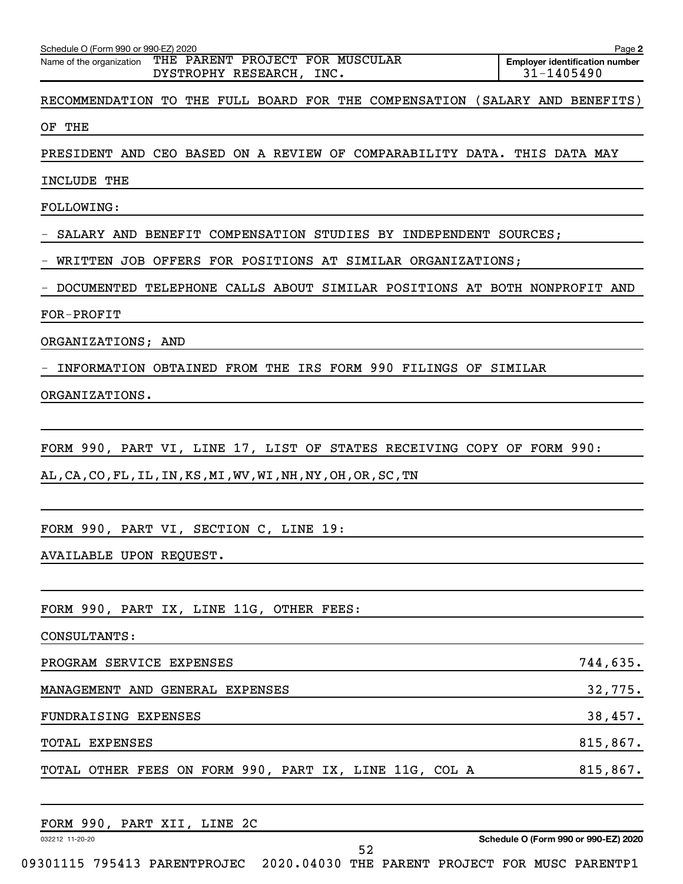| Name of the organization THE PARENT PROJECT FOR MUSCULAR                    | <b>Employer identification number</b> |
|-----------------------------------------------------------------------------|---------------------------------------|
| DYSTROPHY RESEARCH, INC.                                                    | 31-1405490                            |
| RECOMMENDATION TO THE FULL BOARD FOR THE COMPENSATION (SALARY AND BENEFITS) |                                       |
| OF THE                                                                      |                                       |
| PRESIDENT AND CEO BASED ON A REVIEW OF COMPARABILITY DATA. THIS DATA MAY    |                                       |
| INCLUDE THE                                                                 |                                       |
| <b>FOLLOWING:</b>                                                           |                                       |
| - SALARY AND BENEFIT COMPENSATION STUDIES BY INDEPENDENT SOURCES;           |                                       |
| WRITTEN JOB OFFERS FOR POSITIONS AT SIMILAR ORGANIZATIONS;                  |                                       |
| DOCUMENTED TELEPHONE CALLS ABOUT SIMILAR POSITIONS AT BOTH NONPROFIT AND    |                                       |
| <b>FOR-PROFIT</b>                                                           |                                       |
| ORGANIZATIONS; AND                                                          |                                       |
| - INFORMATION OBTAINED FROM THE IRS FORM 990 FILINGS OF SIMILAR             |                                       |
| ORGANIZATIONS.                                                              |                                       |
|                                                                             |                                       |
| FORM 990, PART VI, LINE 17, LIST OF STATES RECEIVING COPY OF FORM 990:      |                                       |
| AL, CA, CO, FL, IL, IN, KS, MI, WV, WI, NH, NY, OH, OR, SC, TN              |                                       |
|                                                                             |                                       |
| FORM 990, PART VI, SECTION C, LINE 19:                                      |                                       |
| AVAILABLE UPON REQUEST.                                                     |                                       |
|                                                                             |                                       |
| FORM 990, PART IX, LINE 11G, OTHER FEES:                                    |                                       |
| CONSULTANTS:                                                                |                                       |
| PROGRAM SERVICE EXPENSES                                                    | 744,635.                              |
|                                                                             |                                       |
| MANAGEMENT AND GENERAL EXPENSES                                             | 32,775.                               |
| <b>FUNDRAISING EXPENSES</b>                                                 | 38,457.                               |
| TOTAL EXPENSES                                                              | 815,867.                              |
| TOTAL OTHER FEES ON FORM 990, PART IX, LINE 11G, COL A                      | 815,867.                              |

**Schedule O (Form 990 or 990-EZ) 2020**